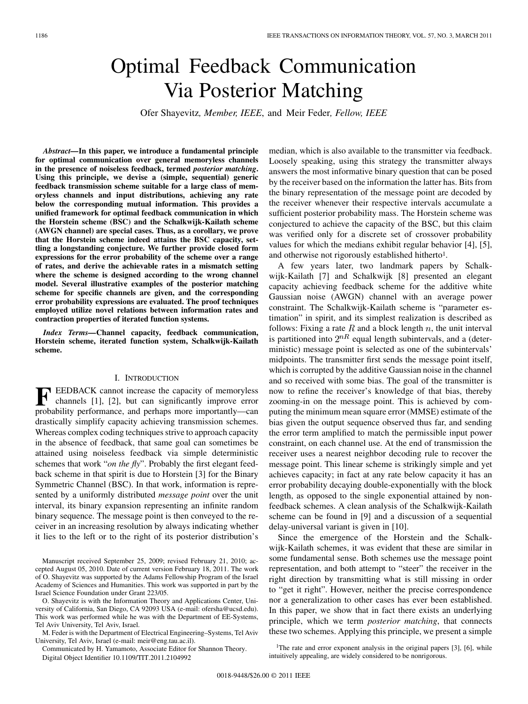# Optimal Feedback Communication Via Posterior Matching

Ofer Shayevitz*, Member, IEEE*, and Meir Feder*, Fellow, IEEE*

*Abstract—***In this paper, we introduce a fundamental principle for optimal communication over general memoryless channels in the presence of noiseless feedback, termed** *posterior matching***. Using this principle, we devise a (simple, sequential) generic feedback transmission scheme suitable for a large class of memoryless channels and input distributions, achieving any rate below the corresponding mutual information. This provides a unified framework for optimal feedback communication in which the Horstein scheme (BSC) and the Schalkwijk-Kailath scheme (AWGN channel) are special cases. Thus, as a corollary, we prove that the Horstein scheme indeed attains the BSC capacity, settling a longstanding conjecture. We further provide closed form expressions for the error probability of the scheme over a range of rates, and derive the achievable rates in a mismatch setting where the scheme is designed according to the wrong channel model. Several illustrative examples of the posterior matching scheme for specific channels are given, and the corresponding error probability expressions are evaluated. The proof techniques employed utilize novel relations between information rates and contraction properties of iterated function systems.**

*Index Terms—***Channel capacity, feedback communication, Horstein scheme, iterated function system, Schalkwijk-Kailath scheme.**

#### I. INTRODUCTION

**FEEDBACK** cannot increase the capacity of memoryless<br>channels [1], [2], but can significantly improve error<br>probability performance, and perhaps more importantly probability performance, and perhaps more importantly—can drastically simplify capacity achieving transmission schemes. Whereas complex coding techniques strive to approach capacity in the absence of feedback, that same goal can sometimes be attained using noiseless feedback via simple deterministic schemes that work "*on the fly*". Probably the first elegant feedback scheme in that spirit is due to Horstein [3] for the Binary Symmetric Channel (BSC). In that work, information is represented by a uniformly distributed *message point* over the unit interval, its binary expansion representing an infinite random binary sequence. The message point is then conveyed to the receiver in an increasing resolution by always indicating whether it lies to the left or to the right of its posterior distribution's

Manuscript received September 25, 2009; revised February 21, 2010; accepted August 05, 2010. Date of current version February 18, 2011. The work of O. Shayevitz was supported by the Adams Fellowship Program of the Israel Academy of Sciences and Humanities. This work was supported in part by the Israel Science Foundation under Grant 223/05.

M. Feder is with the Department of Electrical Engineering–Systems, Tel Aviv University, Tel Aviv, Israel (e-mail: meir@eng.tau.ac.il).

Communicated by H. Yamamoto, Associate Editor for Shannon Theory. Digital Object Identifier 10.1109/TIT.2011.2104992

median, which is also available to the transmitter via feedback. Loosely speaking, using this strategy the transmitter always answers the most informative binary question that can be posed by the receiver based on the information the latter has. Bits from the binary representation of the message point are decoded by the receiver whenever their respective intervals accumulate a sufficient posterior probability mass. The Horstein scheme was conjectured to achieve the capacity of the BSC, but this claim was verified only for a discrete set of crossover probability values for which the medians exhibit regular behavior [4], [5], and otherwise not rigorously established hitherto1.

A few years later, two landmark papers by Schalkwijk-Kailath [7] and Schalkwijk [8] presented an elegant capacity achieving feedback scheme for the additive white Gaussian noise (AWGN) channel with an average power constraint. The Schalkwijk-Kailath scheme is "parameter estimation" in spirit, and its simplest realization is described as follows: Fixing a rate R and a block length  $n$ , the unit interval is partitioned into  $2^{nR}$  equal length subintervals, and a (deterministic) message point is selected as one of the subintervals' midpoints. The transmitter first sends the message point itself, which is corrupted by the additive Gaussian noise in the channel and so received with some bias. The goal of the transmitter is now to refine the receiver's knowledge of that bias, thereby zooming-in on the message point. This is achieved by computing the minimum mean square error (MMSE) estimate of the bias given the output sequence observed thus far, and sending the error term amplified to match the permissible input power constraint, on each channel use. At the end of transmission the receiver uses a nearest neighbor decoding rule to recover the message point. This linear scheme is strikingly simple and yet achieves capacity; in fact at any rate below capacity it has an error probability decaying double-exponentially with the block length, as opposed to the single exponential attained by nonfeedback schemes. A clean analysis of the Schalkwijk-Kailath scheme can be found in [9] and a discussion of a sequential delay-universal variant is given in [10].

Since the emergence of the Horstein and the Schalkwijk-Kailath schemes, it was evident that these are similar in some fundamental sense. Both schemes use the message point representation, and both attempt to "steer" the receiver in the right direction by transmitting what is still missing in order to "get it right". However, neither the precise correspondence nor a generalization to other cases has ever been established. In this paper, we show that in fact there exists an underlying principle, which we term *posterior matching*, that connects these two schemes. Applying this principle, we present a simple

<sup>1</sup>The rate and error exponent analysis in the original papers  $[3]$ ,  $[6]$ , while intuitively appealing, are widely considered to be nonrigorous.

O. Shayevitz is with the Information Theory and Applications Center, University of California, San Diego, CA 92093 USA (e-mail: ofersha@ucsd.edu). This work was performed while he was with the Department of EE-Systems, Tel Aviv University, Tel Aviv, Israel.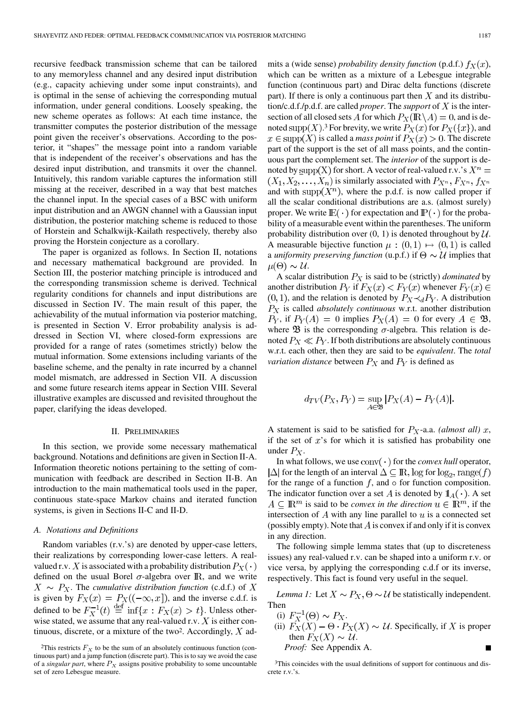recursive feedback transmission scheme that can be tailored to any memoryless channel and any desired input distribution (e.g., capacity achieving under some input constraints), and is optimal in the sense of achieving the corresponding mutual information, under general conditions. Loosely speaking, the new scheme operates as follows: At each time instance, the transmitter computes the posterior distribution of the message point given the receiver's observations. According to the posterior, it "shapes" the message point into a random variable that is independent of the receiver's observations and has the desired input distribution, and transmits it over the channel. Intuitively, this random variable captures the information still missing at the receiver, described in a way that best matches the channel input. In the special cases of a BSC with uniform input distribution and an AWGN channel with a Gaussian input distribution, the posterior matching scheme is reduced to those of Horstein and Schalkwijk-Kailath respectively, thereby also proving the Horstein conjecture as a corollary.

The paper is organized as follows. In Section II, notations and necessary mathematical background are provided. In Section III, the posterior matching principle is introduced and the corresponding transmission scheme is derived. Technical regularity conditions for channels and input distributions are discussed in Section IV. The main result of this paper, the achievability of the mutual information via posterior matching, is presented in Section V. Error probability analysis is addressed in Section VI, where closed-form expressions are provided for a range of rates (sometimes strictly) below the mutual information. Some extensions including variants of the baseline scheme, and the penalty in rate incurred by a channel model mismatch, are addressed in Section VII. A discussion and some future research items appear in Section VIII. Several illustrative examples are discussed and revisited throughout the paper, clarifying the ideas developed.

## II. PRELIMINARIES

In this section, we provide some necessary mathematical background. Notations and definitions are given in Section II-A. Information theoretic notions pertaining to the setting of communication with feedback are described in Section II-B. An introduction to the main mathematical tools used in the paper, continuous state-space Markov chains and iterated function systems, is given in Sections II-C and II-D.

## *A. Notations and Definitions*

Random variables (r.v.'s) are denoted by upper-case letters, their realizations by corresponding lower-case letters. A realvalued r.v. X is associated with a probability distribution  $P_X(\cdot)$ defined on the usual Borel  $\sigma$ -algebra over  $\mathbb{R}$ , and we write  $X \sim P_X$ . The *cumulative distribution function* (c.d.f.) of X is given by  $F_X(x) = P_X((-\infty, x])$ , and the inverse c.d.f. is defined to be  $F_X^{-1}(t) \stackrel{\text{def}}{=} \inf\{x : F_X(x) > t\}.$  Unless otherwise stated, we assume that any real-valued r.v.  $X$  is either continuous, discrete, or a mixture of the two<sup>2</sup>. Accordingly,  $X$  admits a (wide sense) *probability density function* (p.d.f.)  $f_X(x)$ , which can be written as a mixture of a Lebesgue integrable function (continuous part) and Dirac delta functions (discrete part). If there is only a continuous part then  $X$  and its distribution/c.d.f./p.d.f. are called *proper*. The *support* of  $X$  is the intersection of all closed sets A for which  $P_X(\mathbb{R} \setminus A) = 0$ , and is denoted supp $(X)$ .<sup>3</sup> For brevity, we write  $P_X(x)$  for  $P_X({x})$ , and  $x \in \text{supp}(X)$  is called a *mass point* if  $P_X(x) > 0$ . The discrete part of the support is the set of all mass points, and the continuous part the complement set. The *interior* of the support is denoted by  $\text{supp}(X)$  for short. A vector of real-valued r.v.'s  $X^n =$  $(X_1, X_2, \ldots, X_n)$  is similarly associated with  $P_{X^n}$ ,  $F_{X^n}$ ,  $f_{X^n}$ and with  $\text{supp}(X^n)$ , where the p.d.f. is now called proper if all the scalar conditional distributions are a.s. (almost surely) proper. We write  $\mathbb{E}(\cdot)$  for expectation and  $\mathbb{P}(\cdot)$  for the probability of a measurable event within the parentheses. The uniform probability distribution over  $(0, 1)$  is denoted throughout by  $\mathcal{U}$ . A measurable bijective function  $\mu : (0,1) \mapsto (0,1)$  is called a *uniformity preserving function* (u.p.f.) if  $\Theta \sim \mathcal{U}$  implies that  $\mu(\Theta) \sim \mathcal{U}.$ 

A scalar distribution  $P_X$  is said to be (strictly) *dominated* by another distribution  $P_Y$  if  $F_X(x) < F_Y(x)$  whenever  $F_Y(x) \in$  $(0, 1)$ , and the relation is denoted by  $P_X \prec_d P_Y$ . A distribution  $P_X$  is called *absolutely continuous* w.r.t. another distribution  $P_Y$ , if  $P_Y(A) = 0$  implies  $P_X(A) = 0$  for every  $A \in \mathfrak{B}$ , where  $\mathfrak B$  is the corresponding  $\sigma$ -algebra. This relation is denoted  $P_X \ll P_Y$ . If both distributions are absolutely continuous w.r.t. each other, then they are said to be *equivalent*. The *total variation distance* between  $P_X$  and  $P_Y$  is defined as

$$
d_{TV}(P_X, P_Y) = \sup_{A \in \mathfrak{B}} |P_X(A) - P_Y(A)|.
$$

A statement is said to be satisfied for  $P_X$ -a.a. *(almost all)*  $x$ , if the set of  $x$ 's for which it is satisfied has probability one under  $P_X$ .

In what follows, we use  $conv(\cdot)$  for the *convex hull* operator,  $|\Delta|$  for the length of an interval  $\Delta \subseteq \mathbb{R}$ , log for log<sub>2</sub>, range(f) for the range of a function  $f$ , and  $\circ$  for function composition. The indicator function over a set A is denoted by  $\mathbb{1}_A(\cdot)$ . A set  $A \subseteq \mathbb{R}^m$  is said to be *convex in the direction*  $u \in \mathbb{R}^m$ , if the intersection of  $A$  with any line parallel to  $u$  is a connected set (possibly empty). Note that  $\vec{A}$  is convex if and only if it is convex in any direction.

The following simple lemma states that (up to discreteness issues) any real-valued r.v. can be shaped into a uniform r.v. or vice versa, by applying the corresponding c.d.f or its inverse, respectively. This fact is found very useful in the sequel.

*Lemma 1:* Let  $X \sim P_X, \Theta \sim \mathcal{U}$  be statistically independent. Then

(i)  $F_X^{-1}(\Theta) \sim P_X$ . (ii)  $F_X(X) - \Theta \cdot P_X(X) \sim \mathcal{U}$ . Specifically, if X is proper then  $F_X(X) \sim U$ . *Proof:* See Appendix A.

3This coincides with the usual definitions of support for continuous and discrete r.v.'s.

<sup>&</sup>lt;sup>2</sup>This restricts  $F_X$  to be the sum of an absolutely continuous function (continuous part) and a jump function (discrete part). This is to say we avoid the case of a *singular part*, where  $P_X$  assigns positive probability to some uncountable set of zero Lebesgue measure.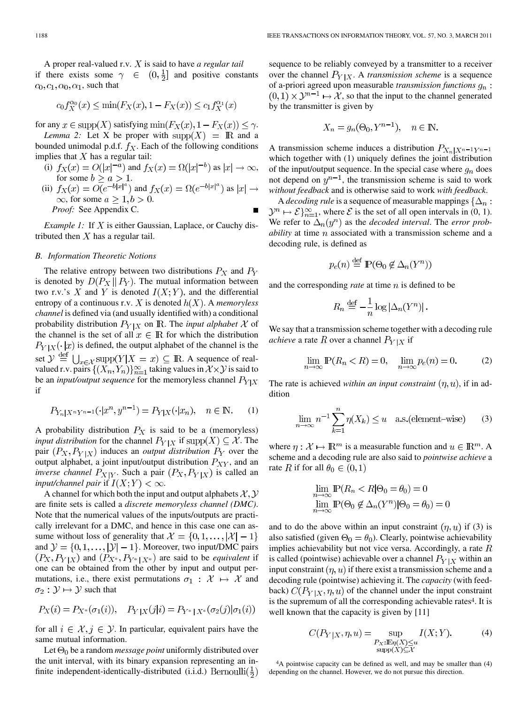A proper real-valued r.v. X is said to have *a regular tail* if there exists some  $\gamma \in (0, \frac{1}{2})$  and positive constants  $c_0, c_1, \alpha_0, \alpha_1$ , such that

$$
c_0 f_X^{\alpha_0}(x) \le \min(F_X(x), 1 - F_X(x)) \le c_1 f_X^{\alpha_1}(x)
$$

for any  $x \in \text{supp}(X)$  satisfying  $\min(F_X(x), 1 - F_X(x)) \leq \gamma$ .

*Lemma 2:* Let X be proper with  $\text{supp}(X) = \mathbb{R}$  and a bounded unimodal p.d.f.  $f_X$ . Each of the following conditions implies that  $X$  has a regular tail:

- (i)  $f_X(x) = O(|x|^{-a})$  and  $f_X(x) = \Omega(|x|^{-b})$  as  $|x| \to \infty$ , for some  $b \ge a > 1$ .
- (ii)  $f_X(x) = O(e^{-b|x|^a})$  and  $f_X(x) = \Omega(e^{-b|x|^a})$  as  $|x| \to$  $\infty$ , for some  $a \geq 1, b > 0$ . *Proof:* See Appendix C.

*Example 1:* If  $X$  is either Gaussian, Laplace, or Cauchy distributed then  $X$  has a regular tail.

# *B. Information Theoretic Notions*

The relative entropy between two distributions  $P_X$  and  $P_Y$ is denoted by  $D(P_X \| P_Y)$ . The mutual information between two r.v.'s X and Y is denoted  $I(X;Y)$ , and the differential entropy of a continuous r.v. X is denoted  $h(X)$ . A *memoryless channel* is defined via (and usually identified with) a conditional probability distribution  $P_{Y|X}$  on  $\mathbb R$ . The *input alphabet* X of the channel is the set of all  $x \in \mathbb{R}$  for which the distribution  $P_{Y|X}(\cdot | x)$  is defined, the output alphabet of the channel is the set  $\mathcal{Y} \stackrel{\text{def}}{=} \bigcup_{x \in \mathcal{X}} \text{supp}(Y | X = x) \subseteq \mathbb{R}$ . A sequence of realvalued r.v. pairs  $\{(X_n, Y_n)\}_{n=1}^{\infty}$  taking values in  $\mathcal{X} \times \mathcal{Y}$  is said to be an *input/output sequence* for the memoryless channel  $P_{Y|X}$ if

$$
P_{Y_n|X^nY^{n-1}}(\cdot|x^n, y^{n-1}) = P_{Y|X}(\cdot|x_n), \quad n \in \mathbb{N}.\tag{1}
$$

A probability distribution  $P_X$  is said to be a (memoryless) *input distribution* for the channel  $P_{Y|X}$  if  $\text{supp}(X) \subseteq \mathcal{X}$ . The pair  $(P_X, P_{Y|X})$  induces an *output distribution*  $P_Y$  over the output alphabet, a joint input/output distribution  $P_{XY}$ , and an *inverse channel*  $P_{X|Y}$ . Such a pair  $(P_X, P_{Y|X})$  is called an *input/channel pair* if  $I(X;Y) < \infty$ .

A channel for which both the input and output alphabets  $\mathcal{X}, \mathcal{Y}$ are finite sets is called a *discrete memoryless channel (DMC)*. Note that the numerical values of the inputs/outputs are practically irrelevant for a DMC, and hence in this case one can assume without loss of generality that  $\mathcal{X} = \{0, 1, \dots, |\mathcal{X}| - 1\}$ and  $\mathcal{Y} = \{0, 1, \dots, |\mathcal{Y}|-1\}$ . Moreover, two input/DMC pairs  $(P_X, P_{Y|X})$  and  $(P_{X^*}, P_{Y^*|X^*})$  are said to be *equivalent* if one can be obtained from the other by input and output permutations, i.e., there exist permutations  $\sigma_1 : \mathcal{X} \mapsto \mathcal{X}$  and  $\sigma_2 : \mathcal{Y} \mapsto \mathcal{Y}$  such that

$$
P_X(i) = P_{X^*}(\sigma_1(i)), \quad P_{Y|X}(j|i) = P_{Y^*|X^*}(\sigma_2(j)|\sigma_1(i))
$$

for all  $i \in \mathcal{X}, j \in \mathcal{Y}$ . In particular, equivalent pairs have the same mutual information.

Let  $\Theta_0$  be a random *message point* uniformly distributed over the unit interval, with its binary expansion representing an infinite independent-identically-distributed (i.i.d.) Bernoulli $(\frac{1}{2})$  sequence to be reliably conveyed by a transmitter to a receiver over the channel  $P_{Y|X}$ . A *transmission scheme* is a sequence of a-priori agreed upon measurable *transmission functions*  $(0, 1) \times \mathcal{Y}^{n-1} \mapsto \mathcal{X}$ , so that the input to the channel generated by the transmitter is given by

$$
X_n = g_n(\Theta_0, Y^{n-1}), \quad n \in \mathbb{N}.
$$

A transmission scheme induces a distribution  $P_{X_n|X^{n-1}Y^{n-1}}$ which together with (1) uniquely defines the joint distribution of the input/output sequence. In the special case where  $g_n$  does not depend on  $y^{n-1}$ , the transmission scheme is said to work *without feedback* and is otherwise said to work *with feedback*.

A *decoding rule* is a sequence of measurable mappings  $\{\Delta_n: \Delta_n\}$  $\mathcal{Y}^n \mapsto \mathcal{E}\}_{n=1}^{\infty}$ , where  $\mathcal E$  is the set of all open intervals in (0, 1). We refer to  $\Delta_n(y^n)$  as the *decoded interval*. The *error probability* at time  $n$  associated with a transmission scheme and a decoding rule, is defined as

$$
p_e(n) \stackrel{\text{def}}{=} \mathbb{P}(\Theta_0 \not\in \Delta_n(Y^n))
$$

and the corresponding *rate* at time  $n$  is defined to be

 $\boldsymbol{\eta}$ 

$$
R_n \stackrel{\text{def}}{=} -\frac{1}{n} \log |\Delta_n(Y^n)|.
$$

We say that a transmission scheme together with a decoding rule *achieve* a rate R over a channel  $P_{Y|X}$  if

$$
\lim_{n \to \infty} \mathbb{P}(R_n < R) = 0, \quad \lim_{n \to \infty} p_e(n) = 0. \tag{2}
$$

The rate is achieved *within an input constraint*  $(\eta, u)$ , if in addition

$$
\lim_{k \to \infty} n^{-1} \sum_{k=1}^{n} \eta(X_k) \le u \quad \text{a.s.} \text{(element-wise)} \tag{3}
$$

where  $\eta: \mathcal{X} \mapsto \mathbb{R}^m$  is a measurable function and  $u \in \mathbb{R}^m$ . A scheme and a decoding rule are also said to *pointwise achieve* a rate R if for all  $\theta_0 \in (0,1)$ 

$$
\lim_{n \to \infty} \mathbb{P}(R_n < R | \Theta_0 = \theta_0) = 0
$$
\n
$$
\lim_{n \to \infty} \mathbb{P}(\Theta_0 \notin \Delta_n(Y^n) | \Theta_0 = \theta_0) = 0
$$

and to do the above within an input constraint  $(\eta, u)$  if (3) is also satisfied (given  $\Theta_0 = \theta_0$ ). Clearly, pointwise achievability implies achievability but not vice versa. Accordingly, a rate  $R$ is called (pointwise) achievable over a channel  $P_{Y|X}$  within an input constraint  $(\eta, u)$  if there exist a transmission scheme and a decoding rule (pointwise) achieving it. The *capacity* (with feedback)  $C(P_{Y|X}, \eta, u)$  of the channel under the input constraint is the supremum of all the corresponding achievable rates<sup>4</sup>. It is well known that the capacity is given by [11]

$$
C(P_{Y|X}, \eta, u) = \sup_{\substack{P_X: \mathbb{E}\eta(X)\le u\\ \text{supp}(X)\subset \mathcal{X}}} I(X; Y). \tag{4}
$$

<sup>4</sup>A pointwise capacity can be defined as well, and may be smaller than (4) depending on the channel. However, we do not pursue this direction.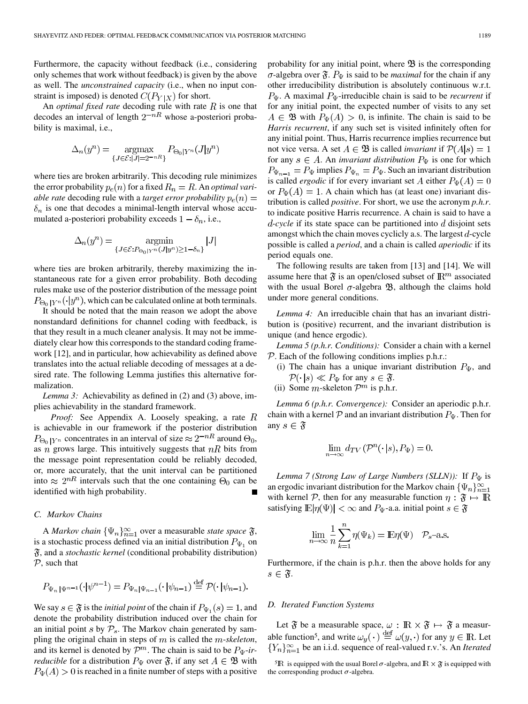Furthermore, the capacity without feedback (i.e., considering only schemes that work without feedback) is given by the above as well. The *unconstrained capacity* (i.e., when no input constraint is imposed) is denoted  $C(P_{Y|X})$  for short.

An *optimal fixed rate* decoding rule with rate  $R$  is one that decodes an interval of length  $2^{-nR}$  whose a-posteriori probability is maximal, i.e.,

$$
\Delta_n(y^n) = \operatorname*{argmax}_{\{J \in \mathcal{E} : |J| = 2^{-nR}\}} P_{\Theta_0|Y^n}(J|y^n)
$$

where ties are broken arbitrarily. This decoding rule minimizes the error probability  $p_e(n)$  for a fixed  $R_n = R$ . An *optimal variable rate* decoding rule with a *target error probability*  $p_e(n)$  =  $\delta_n$  is one that decodes a minimal-length interval whose accumulated a-posteriori probability exceeds  $1 - \delta_n$ , i.e.,

$$
\Delta_n(y^n) = \underset{\{J \in \mathcal{E} : P_{\Theta_0|Y^n}(J|y^n) \ge 1 - \delta_n\}}{\operatorname{argmin}} |J|
$$

where ties are broken arbitrarily, thereby maximizing the instantaneous rate for a given error probability. Both decoding rules make use of the posterior distribution of the message point  $P_{\Theta_0}|Y^n(\cdot|y^n)$ , which can be calculated online at both terminals.

It should be noted that the main reason we adopt the above nonstandard definitions for channel coding with feedback, is that they result in a much cleaner analysis. It may not be immediately clear how this corresponds to the standard coding framework [12], and in particular, how achievability as defined above translates into the actual reliable decoding of messages at a desired rate. The following Lemma justifies this alternative formalization.

*Lemma 3:* Achievability as defined in (2) and (3) above, implies achievability in the standard framework.

*Proof:* See Appendix A. Loosely speaking, a rate R is achievable in our framework if the posterior distribution  $P_{\Theta_0}|_{Y^n}$  concentrates in an interval of size  $\approx 2^{-nR}$  around  $\Theta_0$ , as  $n$  grows large. This intuitively suggests that  $nR$  bits from the message point representation could be reliably decoded, or, more accurately, that the unit interval can be partitioned into  $\approx 2^{nR}$  intervals such that the one containing  $\Theta_0$  can be identified with high probability.

# *C. Markov Chains*

A *Markov chain*  $\{\Psi_n\}_{n=1}^{\infty}$  over a measurable *state space*  $\mathfrak{F}$ , is a stochastic process defined via an initial distribution  $P_{\Psi_1}$  on  $\mathfrak F$ , and a *stochastic kernel* (conditional probability distribution)  $P$ , such that

$$
P_{\Psi_n|\Psi^{n-1}}(\cdot|\psi^{n-1}) = P_{\Psi_n|\Psi_{n-1}}(\cdot|\psi_{n-1}) \stackrel{\text{def}}{=} \mathcal{P}(\cdot|\psi_{n-1}).
$$

We say  $s \in \mathfrak{F}$  is the *initial point* of the chain if  $P_{\Psi_1}(s) = 1$ , and denote the probability distribution induced over the chain for an initial point s by  $P_s$ . The Markov chain generated by sampling the original chain in steps of  $m$  is called the  $m$ -skeleton, and its kernel is denoted by  $\mathcal{P}^m$ . The chain is said to be  $P_{\Psi}$ -ir*reducible* for a distribution  $P_{\Psi}$  over  $\mathfrak{F}$ , if any set  $A \in \mathfrak{B}$  with  $P_{\Psi}(A) > 0$  is reached in a finite number of steps with a positive probability for any initial point, where  $\mathfrak B$  is the corresponding  $\sigma$ -algebra over  $\mathfrak{F}$ .  $P_{\Psi}$  is said to be *maximal* for the chain if any other irreducibility distribution is absolutely continuous w.r.t.  $P_{\Psi}$ . A maximal  $P_{\Psi}$ -irreducible chain is said to be *recurrent* if for any initial point, the expected number of visits to any set  $A \in \mathfrak{B}$  with  $P_{\Psi}(A) > 0$ , is infinite. The chain is said to be *Harris recurrent*, if any such set is visited infinitely often for any initial point. Thus, Harris recurrence implies recurrence but not vice versa. A set  $A \in \mathfrak{B}$  is called *invariant* if  $\mathcal{P}(A|s) = 1$ for any  $s \in A$ . An *invariant distribution*  $P_{\Psi}$  is one for which  $P_{\Psi_{n-1}} = P_{\Psi}$  implies  $P_{\Psi_n} = P_{\Psi}$ . Such an invariant distribution is called *ergodic* if for every invariant set A either  $P_{\Psi}(A) = 0$ or  $P_{\Psi}(A) = 1$ . A chain which has (at least one) invariant distribution is called *positive*. For short, we use the acronym *p.h.r*. to indicate positive Harris recurrence. A chain is said to have a  $d$ -cycle if its state space can be partitioned into  $d$  disjoint sets amongst which the chain moves cyclicly a.s. The largest  $d$ -cycle possible is called a *period*, and a chain is called *aperiodic* if its period equals one.

The following results are taken from [13] and [14]. We will assume here that  $\mathfrak{F}$  is an open/closed subset of  $\mathbb{R}^m$  associated with the usual Borel  $\sigma$ -algebra  $\mathfrak{B}$ , although the claims hold under more general conditions.

*Lemma 4:* An irreducible chain that has an invariant distribution is (positive) recurrent, and the invariant distribution is unique (and hence ergodic).

*Lemma 5 (p.h.r. Conditions):* Consider a chain with a kernel  $P$ . Each of the following conditions implies p.h.r.:

- (i) The chain has a unique invariant distribution  $P_{\Psi}$ , and  $\mathcal{P}(\cdot | s) \ll P_{\Psi}$  for any  $s \in \mathfrak{F}$ .
- (ii) Some m-skeleton  $\mathcal{P}^m$  is p.h.r.

*Lemma 6 (p.h.r. Convergence):* Consider an aperiodic p.h.r. chain with a kernel  $P$  and an invariant distribution  $P_{\Psi}$ . Then for any  $s \in \mathfrak{F}$ 

$$
\lim_{n \to \infty} d_{TV}(\mathcal{P}^n(\cdot | s), P_{\Psi}) = 0.
$$

*Lemma 7 (Strong Law of Large Numbers (SLLN)):* If  $P_{\Psi}$  is an ergodic invariant distribution for the Markov chain  $\{\Psi_n\}_{n=1}^{\infty}$ with kernel  $P$ , then for any measurable function  $\eta : \mathfrak{F} \mapsto \mathbb{R}$ satisfying  $\mathbb{E}|\eta(\Psi)| < \infty$  and  $P_{\Psi}$ -a.a. initial point  $s \in \mathfrak{F}$ 

$$
\lim_{n \to \infty} \frac{1}{n} \sum_{k=1}^{n} \eta(\Psi_k) = \mathbb{E}\eta(\Psi) \quad \mathcal{P}_s
$$
-a.s.

Furthermore, if the chain is p.h.r. then the above holds for any  $s \in \mathfrak{F}$ .

# *D. Iterated Function Systems*

Let  $\mathfrak{F}$  be a measurable space,  $\omega : \mathbb{R} \times \mathfrak{F} \mapsto \mathfrak{F}$  a measurable function<sup>5</sup>, and write  $\omega_y(\cdot) \stackrel{\text{def}}{=} \omega(y, \cdot)$  for any  $y \in \mathbb{R}$ . Let  ${Y_n}_{n=1}^{\infty}$  be an i.i.d. sequence of real-valued r.v.'s. An *Iterated* 

<sup>&</sup>lt;sup>5</sup>IR is equipped with the usual Borel  $\sigma$ -algebra, and IR  $\times$   $\mathfrak{F}$  is equipped with the corresponding product  $\sigma$ -algebra.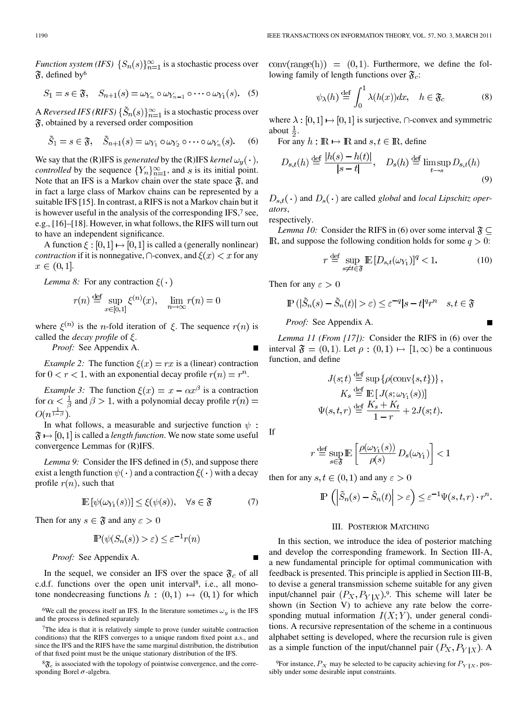*Function system (IFS)*  ${S_n(s)}_{n=1}^{\infty}$  is a stochastic process over  $\mathfrak{F}$ , defined by<sup>6</sup>

$$
S_1 = s \in \mathfrak{F}, \quad S_{n+1}(s) = \omega_{Y_n} \circ \omega_{Y_{n-1}} \circ \cdots \circ \omega_{Y_1}(s). \quad (5)
$$

A *Reversed IFS (RIFS)*  $\{\widetilde{S}_n(s)\}_{n=1}^{\infty}$  is a stochastic process over  $\mathfrak{F}$ , obtained by a reversed order composition

$$
\tilde{S}_1 = s \in \mathfrak{F}, \quad \tilde{S}_{n+1}(s) = \omega_{Y_1} \circ \omega_{Y_2} \circ \cdots \circ \omega_{Y_n}(s). \quad (6)
$$

We say that the (R)IFS is *generated* by the (R)IFS *kernel*  $\omega_y(\cdot)$ , *controlled* by the sequence  ${Y_n}_{n=1}^{\infty}$ , and s is its initial point. Note that an IFS is a Markov chain over the state space  $\mathfrak{F}$ , and in fact a large class of Markov chains can be represented by a suitable IFS [15]. In contrast, a RIFS is not a Markov chain but it is however useful in the analysis of the corresponding IFS,7 see, e.g., [16]–[18]. However, in what follows, the RIFS will turn out to have an independent significance.

A function  $\xi : [0,1] \mapsto [0,1]$  is called a (generally nonlinear) *contraction* if it is nonnegative,  $\cap$ -convex, and  $\xi(x) < x$  for any  $x \in (0,1].$ 

*Lemma 8:* For any contraction  $\xi(\cdot)$ 

$$
r(n) \stackrel{\text{def}}{=} \sup_{x \in [0,1]} \xi^{(n)}(x), \quad \lim_{n \to \infty} r(n) = 0
$$

where  $\xi^{(n)}$  is the *n*-fold iteration of  $\xi$ . The sequence  $r(n)$  is called the *decay profile* of  $\xi$ .

*Proof:* See Appendix A.

*Example 2:* The function  $\xi(x) = rx$  is a (linear) contraction for  $0 < r < 1$ , with an exponential decay profile  $r(n) = r^n$ .

*Example 3:* The function  $\xi(x) = x - \alpha x^{\beta}$  is a contraction for  $\alpha < \frac{1}{\beta}$  and  $\beta > 1$ , with a polynomial decay profile  $r(n)$  =  $O(n^{\frac{1}{1-\beta}}).$ 

In what follows, a measurable and surjective function  $\psi$ :  $\mathfrak{F} \mapsto [0,1]$  is called a *length function*. We now state some useful convergence Lemmas for (R)IFS.

*Lemma 9:* Consider the IFS defined in (5), and suppose there exist a length function  $\psi(\cdot)$  and a contraction  $\xi(\cdot)$  with a decay profile  $r(n)$ , such that

$$
\mathbb{E}\left[\psi(\omega_{Y_1}(s))\right] \le \xi(\psi(s)), \quad \forall s \in \mathfrak{F} \tag{7}
$$

Then for any  $s \in \mathfrak{F}$  and any  $\varepsilon > 0$ 

$$
\mathbb{P}(\psi(S_n(s)) > \varepsilon) \le \varepsilon^{-1} r(n)
$$

*Proof:* See Appendix A.

In the sequel, we consider an IFS over the space  $\mathfrak{F}_c$  of all c.d.f. functions over the open unit interval8, i.e., all monotone nondecreasing functions  $h : (0,1) \mapsto (0,1)$  for which

<sup>6</sup>We call the process itself an IFS. In the literature sometimes  $\omega_y$  is the IFS and the process is defined separately

7The idea is that it is relatively simple to prove (under suitable contraction conditions) that the RIFS converges to a unique random fixed point a.s., and since the IFS and the RIFS have the same marginal distribution, the distribution of that fixed point must be the unique stationary distribution of the IFS.

 ${}^{8}$  $\mathfrak{F}_c$  is associated with the topology of pointwise convergence, and the corresponding Borel  $\sigma$ -algebra.

 $conv(range(h)) = (0,1)$ . Furthermore, we define the following family of length functions over  $\mathfrak{F}_c$ :

$$
\psi_{\lambda}(h) \stackrel{\text{def}}{=} \int_0^1 \lambda(h(x)) dx, \quad h \in \mathfrak{F}_c \tag{8}
$$

where  $\lambda : [0, 1] \mapsto [0, 1]$  is surjective,  $\cap$ -convex and symmetric about  $\frac{1}{2}$ .

For any  $h : \mathbb{R} \mapsto \mathbb{R}$  and  $s, t \in \mathbb{R}$ , define

$$
D_{s,t}(h) \stackrel{\text{def}}{=} \frac{|h(s) - h(t)|}{|s - t|}, \quad D_s(h) \stackrel{\text{def}}{=} \limsup_{t \to s} D_{s,t}(h)
$$
\n(9)

 $D_{s,t}(\cdot)$  and  $D_s(\cdot)$  are called *global* and *local Lipschitz operators*,

respectively.

*Lemma 10:* Consider the RIFS in (6) over some interval  $\mathfrak{F} \subseteq$  $\mathbb{R}$ , and suppose the following condition holds for some  $q > 0$ :

$$
r \stackrel{\text{def}}{=} \sup_{s \neq t \in \mathfrak{F}} \mathbb{E}\left[D_{s,t}(\omega_{Y_1})\right]^q < 1. \tag{10}
$$

Then for any  $\varepsilon > 0$ 

$$
\mathbb{P}\left(|\tilde{S}_n(s) - \tilde{S}_n(t)| > \varepsilon\right) \le \varepsilon^{-q} |s - t|^{q} r^n \quad s, t \in \mathfrak{F}
$$

*Proof:* See Appendix A.

*Lemma 11 (From [17]):* Consider the RIFS in (6) over the interval  $\mathfrak{F} = (0,1)$ . Let  $\rho : (0,1) \mapsto [1,\infty)$  be a continuous function, and define

$$
J(s;t) \stackrel{\text{def}}{=} \sup \{ \rho(\text{conv}\{s,t\}) \},
$$

$$
K_s \stackrel{\text{def}}{=} \mathbb{E} [ J(s; \omega_{Y_1}(s))]
$$

$$
\Psi(s,t,r) \stackrel{\text{def}}{=} \frac{K_s + K_t}{1-r} + 2J(s;t).
$$

If

┓

$$
r \stackrel{\text{def}}{=} \sup_{s \in \mathfrak{F}} \mathbb{E} \left[ \frac{\rho(\omega_{Y_1}(s))}{\rho(s)} D_s(\omega_{Y_1}) \right] < 1
$$

then for any  $s, t \in (0, 1)$  and any  $\varepsilon > 0$ 

$$
\mathbb{P}\left(\left|\tilde{S}_n(s)-\tilde{S}_n(t)\right|>\varepsilon\right)\leq \varepsilon^{-1}\Psi(s,t,r)\cdot r^n.
$$

## III. POSTERIOR MATCHING

In this section, we introduce the idea of posterior matching and develop the corresponding framework. In Section III-A, a new fundamental principle for optimal communication with feedback is presented. This principle is applied in Section III-B, to devise a general transmission scheme suitable for any given input/channel pair  $(P_X, P_{Y|X})$ ,<sup>9</sup>. This scheme will later be shown (in Section V) to achieve any rate below the corresponding mutual information  $I(X;Y)$ , under general conditions. A recursive representation of the scheme in a continuous alphabet setting is developed, where the recursion rule is given as a simple function of the input/channel pair  $(P_X, P_{Y|X})$ . A

<sup>&</sup>lt;sup>9</sup>For instance,  $P_X$  may be selected to be capacity achieving for  $P_{Y|X}$ , possibly under some desirable input constraints.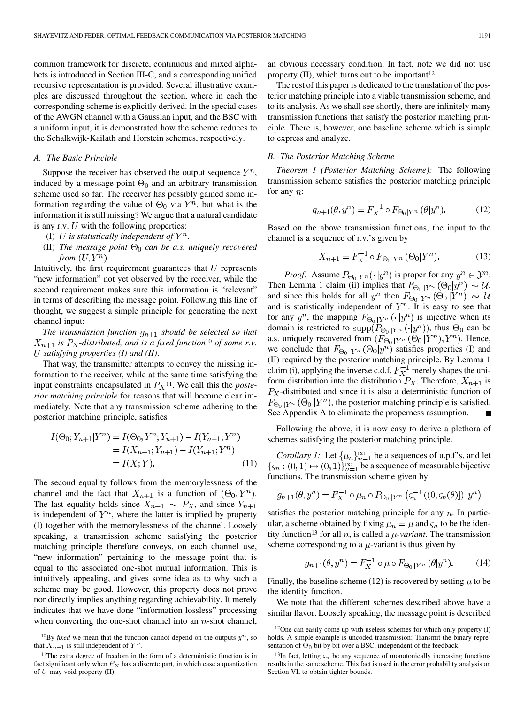common framework for discrete, continuous and mixed alphabets is introduced in Section III-C, and a corresponding unified recursive representation is provided. Several illustrative examples are discussed throughout the section, where in each the corresponding scheme is explicitly derived. In the special cases of the AWGN channel with a Gaussian input, and the BSC with a uniform input, it is demonstrated how the scheme reduces to the Schalkwijk-Kailath and Horstein schemes, respectively.

## *A. The Basic Principle*

Suppose the receiver has observed the output sequence  $Y^n$ , induced by a message point  $\Theta_0$  and an arbitrary transmission scheme used so far. The receiver has possibly gained some information regarding the value of  $\Theta_0$  via  $Y^n$ , but what is the information it is still missing? We argue that a natural candidate is any r.v.  $U$  with the following properties:

- (I) U is statistically independent of  $Y^n$ .
- (II) *The message point*  $\Theta_0$  *can be a.s. uniquely recovered from*  $(U, Y^n)$ .

Intuitively, the first requirement guarantees that  $U$  represents "new information" not yet observed by the receiver, while the second requirement makes sure this information is "relevant" in terms of describing the message point. Following this line of thought, we suggest a simple principle for generating the next channel input:

*The transmission function*  $g_{n+1}$  *should be selected so that*  $X_{n+1}$  *is*  $P_X$ -distributed, and *is a fixed function*<sup>10</sup> *of some r.v. satisfying properties (I) and (II)*.

That way, the transmitter attempts to convey the missing information to the receiver, while at the same time satisfying the input constraints encapsulated in  $P_X$ <sup>11</sup>. We call this the *posterior matching principle* for reasons that will become clear immediately. Note that any transmission scheme adhering to the posterior matching principle, satisfies

$$
I(\Theta_0; Y_{n+1}|Y^n) = I(\Theta_0, Y^n; Y_{n+1}) - I(Y_{n+1}; Y^n)
$$
  
=  $I(X_{n+1}; Y_{n+1}) - I(Y_{n+1}; Y^n)$   
=  $I(X; Y).$  (11)

The second equality follows from the memorylessness of the channel and the fact that  $X_{n+1}$  is a function of  $(\Theta_0, Y^n)$ . The last equality holds since  $X_{n+1} \sim P_X$ , and since  $Y_{n+1}$ is independent of  $Y^n$ , where the latter is implied by property (I) together with the memorylessness of the channel. Loosely speaking, a transmission scheme satisfying the posterior matching principle therefore conveys, on each channel use, "new information" pertaining to the message point that is equal to the associated one-shot mutual information. This is intuitively appealing, and gives some idea as to why such a scheme may be good. However, this property does not prove nor directly implies anything regarding achievability. It merely indicates that we have done "information lossless" processing when converting the one-shot channel into an  $n$ -shot channel,

an obvious necessary condition. In fact, note we did not use property  $(II)$ , which turns out to be important<sup>12</sup>.

The rest of this paper is dedicated to the translation of the posterior matching principle into a viable transmission scheme, and to its analysis. As we shall see shortly, there are infinitely many transmission functions that satisfy the posterior matching principle. There is, however, one baseline scheme which is simple to express and analyze.

# *B. The Posterior Matching Scheme*

*Theorem 1 (Posterior Matching Scheme):* The following transmission scheme satisfies the posterior matching principle for any  $n$ :

$$
g_{n+1}(\theta, y^n) = F_X^{-1} \circ F_{\Theta_0|Y^n}(\theta|y^n). \tag{12}
$$

Based on the above transmission functions, the input to the channel is a sequence of r.v.'s given by

$$
X_{n+1} = F_X^{-1} \circ F_{\Theta_0|Y^n} (\Theta_0|Y^n). \tag{13}
$$

*Proof:* Assume  $P_{\Theta_0|Y^n}(\cdot|y^n)$  is proper for any  $y^n \in \mathcal{Y}^n$ . Then Lemma 1 claim (ii) implies that  $F_{\Theta_0}|Y^n(\Theta_0|y^n) \sim \mathcal{U}$ , and since this holds for all  $y^n$  then  $F_{\Theta_0}|Y^n(\Theta_0|Y^n) \sim \mathcal{U}$ and is statistically independent of  $Y^n$ . It is easy to see that for any  $y^n$ , the mapping  $F_{\Theta_0}|Y^n \left(\cdot |y^n\right)$  is injective when its domain is restricted to  $\supp(P_{\Theta_0}|Y^n(\cdot|y^n))$ , thus  $\Theta_0$  can be a.s. uniquely recovered from  $(F_{\Theta_0}|Y^n, \Theta_0|Y^n)$ . Hence, we conclude that  $F_{\Theta_0}|_{Y^n}(\Theta_0|y^n)$  satisfies properties (I) and (II) required by the posterior matching principle. By Lemma 1 claim (i), applying the inverse c.d.f.  $F_X^{-1}$  merely shapes the uniform distribution into the distribution  $P_X$ . Therefore,  $X_{n+1}$  is  $P_X$ -distributed and since it is also a deterministic function of  $F_{\Theta_0|Y^n}(\Theta_0|Y^n)$ , the posterior matching principle is satisfied. See Appendix A to eliminate the properness assumption.

Following the above, it is now easy to derive a plethora of schemes satisfying the posterior matching principle.

*Corollary 1:* Let  $\{\mu_n\}_{n=1}^{\infty}$  be a sequences of u.p.f's, and let  $\{\zeta_n: (0,1) \mapsto (0,1)\}_{n=1}^{\infty}$  be a sequence of measurable bijective functions. The transmission scheme given by

$$
g_{n+1}(\theta, y^n) = F_X^{-1} \circ \mu_n \circ P_{\Theta_0 | Y^n} (\varsigma_n^{-1} ((0, \varsigma_n(\theta)) | y^n)
$$

satisfies the posterior matching principle for any  $n$ . In particular, a scheme obtained by fixing  $\mu_n = \mu$  and  $\varsigma_n$  to be the identity function<sup>13</sup> for all n, is called a  $\mu$ -variant. The transmission scheme corresponding to a  $\mu$ -variant is thus given by

$$
g_{n+1}(\theta, y^n) = F_X^{-1} \circ \mu \circ F_{\Theta_0 \mid Y^n}(\theta | y^n). \tag{14}
$$

Finally, the baseline scheme (12) is recovered by setting  $\mu$  to be the identity function.

We note that the different schemes described above have a similar flavor. Loosely speaking, the message point is described

 $10By$  *fixed* we mean that the function cannot depend on the outputs  $y<sup>n</sup>$ , so that  $X_{n+1}$  is still independent of  $Y^n$ .

<sup>11</sup>The extra degree of freedom in the form of a deterministic function is in fact significant only when  $P_X$  has a discrete part, in which case a quantization of  $U$  may void property (II).

<sup>12</sup>One can easily come up with useless schemes for which only property (I) holds. A simple example is uncoded transmission: Transmit the binary representation of  $\Theta_0$  bit by bit over a BSC, independent of the feedback.

<sup>&</sup>lt;sup>13</sup>In fact, letting  $\varsigma_n$  be any sequence of monotonically increasing functions results in the same scheme. This fact is used in the error probability analysis on Section VI, to obtain tighter bounds.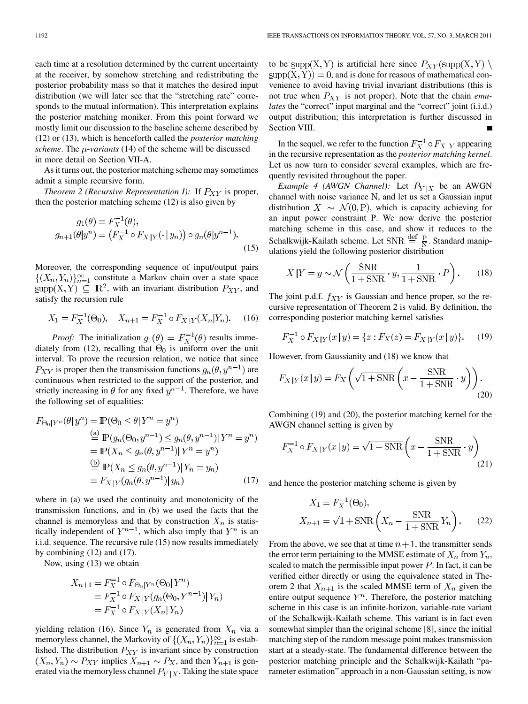each time at a resolution determined by the current uncertainty at the receiver, by somehow stretching and redistributing the posterior probability mass so that it matches the desired input distribution (we will later see that the "stretching rate" corresponds to the mutual information). This interpretation explains the posterior matching moniker. From this point forward we mostly limit our discussion to the baseline scheme described by (12) or (13), which is henceforth called the *posterior matching scheme.* The  $\mu$ -variants (14) of the scheme will be discussed in more detail on Section VII-A.

As it turns out, the posterior matching scheme may sometimes admit a simple recursive form.

*Theorem 2 (Recursive Representation I):* If  $P_{XY}$  is proper, then the posterior matching scheme (12) is also given by

$$
g_1(\theta) = F_X^{-1}(\theta), g_{n+1}(\theta|y^n) = (F_X^{-1} \circ F_{X|Y}(\cdot | y_n)) \circ g_n(\theta|y^{n-1}).
$$
 (15)

Moreover, the corresponding sequence of input/output pairs  $\{(X_n,Y_n)\}_{n=1}^{\infty}$  constitute a Markov chain over a state space  $\text{supp}(X, Y) \subseteq \mathbb{R}^2$ , with an invariant distribution  $P_{XY}$ , and satisfy the recursion rule

$$
X_1 = F_X^{-1}(\Theta_0), \quad X_{n+1} = F_X^{-1} \circ F_X|_Y(X_n|Y_n). \tag{16}
$$

*Proof:* The initialization  $g_1(\theta) = F_X^{-1}(\theta)$  results immediately from (12), recalling that  $\Theta_0$  is uniform over the unit interval. To prove the recursion relation, we notice that since  $P_{XY}$  is proper then the transmission functions  $g_n(\theta, y^{n-1})$  are continuous when restricted to the support of the posterior, and strictly increasing in  $\theta$  for any fixed  $y^{n-1}$ . Therefore, we have the following set of equalities:

$$
F_{\Theta_0|Y^n}(\theta|y^n) = \mathbb{P}(\Theta_0 \le \theta|Y^n = y^n)
$$
  
\n
$$
\stackrel{\text{(a)}}{=} \mathbb{P}(g_n(\Theta_0, y^{n-1}) \le g_n(\theta, y^{n-1})|Y^n = y^n)
$$
  
\n
$$
= \mathbb{P}(X_n \le g_n(\theta, y^{n-1})|Y^n = y^n)
$$
  
\n
$$
\stackrel{\text{(b)}}{=} \mathbb{P}(X_n \le g_n(\theta, y^{n-1})|Y_n = y_n)
$$
  
\n
$$
= F_{X|Y}(g_n(\theta, y^{n-1})|y_n)
$$
\n(17)

where in (a) we used the continuity and monotonicity of the transmission functions, and in (b) we used the facts that the channel is memoryless and that by construction  $X_n$  is statistically independent of  $Y^{n-1}$ , which also imply that  $Y^n$  is an i.i.d. sequence. The recursive rule (15) now results immediately by combining (12) and (17).

Now, using (13) we obtain

$$
X_{n+1} = F_X^{-1} \circ F_{\Theta_0|Y^n}(\Theta_0|Y^n)
$$
  
=  $F_X^{-1} \circ F_{X|Y}(g_n(\Theta_0, Y^{n-1})|Y_n)$   
=  $F_X^{-1} \circ F_{X|Y}(X_n|Y_n)$ 

yielding relation (16). Since  $Y_n$  is generated from  $X_n$  via a memoryless channel, the Markovity of  $\{(X_n, Y_n)\}_{n=1}^{\infty}$  is established. The distribution  $P_{XY}$  is invariant since by construction  $(X_n, Y_n) \sim P_{XY}$  implies  $X_{n+1} \sim P_X$ , and then  $Y_{n+1}$  is generated via the memoryless channel  $P_{Y|X}$ . Taking the state space

to be supp(X, Y) is artificial here since  $P_{XY}(\text{supp}(X, Y) \setminus$  $\text{supp}(X, Y) = 0$ , and is done for reasons of mathematical convenience to avoid having trivial invariant distributions (this is not true when  $P_{XY}$  is not proper). Note that the chain *emulates* the "correct" input marginal and the "correct" joint (i.i.d.) output distribution; this interpretation is further discussed in Section VIII.

In the sequel, we refer to the function  $F_X^{-1} \circ F_X|_Y$  appearing in the recursive representation as the *posterior matching kernel*. Let us now turn to consider several examples, which are frequently revisited throughout the paper.

*Example 4 (AWGN Channel):* Let  $P_{Y|X}$  be an AWGN channel with noise variance  $N$ , and let us set a Gaussian input distribution  $X \sim \mathcal{N}(0, P)$ , which is capacity achieving for an input power constraint P. We now derive the posterior matching scheme in this case, and show it reduces to the Schalkwijk-Kailath scheme. Let SNR  $\stackrel{\text{def}}{=} \frac{P}{N}$ . Standard manipulations yield the following posterior distribution

$$
X|Y = y \sim \mathcal{N}\left(\frac{\text{SNR}}{1 + \text{SNR}} \cdot y, \frac{1}{1 + \text{SNR}} \cdot P\right). \tag{18}
$$

The joint p.d.f.  $f_{XY}$  is Gaussian and hence proper, so the recursive representation of Theorem 2 is valid. By definition, the corresponding posterior matching kernel satisfies

$$
F_X^{-1} \circ F_{X|Y}(x | y) = \{ z : F_X(z) = F_{X|Y}(x | y) \}. \tag{19}
$$

However, from Gaussianity and (18) we know that

$$
F_{X|Y}(x|y) = F_X\left(\sqrt{1 + \text{SNR}}\left(x - \frac{\text{SNR}}{1 + \text{SNR}} \cdot y\right)\right). \tag{20}
$$

Combining (19) and (20), the posterior matching kernel for the AWGN channel setting is given by

$$
F_X^{-1} \circ F_{X|Y}(x|y) = \sqrt{1 + \text{SNR}} \left( x - \frac{\text{SNR}}{1 + \text{SNR}} \cdot y \right)
$$
\n(21)

and hence the posterior matching scheme is given by

$$
X_1 = F_X^{-1}(\Theta_0),
$$
  
\n
$$
X_{n+1} = \sqrt{1 + \text{SNR}} \left( X_n - \frac{\text{SNR}}{1 + \text{SNR}} Y_n \right).
$$
 (22)

From the above, we see that at time  $n + 1$ , the transmitter sends the error term pertaining to the MMSE estimate of  $X_n$  from  $Y_n$ , scaled to match the permissible input power  $P$ . In fact, it can be verified either directly or using the equivalence stated in Theorem 2 that  $X_{n+1}$  is the scaled MMSE term of  $X_n$  given the entire output sequence  $Y^n$ . Therefore, the posterior matching scheme in this case is an infinite-horizon, variable-rate variant of the Schalkwijk-Kailath scheme. This variant is in fact even somewhat simpler than the original scheme [8], since the initial matching step of the random message point makes transmission start at a steady-state. The fundamental difference between the posterior matching principle and the Schalkwijk-Kailath "parameter estimation" approach in a non-Gaussian setting, is now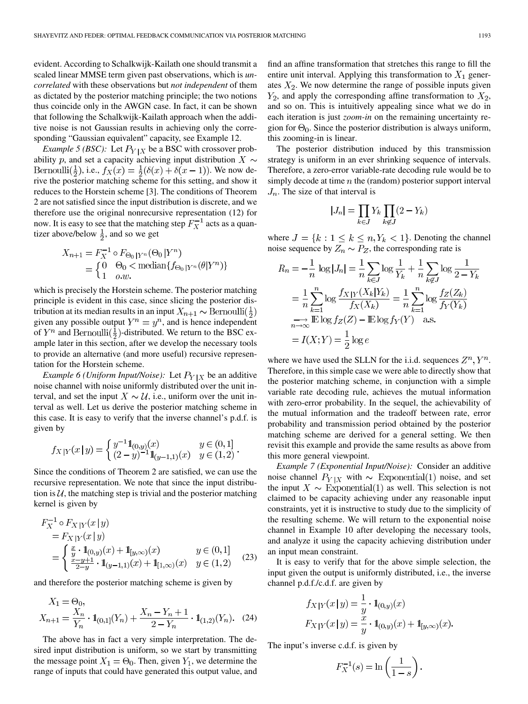evident. According to Schalkwijk-Kailath one should transmit a scaled linear MMSE term given past observations, which is *uncorrelated* with these observations but *not independent* of them as dictated by the posterior matching principle; the two notions thus coincide only in the AWGN case. In fact, it can be shown that following the Schalkwijk-Kailath approach when the additive noise is not Gaussian results in achieving only the corresponding "Gaussian equivalent" capacity, see Example 12.

*Example 5 (BSC):* Let  $P_{Y|X}$  be a BSC with crossover probability p, and set a capacity achieving input distribution  $X \sim$ Bernoulli( $\frac{1}{2}$ ), i.e.,  $f_X(x) = \frac{1}{2}(\delta(x) + \delta(x - 1))$ . We now derive the posterior matching scheme for this setting, and show it reduces to the Horstein scheme [3]. The conditions of Theorem 2 are not satisfied since the input distribution is discrete, and we therefore use the original nonrecursive representation (12) for now. It is easy to see that the matching step  $F_X^{-1}$  acts as a quantizer above/below  $\frac{1}{2}$ , and so we get

$$
X_{n+1} = F_X^{-1} \circ F_{\Theta_0 | Y^n}(\Theta_0 | Y^n)
$$
  
= 
$$
\begin{cases} 0 & \Theta_0 < \text{median} \{ f_{\Theta_0 | Y^n}(\theta | Y^n) \} \\ 1 & o.w. \end{cases}
$$

which is precisely the Horstein scheme. The posterior matching principle is evident in this case, since slicing the posterior distribution at its median results in an input  $X_{n+1} \sim \text{Bernoulli}(\frac{1}{2})$ given any possible output  $Y^n = y^n$ , and is hence independent of  $Y^n$  and Bernoulli $(\frac{1}{2})$ -distributed. We return to the BSC example later in this section, after we develop the necessary tools to provide an alternative (and more useful) recursive representation for the Horstein scheme.

*Example 6 (Uniform Input/Noise):* Let  $P_{Y|X}$  be an additive noise channel with noise uniformly distributed over the unit interval, and set the input  $X \sim \mathcal{U}$ , i.e., uniform over the unit interval as well. Let us derive the posterior matching scheme in this case. It is easy to verify that the inverse channel's p.d.f. is given by

$$
f_{X|Y}(x|y) = \begin{cases} y^{-1} \mathbb{1}_{(0,y)}(x) & y \in (0,1] \\ (2-y)^{-1} \mathbb{1}_{(y-1,1)}(x) & y \in (1,2) \end{cases}.
$$

Since the conditions of Theorem 2 are satisfied, we can use the recursive representation. We note that since the input distribution is  $U$ , the matching step is trivial and the posterior matching kernel is given by

$$
F_X^{-1} \circ F_{X|Y}(x|y)
$$
  
=  $F_{X|Y}(x|y)$   
=  $\begin{cases} \frac{x}{y} \cdot \mathbb{1}_{(0,y)}(x) + \mathbb{1}_{[y,\infty)}(x) & y \in (0,1] \\ \frac{x-y+1}{2-y} \cdot \mathbb{1}_{(y-1,1)}(x) + \mathbb{1}_{[1,\infty)}(x) & y \in (1,2) \end{cases}$  (23)

and therefore the posterior matching scheme is given by

$$
X_1 = \Theta_0,
$$
  
\n
$$
X_{n+1} = \frac{X_n}{Y_n} \cdot \mathbb{1}_{(0,1]}(Y_n) + \frac{X_n - Y_n + 1}{2 - Y_n} \cdot \mathbb{1}_{(1,2)}(Y_n). \quad (24)
$$

The above has in fact a very simple interpretation. The desired input distribution is uniform, so we start by transmitting the message point  $X_1 = \Theta_0$ . Then, given  $Y_1$ , we determine the range of inputs that could have generated this output value, and find an affine transformation that stretches this range to fill the entire unit interval. Applying this transformation to  $X_1$  generates  $X_2$ . We now determine the range of possible inputs given  $Y_2$ , and apply the corresponding affine transformation to  $X_2$ , and so on. This is intuitively appealing since what we do in each iteration is just *zoom-in* on the remaining uncertainty region for  $\Theta_0$ . Since the posterior distribution is always uniform, this zooming-in is linear.

The posterior distribution induced by this transmission strategy is uniform in an ever shrinking sequence of intervals. Therefore, a zero-error variable-rate decoding rule would be to simply decode at time  $n$  the (random) posterior support interval  $J_n$ . The size of that interval is

$$
|J_n| = \prod_{k \in J} Y_k \prod_{k \notin J} (2 - Y_k)
$$

where  $J = \{k : 1 \leq k \leq n, Y_k < 1\}$ . Denoting the channel noise sequence by  $Z_n \sim P_Z$ , the corresponding rate is

$$
R_n = -\frac{1}{n} \log |J_n| = \frac{1}{n} \sum_{k \in J} \log \frac{1}{Y_k} + \frac{1}{n} \sum_{k \in J} \log \frac{1}{2 - Y_k}
$$
  
=  $\frac{1}{n} \sum_{k=1}^n \log \frac{f_{X|Y}(X_k|Y_k)}{f_X(X_k)} = \frac{1}{n} \sum_{k=1}^n \log \frac{f_Z(Z_k)}{f_Y(Y_k)}$   
 $\longrightarrow \text{E} \log f_Z(Z) - \text{E} \log f_Y(Y)$  a.s.  
=  $I(X;Y) = \frac{1}{2} \log e$ 

where we have used the SLLN for the i.i.d. sequences  $Z^n, Y^n$ . Therefore, in this simple case we were able to directly show that the posterior matching scheme, in conjunction with a simple variable rate decoding rule, achieves the mutual information with zero-error probability. In the sequel, the achievability of the mutual information and the tradeoff between rate, error probability and transmission period obtained by the posterior matching scheme are derived for a general setting. We then revisit this example and provide the same results as above from this more general viewpoint.

*Example 7 (Exponential Input/Noise):* Consider an additive noise channel  $P_{Y|X}$  with  $\sim$  Exponential(1) noise, and set the input  $X \sim$  Exponential(1) as well. This selection is not claimed to be capacity achieving under any reasonable input constraints, yet it is instructive to study due to the simplicity of the resulting scheme. We will return to the exponential noise channel in Example 10 after developing the necessary tools, and analyze it using the capacity achieving distribution under an input mean constraint.

It is easy to verify that for the above simple selection, the input given the output is uniformly distributed, i.e., the inverse channel p.d.f./c.d.f. are given by

$$
f_{X|Y}(x|y) = \frac{1}{y} \cdot \mathbb{1}_{(0,y)}(x)
$$

$$
F_{X|Y}(x|y) = \frac{x}{y} \cdot \mathbb{1}_{(0,y)}(x) + \mathbb{1}_{[y,\infty)}(x).
$$

The input's inverse c.d.f. is given by

$$
F_X^{-1}(s) = \ln\left(\frac{1}{1-s}\right).
$$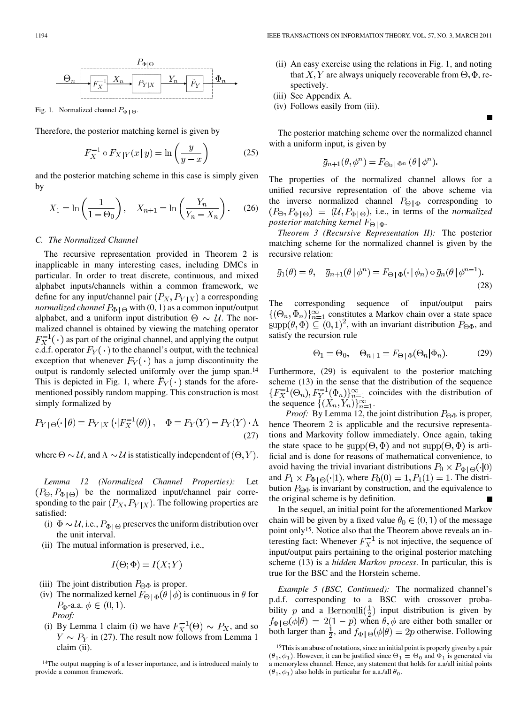

Fig. 1. Normalized channel  $P_{\Phi}$   $\Theta$ .

Therefore, the posterior matching kernel is given by

$$
F_X^{-1} \circ F_{X|Y}(x|y) = \ln\left(\frac{y}{y-x}\right) \tag{25}
$$

and the posterior matching scheme in this case is simply given by

$$
X_1 = \ln\left(\frac{1}{1-\Theta_0}\right), \quad X_{n+1} = \ln\left(\frac{Y_n}{Y_n - X_n}\right).
$$
 (26)

# *C. The Normalized Channel*

The recursive representation provided in Theorem 2 is inapplicable in many interesting cases, including DMCs in particular. In order to treat discrete, continuous, and mixed alphabet inputs/channels within a common framework, we define for any input/channel pair  $(P_X, P_{Y|X})$  a corresponding *normalized channel*  $P_{\Phi}$   $\Theta$  with  $(0, 1)$  as a common input/output alphabet, and a uniform input distribution  $\Theta \sim \mathcal{U}$ . The normalized channel is obtained by viewing the matching operator  $F_X^{-1}(\cdot)$  as part of the original channel, and applying the output c.d.f. operator  $F_Y(\cdot)$  to the channel's output, with the technical exception that whenever  $F_Y(\cdot)$  has a jump discontinuity the output is randomly selected uniformly over the jump span.14 This is depicted in Fig. 1, where  $\tilde{F}_Y(\cdot)$  stands for the aforementioned possibly random mapping. This construction is most simply formalized by

$$
P_{Y|\Theta}(\cdot|\theta) = P_{Y|X}(\cdot|F_X^{-1}(\theta)), \quad \Phi = F_Y(Y) - P_Y(Y) \cdot \Lambda
$$
\n(27)

where  $\Theta \sim \mathcal{U}$ , and  $\Lambda \sim \mathcal{U}$  is statistically independent of  $(\Theta, Y)$ .

*Lemma 12 (Normalized Channel Properties):* Let  $(P_{\Theta}, P_{\Phi | \Theta})$  be the normalized input/channel pair corresponding to the pair  $(P_X, P_{Y|X})$ . The following properties are satisfied:

- (i)  $\Phi \sim \mathcal{U}$ , i.e.,  $P_{\Phi}$  |  $\Theta$  preserves the uniform distribution over the unit interval.
- (ii) The mutual information is preserved, i.e.,

$$
I(\Theta; \Phi) = I(X; Y)
$$

- (iii) The joint distribution  $P_{\Theta \Phi}$  is proper.
- (iv) The normalized kernel  $F_{\Theta} |\Phi(\theta|\phi)$  is continuous in  $\theta$  for  $P_{\Phi}$ -a.a.  $\phi \in (0,1)$ . *Proof:*
- (i) By Lemma 1 claim (i) we have  $F_X^{-1}(\Theta) \sim P_X$ , and so  $Y \sim P_Y$  in (27). The result now follows from Lemma 1 claim (ii).

14The output mapping is of a lesser importance, and is introduced mainly to provide a common framework.

- (ii) An easy exercise using the relations in Fig. 1, and noting that X, Y are always uniquely recoverable from  $\Theta$ ,  $\Phi$ , respectively.
- (iii) See Appendix A.
- (iv) Follows easily from (iii).

The posterior matching scheme over the normalized channel with a uniform input, is given by

$$
\bar{g}_{n+1}(\theta, \phi^n) = F_{\Theta_0 \, | \, \Phi^n}(\theta \, | \, \phi^n).
$$

The properties of the normalized channel allows for a unified recursive representation of the above scheme via the inverse normalized channel  $P_{\Theta | \Phi}$  corresponding to  $(P_{\Theta}, P_{\Phi | \Theta}) = (U, P_{\Phi | \Theta})$ , i.e., in terms of the *normalized posterior matching kernel*  $F_{\Theta}$   $\Phi$ .

*Theorem 3 (Recursive Representation II):* The posterior matching scheme for the normalized channel is given by the recursive relation:

$$
\bar{g}_1(\theta) = \theta, \quad \bar{g}_{n+1}(\theta \mid \phi^n) = F_{\Theta \mid \Phi}(\cdot \mid \phi_n) \circ \bar{g}_n(\theta \mid \phi^{n-1}).
$$
\n(28)

The corresponding sequence of input/output pairs  $\{(\Theta_n, \Phi_n)\}_{n=1}^{\infty}$  constitutes a Markov chain over a state space  $\text{supp}(\theta, \Phi) \subseteq (0, 1)^2$ , with an invariant distribution  $P_{\Theta \Phi}$ , and satisfy the recursion rule

$$
\Theta_1 = \Theta_0, \quad \Theta_{n+1} = F_{\Theta \,|\, \Phi}(\Theta_n | \Phi_n). \tag{29}
$$

Furthermore, (29) is equivalent to the posterior matching scheme (13) in the sense that the distribution of the sequence coincides with the distribution of the sequence  $\{(X_n,Y_n)\}_{n=1}^{\infty}$ .

*Proof:* By Lemma 12, the joint distribution  $P_{\Theta \Phi}$  is proper, hence Theorem 2 is applicable and the recursive representations and Markovity follow immediately. Once again, taking the state space to be supp $(\Theta, \Phi)$  and not supp $(\Theta, \Phi)$  is artificial and is done for reasons of mathematical convenience, to avoid having the trivial invariant distributions  $P_0 \times P_{\Phi | \Theta}(\cdot | 0)$ and  $P_1 \times P_{\Phi | \Theta}(\cdot | 1)$ , where  $P_0(0) = 1, P_1(1) = 1$ . The distribution  $P_{\Theta\Phi}$  is invariant by construction, and the equivalence to the original scheme is by definition.

In the sequel, an initial point for the aforementioned Markov chain will be given by a fixed value  $\theta_0 \in (0,1)$  of the message point only<sup>15</sup>. Notice also that the Theorem above reveals an interesting fact: Whenever  $F_X^{-1}$  is not injective, the sequence of input/output pairs pertaining to the original posterior matching scheme (13) is a *hidden Markov process*. In particular, this is true for the BSC and the Horstein scheme.

*Example 5 (BSC, Continued):* The normalized channel's p.d.f. corresponding to a BSC with crossover probability p and a Bernoulli $(\frac{1}{2})$  input distribution is given by  $f_{\Phi | \Theta}(\phi | \theta) = 2(1-p)$  when  $\theta, \phi$  are either both smaller or both larger than  $\frac{1}{2}$ , and  $f_{\Phi | \Theta}(\phi | \theta) = 2p$  otherwise. Following

<sup>15</sup>This is an abuse of notations, since an initial point is properly given by a pair  $(\theta_1, \phi_1)$ . However, it can be justified since  $\Theta_1 = \Theta_0$  and  $\Phi_1$  is generated via a memoryless channel. Hence, any statement that holds for a.a/all initial points  $(\theta_1, \phi_1)$  also holds in particular for a.a./all  $\theta_0$ .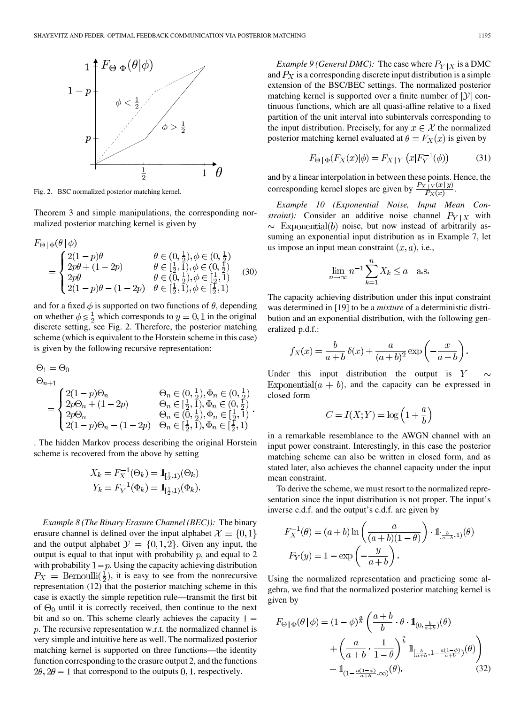

Fig. 2. BSC normalized posterior matching kernel.

se en l

Theorem 3 and simple manipulations, the corresponding normalized posterior matching kernel is given by

$$
F_{\Theta|\Phi}(\theta|\phi)
$$
\n
$$
= \begin{cases} 2(1-p)\theta & \theta \in (0, \frac{1}{2}), \phi \in (0, \frac{1}{2}) \\ 2p\theta + (1-2p) & \theta \in [\frac{1}{2}, 1), \phi \in (0, \frac{1}{2}) \\ 2p\theta & \theta \in (0, \frac{1}{2}), \phi \in [\frac{1}{2}, 1) \\ 2(1-p)\theta - (1-2p) & \theta \in [\frac{1}{2}, 1), \phi \in [\frac{1}{2}, 1) \end{cases}
$$
\n(30)

and for a fixed  $\phi$  is supported on two functions of  $\theta$ , depending on whether  $\phi \leq \frac{1}{2}$  which corresponds to  $y = 0, 1$  in the original discrete setting, see Fig. 2. Therefore, the posterior matching scheme (which is equivalent to the Horstein scheme in this case) is given by the following recursive representation:

$$
\Theta_1 = \Theta_0
$$
  
\n
$$
\Theta_{n+1}
$$
  
\n
$$
= \begin{cases}\n2(1-p)\Theta_n & \Theta_n \in (0, \frac{1}{2}), \Phi_n \in (0, \frac{1}{2}) \\
2p\Theta_n + (1-2p) & \Theta_n \in [\frac{1}{2}, 1), \Phi_n \in (0, \frac{1}{2}) \\
2p\Theta_n & \Theta_n \in (0, \frac{1}{2}), \Phi_n \in [\frac{1}{2}, 1) \\
2(1-p)\Theta_n - (1-2p) & \Theta_n \in [\frac{1}{2}, 1), \Phi_n \in [\frac{1}{2}, 1)\n\end{cases}
$$

. The hidden Markov process describing the original Horstein scheme is recovered from the above by setting

$$
X_k = F_X^{-1}(\Theta_k) = 1_{[\frac{1}{2},1)}(\Theta_k)
$$
  

$$
Y_k = F_Y^{-1}(\Phi_k) = 1_{[\frac{1}{2},1)}(\Phi_k).
$$

*Example 8 (The Binary Erasure Channel (BEC)):* The binary erasure channel is defined over the input alphabet  $\mathcal{X} = \{0, 1\}$ and the output alphabet  $\mathcal{Y} = \{0,1,2\}$ . Given any input, the output is equal to that input with probability  $p$ , and equal to 2 with probability  $1 - p$ . Using the capacity achieving distribution  $P_X = \text{Bernoulli}(\frac{1}{2})$ , it is easy to see from the nonrecursive representation (12) that the posterior matching scheme in this case is exactly the simple repetition rule—transmit the first bit of  $\Theta_0$  until it is correctly received, then continue to the next bit and so on. This scheme clearly achieves the capacity  $1$  $p$ . The recursive representation w.r.t. the normalized channel is very simple and intuitive here as well. The normalized posterior matching kernel is supported on three functions—the identity function corresponding to the erasure output 2, and the functions  $2\theta$ ,  $2\theta$  – 1 that correspond to the outputs 0, 1, respectively.

*Example 9 (General DMC):* The case where  $P_{Y|X}$  is a DMC and  $P_X$  is a corresponding discrete input distribution is a simple extension of the BSC/BEC settings. The normalized posterior matching kernel is supported over a finite number of  $|y|$  continuous functions, which are all quasi-affine relative to a fixed partition of the unit interval into subintervals corresponding to the input distribution. Precisely, for any  $x \in \mathcal{X}$  the normalized posterior matching kernel evaluated at  $\theta = F_X(x)$  is given by

$$
F_{\Theta|\Phi}(F_X(x)|\phi) = F_{X|Y}(x|F_Y^{-1}(\phi))
$$
 (31)

and by a linear interpolation in between these points. Hence, the corresponding kernel slopes are given by  $\frac{P_X|_Y(x|y)}{P_X(x)}$ .

*Example 10 (Exponential Noise, Input Mean Constraint*): Consider an additive noise channel  $P_{Y|X}$  with  $\sim$  Exponential(b) noise, but now instead of arbitrarily assuming an exponential input distribution as in Example 7, let us impose an input mean constraint  $(x, a)$ , i.e.,

$$
\lim_{n \to \infty} n^{-1} \sum_{k=1}^{n} X_k \le a \quad \text{a.s.}
$$

The capacity achieving distribution under this input constraint was determined in [19] to be a *mixture* of a deterministic distribution and an exponential distribution, with the following generalized p.d.f.:

$$
f_X(x) = \frac{b}{a+b} \delta(x) + \frac{a}{(a+b)^2} \exp\left(-\frac{x}{a+b}\right).
$$

Under this input distribution the output is  $Y$ Exponential $(a + b)$ , and the capacity can be expressed in closed form

$$
C = I(X;Y) = \log\left(1 + \frac{a}{b}\right)
$$

in a remarkable resemblance to the AWGN channel with an input power constraint. Interestingly, in this case the posterior matching scheme can also be written in closed form, and as stated later, also achieves the channel capacity under the input mean constraint.

To derive the scheme, we must resort to the normalized representation since the input distribution is not proper. The input's inverse c.d.f. and the output's c.d.f. are given by

$$
F_X^{-1}(\theta) = (a+b)\ln\left(\frac{a}{(a+b)(1-\theta)}\right) \cdot \mathbb{1}_{\left[\frac{b}{a+b},1\right)}(\theta)
$$

$$
F_Y(y) = 1 - \exp\left(-\frac{y}{a+b}\right).
$$

Using the normalized representation and practicing some algebra, we find that the normalized posterior matching kernel is given by

$$
F_{\Theta|\Phi}(\theta|\phi) = (1-\phi)^{\frac{a}{b}} \left(\frac{a+b}{b} \cdot \theta \cdot 1\!\!1_{(0,\frac{b}{a+b})}(\theta) + \left(\frac{a}{a+b} \cdot \frac{1}{1-\theta}\right)^{\frac{a}{b}} 1\!\!1_{\left[\frac{b}{a+b},1-\frac{a(1-\phi)}{a+b}\right)}(\theta) + 1\!\!1_{(1-\frac{a(1-\phi)}{a+b},\infty)}(\theta).
$$
\n(32)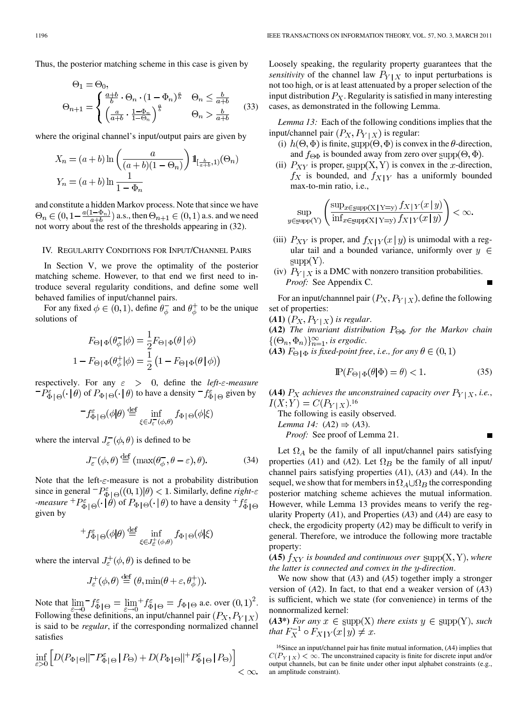Thus, the posterior matching scheme in this case is given by

$$
\Theta_1 = \Theta_0,
$$
\n
$$
\Theta_{n+1} = \begin{cases}\n\frac{a+b}{b} \cdot \Theta_n \cdot (1 - \Phi_n)^{\frac{a}{b}} & \Theta_n \le \frac{b}{a+b} \\
\left(\frac{a}{a+b} \cdot \frac{1 - \Phi_n}{1 - \Theta_n}\right)^{\frac{a}{b}} & \Theta_n > \frac{b}{a+b}\n\end{cases}
$$
\n(33)

where the original channel's input/output pairs are given by

$$
X_n = (a+b)\ln\left(\frac{a}{(a+b)(1-\Theta_n)}\right) \mathbf{1}_{\left[\frac{b}{a+b},1\right)}(\Theta_n)
$$

$$
Y_n = (a+b)\ln\frac{1}{1-\Phi_n}
$$

and constitute a hidden Markov process. Note that since we have  $\Theta_n \in (0, 1 - \frac{a(1 - \Phi_n)}{a + b})$  a.s., then  $\Theta_{n+1} \in (0, 1)$  a.s. and we need not worry about the rest of the thresholds appearing in (32).

## IV. REGULARITY CONDITIONS FOR INPUT/CHANNEL PAIRS

In Section V, we prove the optimality of the posterior matching scheme. However, to that end we first need to introduce several regularity conditions, and define some well behaved families of input/channel pairs.

For any fixed  $\phi \in (0, 1)$ , define  $\theta_{\phi}^-$  and  $\theta_{\phi}^+$  to be the unique solutions of

$$
F_{\Theta|\Phi}(\theta_{\phi}^{-}|\phi) = \frac{1}{2}F_{\Theta|\Phi}(\theta|\phi)
$$

$$
1 - F_{\Theta|\Phi}(\theta_{\phi}^{+}|\phi) = \frac{1}{2}(1 - F_{\Theta|\Phi}(\theta|\phi))
$$

respectively. For any  $\varepsilon > 0$ , define the *left-* $\varepsilon$ *-measure*  $P_{\Phi|\Theta}(\cdot | \theta)$  of  $P_{\Phi|\Theta}(\cdot | \theta)$  to have a density  $f_{\Phi|\Theta}^{\varepsilon}$  given by

$$
{}^-\!f^{\varepsilon}_{\Phi|\Theta}(\phi|\theta) \stackrel{\text{def}}{=} \inf_{\xi \in J^{\varepsilon}_{\varepsilon}(\phi,\theta)} f_{\Phi|\Theta}(\phi|\xi)
$$

where the interval  $J_{\varepsilon}(\phi, \theta)$  is defined to be

$$
J_{\varepsilon}^{-}(\phi,\theta) \stackrel{\text{def}}{=} (\max(\theta_{\phi}^{-},\theta-\varepsilon),\theta). \tag{34}
$$

Note that the left- $\varepsilon$ -measure is not a probability distribution since in general  $P_{\Phi}^{\varepsilon}(\theta,1)|\theta) < 1$ . Similarly, define *right*- $\varepsilon$ *-measure*  ${}^+P_{\Phi|\Theta}^{\varepsilon}(\cdot|\theta)$  of  $P_{\Phi|\Theta}(\cdot|\theta)$  to have a density  ${}^+f_{\Phi|\Theta}^{\varepsilon}$ given by

$$
{}^+f^{\varepsilon}_{\Phi|\Theta}(\phi|\theta) \stackrel{\text{def}}{=} \inf_{\xi \in J^+_{\varepsilon}(\phi,\theta)} f_{\Phi|\Theta}(\phi|\xi)
$$

where the interval  $J_{\varepsilon}^{+}(\phi,\theta)$  is defined to be

$$
J_{\varepsilon}^{+}(\phi,\theta) \stackrel{\text{def}}{=} (\theta,\min(\theta+\varepsilon,\theta_{\phi}^{+})).
$$

Note that  $\lim_{\epsilon \to 0} f_{\Phi(\epsilon)}^{\epsilon} = \lim_{\epsilon \to 0} f_{\Phi(\epsilon)}^{\epsilon} = f_{\Phi(\epsilon)}^{\epsilon}$  a.e. over  $(0,1)^{2}$ . Following these definitions, an input/channel pair is said to be *regular*, if the corresponding normalized channel satisfies

$$
\inf_{\varepsilon>0} \left[ D(P_{\Phi|\Theta}||^{-}P_{\Phi|\Theta}^{\varepsilon} | P_{\Theta}) + D(P_{\Phi|\Theta}||^{+}P_{\Phi|\Theta}^{\varepsilon} | P_{\Theta}) \right] < \infty.
$$

Loosely speaking, the regularity property guarantees that the *sensitivity* of the channel law  $P_{Y|X}$  to input perturbations is not too high, or is at least attenuated by a proper selection of the input distribution  $P_X$ . Regularity is satisfied in many interesting cases, as demonstrated in the following Lemma.

*Lemma 13:* Each of the following conditions implies that the input/channel pair  $(P_X, P_{Y|X})$  is regular:

- (i)  $h(\Theta, \Phi)$  is finite, supp $(\Theta, \Phi)$  is convex in the  $\theta$ -direction, and  $f_{\Theta \Phi}$  is bounded away from zero over  $\text{supp}(\Theta, \Phi)$ .
- (ii)  $P_{XY}$  is proper, supp $(X, Y)$  is convex in the x-direction,  $f_X$  is bounded, and  $f_{X|Y}$  has a uniformly bounded max-to-min ratio, i.e.,

$$
\sup_{y \in \underline{\text{supp}}(Y)} \left( \frac{\sup_{x \in \underline{\text{supp}}(X | Y = y)} f_{X | Y}(x | y)}{\inf_{x \in \underline{\text{supp}}(X | Y = y)} f_{X | Y}(x | y)} \right) < \infty.
$$

- (iii)  $P_{XY}$  is proper, and  $f_{X|Y}(x|y)$  is unimodal with a regular tail and a bounded variance, uniformly over  $y \in$  $\text{supp}(Y)$ .
- (iv)  $P_{Y|X}$  is a DMC with nonzero transition probabilities. *Proof:* See Appendix C.

For an input/channnel pair  $(P_X, P_{Y|X})$ , define the following set of properties:

**(A1)**  $(P_X, P_{Y|X})$  is regular.

**(A2)** *The invariant distribution*  $P_{\Theta \Phi}$  *for the Markov chain*  $\{(\Theta_n, \Phi_n)\}_{n=1}^{\infty}$ , is ergodic.

**(A3)**  $F_{\Theta | \Phi}$  is fixed-point free, *i.e., for any*  $\theta \in (0,1)$ 

$$
\mathbb{P}(F_{\Theta \mid \Phi}(\theta | \Phi) = \theta) < 1. \tag{35}
$$

**(A4)**  $P_X$  achieves the unconstrained capacity over  $P_{Y|X}$ , i.e.,  $I(X;Y) = C(P_{Y|X})^{16}$ 

The following is easily observed.

*Lemma 14:*  $(A2) \Rightarrow (A3)$ .

*Proof:* See proof of Lemma 21.

Let  $\Omega_A$  be the family of all input/channel pairs satisfying properties (A1) and (A2). Let  $\Omega_B$  be the family of all input/ channel pairs satisfying properties (*A*1), (*A*3) and (*A*4). In the sequel, we show that for members in  $\Omega_A \cup \Omega_B$  the corresponding posterior matching scheme achieves the mutual information. However, while Lemma 13 provides means to verify the regularity Property (*A*1), and Properties (*A*3) and (*A*4) are easy to check, the ergodicity property (*A*2) may be difficult to verify in general. Therefore, we introduce the following more tractable property:

**(A5)**  $f_{XY}$  is bounded and continuous over  $\text{supp}(X, Y)$ , where *the latter is connected and convex in the y-direction.* 

We now show that (*A*3) and (*A*5) together imply a stronger version of (*A*2). In fact, to that end a weaker version of (*A*3) is sufficient, which we state (for convenience) in terms of the nonnormalized kernel:

 $(A3^*)$  *For any*  $x \in \text{supp}(X)$  *there exists*  $y \in \text{supp}(Y)$ *, such that*  $F_X^{-1} \circ F_{X|Y}(x|y) \neq x$ .

<sup>16</sup>Since an input/channel pair has finite mutual information, (*A*4) implies that  $C(P_{Y|X}) < \infty$ . The unconstrained capacity is finite for discrete input and/or output channels, but can be finite under other input alphabet constraints (e.g., an amplitude constraint).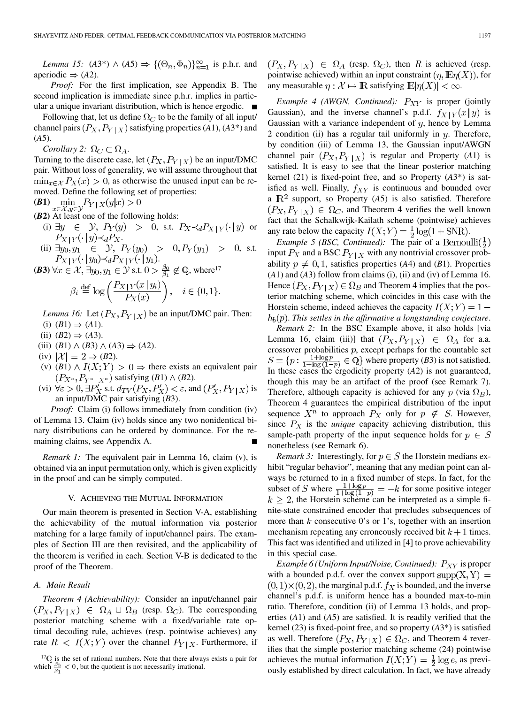*Lemma 15:* (A3\*)  $\land$  (A5)  $\Rightarrow$   $\{(\Theta_n, \Phi_n)\}_{n=1}^{\infty}$  is p.h.r. and aperiodic  $\Rightarrow$  (*A*2).

*Proof:* For the first implication, see Appendix B. The second implication is immediate since p.h.r. implies in particular a unique invariant distribution, which is hence ergodic.  $\blacksquare$ 

Following that, let us define  $\Omega_C$  to be the family of all input/ channel pairs  $(P_X, P_{Y|X})$  satisfying properties (*A*1), (*A*3\*) and (*A*5).

*Corollary 2:*  $\Omega_C \subset \Omega_A$ .

Turning to the discrete case, let  $(P_X, P_{Y|X})$  be an input/DMC pair. Without loss of generality, we will assume throughout that  $\min_{x \in \mathcal{X}} P_X(x) > 0$ , as otherwise the unused input can be removed. Define the following set of properties:

**(***B***1)**  $\min_{x \in \mathcal{X}, y \in \mathcal{Y}} P_Y | x(y|x) > 0$ 

- **(***B***2)** At least one of the following holds:
	- (i)  $\exists y \in \mathcal{Y}, P_Y(y) > 0$ , s.t.  $P_X \prec_d P_{X|Y}(\cdot | y)$  or  $P_{X|Y}(\cdot | y) \prec_d P_X.$
- $\mbox{(ii)} \ \exists y_0, y_1 \quad \in \quad \mathcal{Y}, \ P_Y(y_0) \quad > \quad 0, P_Y(y_1) \quad > \quad 0, \ \ \mbox{s.t.}$ .

**(B3)**  $\forall x \in \mathcal{X}, \exists y_0, y_1 \in \mathcal{Y}$  s.t.  $0 > \frac{\beta_0}{\beta_0} \notin \mathbb{Q}$ , where<sup>17</sup>

$$
\beta_i \stackrel{\text{def}}{=} \log \left( \frac{P_{X|Y}(x \mid y_i)}{P_X(x)} \right), \quad i \in \{0, 1\}
$$

*Lemma 16:* Let  $(P_X, P_{Y|X})$  be an input/DMC pair. Then:  $(i)$   $(B1) \Rightarrow (A1)$ .

 $(ii)$   $(B2) \Rightarrow (A3)$ .

- (iii)  $(B1) \wedge (B3) \wedge (A3) \Rightarrow (A2)$ .
- (iv)  $|\mathcal{X}| = 2 \Rightarrow (B2)$ .
- (v) (*B*1)  $\land$   $I(X;Y) > 0 \Rightarrow$  there exists an equivalent pair  $(P_{X^*}, P_{Y^*|X^*})$  satisfying (*B*1)  $\wedge$  (*B*2).
- (vi)  $\forall \varepsilon > 0, \exists P'_X$  s.t.  $d_{TV}(P_X, P'_X) < \varepsilon$ , and  $(P'_X, P_{Y|X})$  is an input/DMC pair satisfying (*B*3).

*Proof:* Claim (i) follows immediately from condition (iv) of Lemma 13. Claim (iv) holds since any two nonidentical binary distributions can be ordered by dominance. For the remaining claims, see Appendix A.

*Remark 1:* The equivalent pair in Lemma 16, claim (v), is obtained via an input permutation only, which is given explicitly in the proof and can be simply computed.

## V. ACHIEVING THE MUTUAL INFORMATION

Our main theorem is presented in Section V-A, establishing the achievability of the mutual information via posterior matching for a large family of input/channel pairs. The examples of Section III are then revisited, and the applicability of the theorem is verified in each. Section V-B is dedicated to the proof of the Theorem.

## *A. Main Result*

*Theorem 4 (Achievability):* Consider an input/channel pair  $(P_X, P_{Y|X}) \in \Omega_A \cup \Omega_B$  (resp.  $\Omega_C$ ). The corresponding posterior matching scheme with a fixed/variable rate optimal decoding rule, achieves (resp. pointwise achieves) any rate  $R < I(X;Y)$  over the channel  $P_{Y|X}$ . Furthermore, if

 $17Q$  is the set of rational numbers. Note that there always exists a pair for which  $\frac{\beta_0}{\beta_1} < 0$ , but the quotient is not necessarily irrational.

 $(P_X, P_{Y|X}) \in \Omega_A$  (resp.  $\Omega_C$ ), then R is achieved (resp. pointwise achieved) within an input constraint  $(\eta, \mathbb{E}\eta(X))$ , for any measurable  $\eta : \mathcal{X} \mapsto \mathbb{R}$  satisfying  $\mathbb{E}|\eta(X)| < \infty$ .

*Example 4 (AWGN, Continued): P<sub>XY</sub> is proper (jointly* Gaussian), and the inverse channel's p.d.f.  $f_{X|Y}(x|y)$  is Gaussian with a variance independent of  $y$ , hence by Lemma 2 condition (ii) has a regular tail uniformly in  $y$ . Therefore, by condition (iii) of Lemma 13, the Gaussian input/AWGN channel pair  $(P_X, P_{Y|X})$  is regular and Property (A1) is satisfied. It is easy to see that the linear posterior matching kernel (21) is fixed-point free, and so Property (*A*3\*) is satisfied as well. Finally,  $f_{XY}$  is continuous and bounded over a  $\mathbb{R}^2$  support, so Property (A5) is also satisfied. Therefore  $(P_X, P_{Y|X}) \in \Omega_C$ , and Theorem 4 verifies the well known fact that the Schalkwijk-Kailath scheme (pointwise) achieves any rate below the capacity  $I(X;Y) = \frac{1}{2} \log(1 + \text{SNR}).$ 

*Example 5 (BSC, Continued):* The pair of a Bernoulli $(\frac{1}{2})$ input  $P_X$  and a BSC  $P_{Y|X}$  with any nontrivial crossover probability  $p \neq 0, 1$ , satisfies properties (A4) and (B1). Properties (*A*1) and (*A*3) follow from claims (i), (ii) and (iv) of Lemma 16. Hence  $(P_X, P_{Y|X}) \in \Omega_B$  and Theorem 4 implies that the posterior matching scheme, which coincides in this case with the Horstein scheme, indeed achieves the capacity  $I(X;Y) = 1$  $h_b(p)$ . This settles in the affirmative a longstanding conjecture.

*Remark 2:* In the BSC Example above, it also holds [via Lemma 16, claim (iii)] that  $(P_X, P_{Y|X}) \in \Omega_A$  for a.a. crossover probabilities  $p$ , except perhaps for the countable set where property (*B*3) is not satisfied. In these cases the ergodicity property (*A*2) is not guaranteed, though this may be an artifact of the proof (see Remark 7). Therefore, although capacity is achieved for any  $p$  (via  $\Omega_B$ ), Theorem 4 guarantees the empirical distribution of the input sequence  $X^n$  to approach  $P_X$  only for  $p \notin S$ . However, since  $P_X$  is the *unique* capacity achieving distribution, this sample-path property of the input sequence holds for  $p \in S$ nonetheless (see Remark 6).

*Remark 3:* Interestingly, for  $p \in S$  the Horstein medians exhibit "regular behavior", meaning that any median point can always be returned to in a fixed number of steps. In fact, for the subset of S where  $\frac{1 + \log p}{1 + \log(1-p)} = -k$  for some positive integer , the Horstein scheme can be interpreted as a simple finite-state constrained encoder that precludes subsequences of more than  $k$  consecutive 0's or 1's, together with an insertion mechanism repeating any erroneously received bit  $k+1$  times. This fact was identified and utilized in [4] to prove achievability in this special case.

*Example 6 (Uniform Input/Noise, Continued):*  $P_{XY}$  is proper with a bounded p.d.f. over the convex support  $\text{supp}(X, Y) =$  $(0, 1) \times (0, 2)$ , the marginal p.d.f.  $f_X$  is bounded, and the inverse channel's p.d.f. is uniform hence has a bounded max-to-min ratio. Therefore, condition (ii) of Lemma 13 holds, and properties (*A*1) and (*A*5) are satisfied. It is readily verified that the kernel (23) is fixed-point free, and so property (*A*3\*) is satisfied as well. Therefore  $(P_X, P_{Y|X}) \in \Omega_C$ , and Theorem 4 reverifies that the simple posterior matching scheme (24) pointwise achieves the mutual information  $I(X;Y) = \frac{1}{2} \log e$ , as previously established by direct calculation. In fact, we have already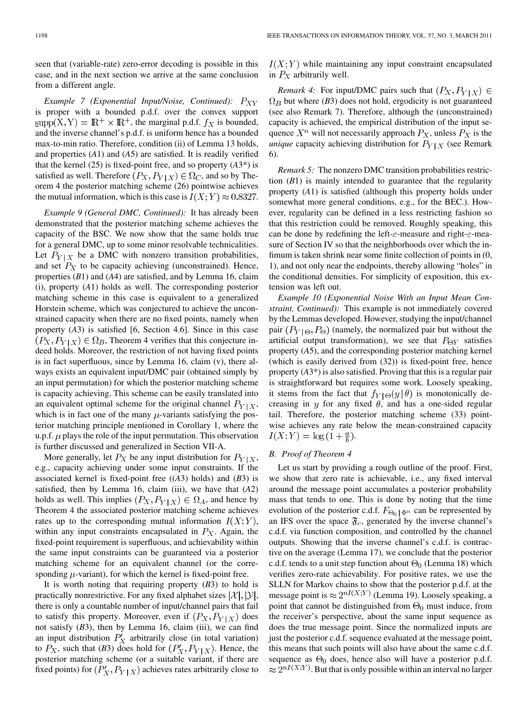seen that (variable-rate) zero-error decoding is possible in this case, and in the next section we arrive at the same conclusion from a different angle.

*Example 7 (Exponential Input/Noise, Continued):* is proper with a bounded p.d.f. over the convex support  $\text{supp}(X, Y) = \mathbb{R}^+ \times \mathbb{R}^+$ , the marginal p.d.f.  $f_X$  is bounded, and the inverse channel's p.d.f. is uniform hence has a bounded max-to-min ratio. Therefore, condition (ii) of Lemma 13 holds, and properties (*A*1) and (*A*5) are satisfied. It is readily verified that the kernel (25) is fixed-point free, and so property (*A*3\*) is satisfied as well. Therefore  $(P_X, P_{Y|X}) \in \Omega_C$ , and so by Theorem 4 the posterior matching scheme (26) pointwise achieves the mutual information, which is this case is  $I(X;Y) \approx 0.8327$ .

*Example 9 (General DMC, Continued):* It has already been demonstrated that the posterior matching scheme achieves the capacity of the BSC. We now show that the same holds true for a general DMC, up to some minor resolvable technicalities. Let  $P_{Y|X}$  be a DMC with nonzero transition probabilities, and set  $P_X$  to be capacity achieving (unconstrained). Hence, properties (*B*1) and (*A*4) are satisfied, and by Lemma 16, claim (i), property (*A*1) holds as well. The corresponding posterior matching scheme in this case is equivalent to a generalized Horstein scheme, which was conjectured to achieve the unconstrained capacity when there are no fixed points, namely when property (*A*3) is satisfied [6, Section 4.6]. Since in this case  $(P_X, P_{Y|X}) \in \Omega_B$ , Theorem 4 verifies that this conjecture indeed holds. Moreover, the restriction of not having fixed points is in fact superfluous, since by Lemma 16, claim (v), there always exists an equivalent input/DMC pair (obtained simply by an input permutation) for which the posterior matching scheme is capacity achieving. This scheme can be easily translated into an equivalent optimal scheme for the original channel  $P_{Y|X}$ , which is in fact one of the many  $\mu$ -variants satisfying the posterior matching principle mentioned in Corollary 1, where the u.p.f.  $\mu$  plays the role of the input permutation. This observation is further discussed and generalized in Section VII-A.

More generally, let  $P_X$  be any input distribution for  $P_{Y|X}$ , e.g., capacity achieving under some input constraints. If the associated kernel is fixed-point free ((*A*3) holds) and (*B*3) is satisfied, then by Lemma 16, claim (iii), we have that (*A*2) holds as well. This implies  $(P_X, P_{Y|X}) \in \Omega_A$ , and hence by Theorem 4 the associated posterior matching scheme achieves rates up to the corresponding mutual information  $I(X;Y)$ , within any input constraints encapsulated in  $P_X$ . Again, the fixed-point requirement is superfluous, and achievability within the same input constraints can be guaranteed via a posterior matching scheme for an equivalent channel (or the corresponding  $\mu$ -variant), for which the kernel is fixed-point free.

It is worth noting that requiring property (*B*3) to hold is practically nonrestrictive. For any fixed alphabet sizes  $|\mathcal{X}|, |\mathcal{Y}|$ , there is only a countable number of input/channel pairs that fail to satisfy this property. Moreover, even if  $(P_X, P_{Y|X})$  does not satisfy (*B*3), then by Lemma 16, claim (iii), we can find an input distribution  $P'_X$  arbitrarily close (in total variation) to  $P_X$ , such that (*B*3) does hold for  $(P'_X, P_{Y|X})$ . Hence, the posterior matching scheme (or a suitable variant, if there are fixed points) for  $(P'_X, P_{Y|X})$  achieves rates arbitrarily close to  $I(X;Y)$  while maintaining any input constraint encapsulated in  $P_X$  arbitrarily well.

*Remark 4:* For input/DMC pairs such that  $(P_X, P_{Y|X}) \in$  $\Omega_B$  but where (*B*3) does not hold, ergodicity is not guaranteed (see also Remark 7). Therefore, although the (unconstrained) capacity is achieved, the empirical distribution of the input sequence  $X^n$  will not necessarily approach  $P_X$ , unless  $P_X$  is the *unique* capacity achieving distribution for  $P_{Y|X}$  (see Remark 6).

*Remark 5:* The nonzero DMC transition probabilities restriction (*B*1) is mainly intended to guarantee that the regularity property (*A*1) is satisfied (although this property holds under somewhat more general conditions, e.g., for the BEC.). However, regularity can be defined in a less restricting fashion so that this restriction could be removed. Roughly speaking, this can be done by redefining the left- $\varepsilon$ -measure and right- $\varepsilon$ -measure of Section IV so that the neighborhoods over which the infimum is taken shrink near some finite collection of points in (0, 1), and not only near the endpoints, thereby allowing "holes" in the conditional densities. For simplicity of exposition, this extension was left out.

*Example 10 (Exponential Noise With an Input Mean Constraint, Continued):* This example is not immediately covered by the Lemmas developed. However, studying the input/channel pair  $(P_{Y|\Theta}, P_{\Theta})$  (namely, the normalized pair but without the artificial output transformation), we see that  $P_{\Theta Y}$  satisfies property (*A*5), and the corresponding posterior matching kernel (which is easily derived from (32)) is fixed-point free, hence property (*A*3\*) is also satisfied. Proving that this is a regular pair is straightforward but requires some work. Loosely speaking, it stems from the fact that  $f_{Y | \Theta}(y | \theta)$  is monotonically decreasing in y for any fixed  $\theta$ , and has a one-sided regular tail. Therefore, the posterior matching scheme (33) pointwise achieves any rate below the mean-constrained capacity  $I(X;Y) = \log(1 + \frac{a}{b}).$ 

# *B. Proof of Theorem 4*

Let us start by providing a rough outline of the proof. First, we show that zero rate is achievable, i.e., any fixed interval around the message point accumulates a posterior probability mass that tends to one. This is done by noting that the time evolution of the posterior c.d.f.  $F_{\Theta_0 | \Phi^n}$  can be represented by an IFS over the space  $\mathfrak{F}_c$ , generated by the inverse channel's c.d.f. via function composition, and controlled by the channel outputs. Showing that the inverse channel's c.d.f. is contractive on the average (Lemma 17), we conclude that the posterior c.d.f. tends to a unit step function about  $\Theta_0$  (Lemma 18) which verifies zero-rate achievability. For positive rates, we use the SLLN for Markov chains to show that the posterior p.d.f. at the message point is  $\approx 2^{nI(X;Y)}$  (Lemma 19). Loosely speaking, a point that cannot be distinguished from  $\Theta_0$  must induce, from the receiver's perspective, about the same input sequence as does the true message point. Since the normalized inputs are just the posterior c.d.f. sequence evaluated at the message point, this means that such points will also have about the same c.d.f. sequence as  $\Theta_0$  does, hence also will have a posterior p.d.f.  $\approx 2^{nI(X;Y)}$ . But that is only possible within an interval no larger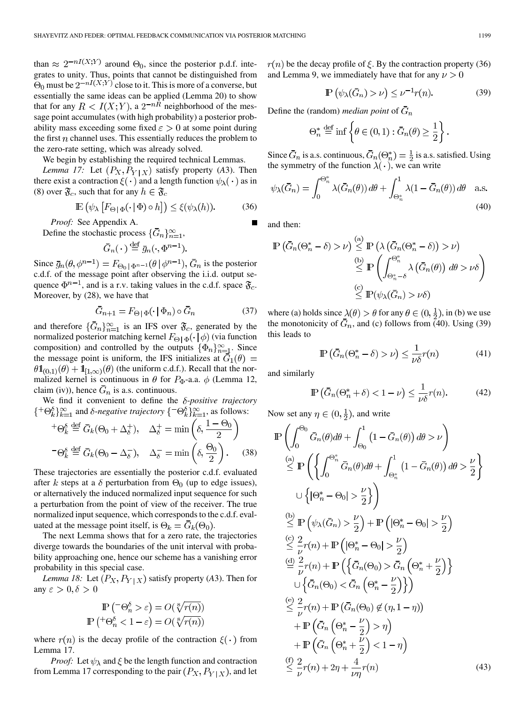than  $\approx 2^{-nI(X;Y)}$  around  $\Theta_0$ , since the posterior p.d.f. integrates to unity. Thus, points that cannot be distinguished from  $\Theta_0$  must be  $2^{-nI(X;Y)}$  close to it. This is more of a converse, but essentially the same ideas can be applied (Lemma 20) to show that for any  $R < I(X;Y)$ , a  $2^{-nR}$  neighborhood of the message point accumulates (with high probability) a posterior probability mass exceeding some fixed  $\varepsilon > 0$  at some point during the first  $n$  channel uses. This essentially reduces the problem to the zero-rate setting, which was already solved.

We begin by establishing the required technical Lemmas.

*Lemma 17:* Let  $(P_X, P_{Y|X})$  satisfy property (A3). Then there exist a contraction  $\xi(\cdot)$  and a length function  $\psi_{\lambda}(\cdot)$  as in (8) over  $\mathfrak{F}_c$ , such that for any  $h \in \mathfrak{F}_c$ 

$$
\mathbb{E}\left(\psi_{\lambda}\left[F_{\Theta\,|\,\Phi}(\cdot\,|\,\Phi)\circ h\right]\right) \leq \xi(\psi_{\lambda}(h)).\tag{36}
$$

*Proof:* See Appendix A.

Define the stochastic process  $\{\bar{G}_n\}_{n=1}^{\infty}$ ,

$$
\bar{G}_n(\,\cdot\,)\stackrel{\text{def}}{=} \bar{g}_n(\cdot,\Phi^{n-1}).
$$

Since  $\bar{g}_n(\theta, \phi^{n-1}) = F_{\Theta_0 + \Phi^{n-1}}(\theta | \phi^{n-1}), G_n$  is the posterior c.d.f. of the message point after observing the i.i.d. output sequence  $\Phi^{n-1}$ , and is a r.v. taking values in the c.d.f. space  $\mathfrak{F}_c$ . Moreover, by (28), we have that

$$
\bar{G}_{n+1} = F_{\Theta|\Phi}(\cdot | \Phi_n) \circ \bar{G}_n \tag{37}
$$

and therefore  $\{\bar{G}_n\}_{n=1}^{\infty}$  is an IFS over  $\mathfrak{F}_c$ , generated by the normalized posterior matching kernel  $F_{\Theta | \Phi}(\cdot | \phi)$  (via function composition) and controlled by the outputs  $\{\Phi_n\}_{n=1}^{\infty}$ . Since the message point is uniform, the IFS initializes at  $G_1(\theta)$  =  $\theta \mathbf{1}_{(0,1)}(\theta) + \mathbf{1}_{[1,\infty)}(\theta)$  (the uniform c.d.f.). Recall that the normalized kernel is continuous in  $\theta$  for  $P_{\Phi}$ -a.a.  $\phi$  (Lemma 12, claim (iv)), hence  $\bar{G}_n$  is a.s. continuous.

We find it convenient to define the  $\delta$ -positive trajectory  $\{\Theta_k^{\delta}\}_{k=1}^{\infty}$  and  $\delta$ -negative trajectory  $\{\Theta_k^{\delta}\}_{k=1}^{\infty}$ , as follows:

$$
{}^{+}\Theta_{k}^{\delta} \stackrel{\text{def}}{=} \bar{G}_{k}(\Theta_{0} + \Delta_{\delta}^{+}), \quad \Delta_{\delta}^{+} = \min\left(\delta, \frac{1-\Theta_{0}}{2}\right)
$$

$$
{}^{-}\Theta_{k}^{\delta} \stackrel{\text{def}}{=} \bar{G}_{k}(\Theta_{0} - \Delta_{\delta}^{-}), \quad \Delta_{\delta}^{-} = \min\left(\delta, \frac{\Theta_{0}}{2}\right). \tag{38}
$$

These trajectories are essentially the posterior c.d.f. evaluated after k steps at a  $\delta$  perturbation from  $\Theta_0$  (up to edge issues), or alternatively the induced normalized input sequence for such a perturbation from the point of view of the receiver. The true normalized input sequence, which corresponds to the c.d.f. evaluated at the message point itself, is  $\Theta_k = G_k(\Theta_0)$ .

The next Lemma shows that for a zero rate, the trajectories diverge towards the boundaries of the unit interval with probability approaching one, hence our scheme has a vanishing error probability in this special case.

*Lemma 18:* Let  $(P_X, P_{Y|X})$  satisfy property (A3). Then for any  $\varepsilon > 0, \delta > 0$ 

$$
\mathbb{P}\left(\big(\{\theta_n^{\delta} > \varepsilon\right) = O\left(\sqrt[8]{r(n)}\right)\right)
$$
\n
$$
\mathbb{P}\left(\big(\{\theta_n^{\delta} < 1 - \varepsilon\right) = O\left(\sqrt[8]{r(n)}\right)\right)
$$

where  $r(n)$  is the decay profile of the contraction  $\xi(\cdot)$  from Lemma 17.

*Proof:* Let  $\psi_{\lambda}$  and  $\xi$  be the length function and contraction from Lemma 17 corresponding to the pair  $(P_X, P_{Y|X})$ , and let  $r(n)$  be the decay profile of  $\xi$ . By the contraction property (36) and Lemma 9, we immediately have that for any  $\nu > 0$ 

$$
\mathbb{P}\left(\psi_{\lambda}(\bar{G}_n) > \nu\right) \leq \nu^{-1}r(n). \tag{39}
$$

Define the (random) *median point* of  $\overline{G}_n$ 

$$
\Theta_n^* \stackrel{\text{def}}{=} \inf \left\{ \theta \in (0,1) : \overline{G}_n(\theta) \ge \frac{1}{2} \right\}.
$$

Since  $\bar{G}_n$  is a.s. continuous,  $\bar{G}_n(\Theta_n^*) = \frac{1}{2}$  is a.s. satisfied. Using the symmetry of the function  $\lambda(\cdot)$ , we can write

$$
\psi_{\lambda}(\bar{G}_n) = \int_0^{\Theta_n^*} \lambda(\bar{G}_n(\theta)) d\theta + \int_{\Theta_n^*}^1 \lambda(1 - \bar{G}_n(\theta)) d\theta \quad \text{a.s.}
$$
\n(40)

and then:

$$
\mathbb{P}\left(\bar{G}_n(\Theta_n^* - \delta) > \nu\right) \stackrel{\text{(a)}}{\leq} \mathbb{P}\left(\lambda\left(\bar{G}_n(\Theta_n^* - \delta)\right) > \nu\right)
$$

$$
\stackrel{\text{(b)}}{\leq} \mathbb{P}\left(\int_{\Theta_n^* - \delta}^{\Theta_n^*} \lambda\left(\bar{G}_n(\theta)\right) d\theta > \nu\delta\right)
$$

$$
\stackrel{\text{(c)}}{\leq} \mathbb{P}(\psi_\lambda(\bar{G}_n) > \nu\delta)
$$

where (a) holds since  $\lambda(\theta) > \theta$  for any  $\theta \in (0, \frac{1}{2})$ , in (b) we use the monotonicity of  $\bar{G}_n$ , and (c) follows from (40). Using (39) this leads to

$$
\mathbb{P}\left(\bar{G}_n(\Theta_n^* - \delta) > \nu\right) \le \frac{1}{\nu\delta}r(n) \tag{41}
$$

and similarly

$$
\mathbb{P}\left(\bar{G}_n(\Theta_n^* + \delta) < 1 - \nu\right) \le \frac{1}{\nu\delta}r(n). \tag{42}
$$

Now set any  $\eta \in (0, \frac{1}{2})$ , and write

$$
\mathbb{P}\left(\int_{0}^{\Theta_{0}}\bar{G}_{n}(\theta)d\theta+\int_{\Theta_{0}}^{1}\left(1-\bar{G}_{n}(\theta)\right)d\theta>\nu\right)
$$
\n
$$
\stackrel{(a)}{\leq}\mathbb{P}\left(\left\{\int_{0}^{\Theta_{n}^{*}}\bar{G}_{n}(\theta)d\theta+\int_{\Theta_{n}^{*}}^{1}\left(1-\bar{G}_{n}(\theta)\right)d\theta>\frac{\nu}{2}\right\}
$$
\n
$$
\cup\left\{\left|\Theta_{n}^{*}-\Theta_{0}\right|>\frac{\nu}{2}\right\}
$$
\n
$$
\stackrel{(b)}{\leq}\mathbb{P}\left(\psi_{\lambda}(\bar{G}_{n})>\frac{\nu}{2}\right)+\mathbb{P}\left(\left|\Theta_{n}^{*}-\Theta_{0}\right|>\frac{\nu}{2}\right)
$$
\n
$$
\stackrel{(c)}{\leq}\frac{2}{\nu}r(n)+\mathbb{P}\left(\left|\Theta_{n}^{*}-\Theta_{0}\right|>\frac{\nu}{2}\right)
$$
\n
$$
\stackrel{(d)}{=} \frac{2}{\nu}r(n)+\mathbb{P}\left(\left\{\bar{G}_{n}(\Theta_{0})>\bar{G}_{n}\left(\Theta_{n}^{*}+\frac{\nu}{2}\right)\right\}
$$
\n
$$
\cup\left\{\bar{G}_{n}(\Theta_{0})<\bar{G}_{n}\left(\Theta_{n}^{*}-\frac{\nu}{2}\right)\right\}\right)
$$
\n
$$
\stackrel{(e)}{\leq}\frac{2}{\nu}r(n)+\mathbb{P}\left(\bar{G}_{n}(\Theta_{0})\notin(\eta,1-\eta)\right)
$$
\n
$$
+\mathbb{P}\left(\bar{G}_{n}\left(\Theta_{n}^{*}-\frac{\nu}{2}\right)>\eta\right)
$$
\n
$$
+\mathbb{P}\left(\bar{G}_{n}\left(\Theta_{n}^{*}+\frac{\nu}{2}\right)<1-\eta\right)
$$
\n
$$
\stackrel{(f)}{\leq}\frac{2}{\nu}r(n)+2\eta+\frac{4}{\nu\eta}r(n)\tag{43}
$$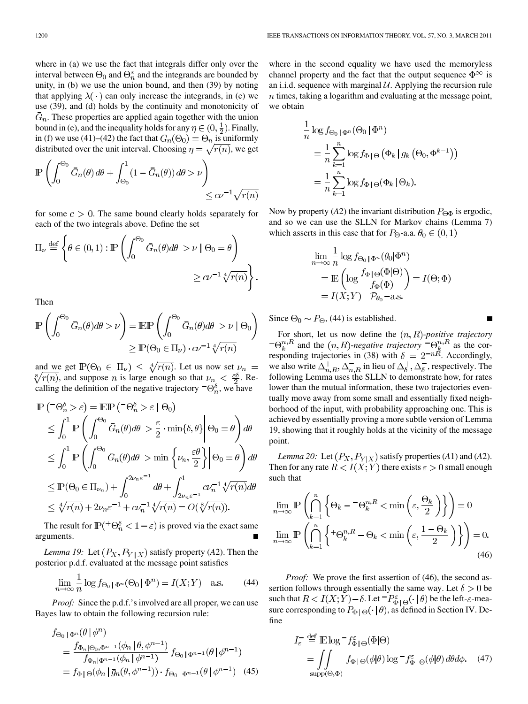where in (a) we use the fact that integrals differ only over the interval between  $\Theta_0$  and  $\Theta_n^*$  and the integrands are bounded by unity, in (b) we use the union bound, and then (39) by noting that applying  $\lambda(\cdot)$  can only increase the integrands, in (c) we use (39), and (d) holds by the continuity and monotonicity of  $\bar{G}_n$ . These properties are applied again together with the union bound in (e), and the inequality holds for any  $\eta \in (0, \frac{1}{2})$ . Finally, in (f) we use (41)–(42) the fact that  $\bar{G}_n(\Theta_0) = \Theta_n$  is uniformly distributed over the unit interval. Choosing  $\eta = \sqrt{r(n)}$ , we get

$$
\mathbb{P}\left(\int_0^{\Theta_0} \bar{G}_n(\theta) d\theta + \int_{\Theta_0}^1 (1 - \bar{G}_n(\theta)) d\theta > \nu\right) \leq c\nu^{-1}\sqrt{r(n)}
$$

for some  $c > 0$ . The same bound clearly holds separately for each of the two integrals above. Define the set

$$
\Pi_{\nu} \stackrel{\text{def}}{=} \left\{ \theta \in (0,1) : \mathbb{P} \left( \int_0^{\Theta_0} \bar{G}_n(\theta) d\theta > \nu \mid \Theta_0 = \theta \right) \right\}
$$

$$
\geq c\nu^{-1} \sqrt[4]{r(n)} \right\}
$$

Then

$$
\mathbb{P}\left(\int_0^{\Theta_0} \bar{G}_n(\theta) d\theta > \nu\right) = \mathbb{E}\mathbb{P}\left(\int_0^{\Theta_0} \bar{G}_n(\theta) d\theta > \nu \mid \Theta_0\right)
$$

$$
\geq \mathbb{P}(\Theta_0 \in \Pi_{\nu}) \cdot c\nu^{-1} \sqrt[4]{r(n)}
$$

and we get  $\mathbb{P}(\Theta_0 \in \Pi_{\nu}) \leq \sqrt[4]{r(n)}$ . Let us now set  $\nu_n =$ , and suppose *n* is large enough so that  $\nu_n < \frac{\varepsilon \delta}{2}$ . Recalling the definition of the negative trajectory  $\Box \Theta_n^{\delta}$ , we have

$$
\begin{split} \mathbb{P}\left(\nabla \Theta_{n}^{\delta} > \varepsilon\right) &= \mathbb{E} \mathbb{P}\left(\nabla \Theta_{n}^{\delta} > \varepsilon \mid \Theta_{0}\right) \\ &\leq \int_{0}^{1} \mathbb{P}\left(\int_{0}^{\Theta_{0}} \bar{G}_{n}(\theta) d\theta > \frac{\varepsilon}{2} \cdot \min\{\delta, \theta\} \middle| \Theta_{0} = \theta\right) d\theta \\ &\leq \int_{0}^{1} \mathbb{P}\left(\int_{0}^{\Theta_{0}} \bar{G}_{n}(\theta) d\theta > \min\left\{\nu_{n}, \frac{\varepsilon \theta}{2}\right\} \middle| \Theta_{0} = \theta\right) d\theta \\ &\leq \mathbb{P}(\Theta_{0} \in \Pi_{\nu_{n}}) + \int_{0}^{2\nu_{n}\varepsilon^{-1}} d\theta + \int_{2\nu_{n}\varepsilon^{-1}}^{1} c\nu_{n}^{-1} \sqrt[4]{r(n)} d\theta \\ &\leq \sqrt[4]{r(n)} + 2\nu_{n}\varepsilon^{-1} + c\nu_{n}^{-1} \sqrt[4]{r(n)} = O(\sqrt[8]{r(n)}). \end{split}
$$

The result for  $\mathbb{P}(\pm \Theta_n^{\delta} < 1 - \varepsilon)$  is proved via the exact same arguments.

*Lemma 19:* Let  $(P_X, P_{Y|X})$  satisfy property (*A*2). Then the posterior p.d.f. evaluated at the message point satisfies

$$
\lim_{n \to \infty} \frac{1}{n} \log f_{\Theta_0 \,|\, \Phi^n}(\Theta_0 \,|\, \Phi^n) = I(X;Y) \quad \text{a.s.} \tag{44}
$$

*Proof:* Since the p.d.f.'s involved are all proper, we can use Bayes law to obtain the following recursion rule:

$$
f_{\Theta_0 | \Phi^n}(\theta | \phi^n)
$$
  
= 
$$
\frac{f_{\Phi_n | \Theta_0, \Phi^{n-1}}(\phi_n | \theta, \phi^{n-1})}{f_{\Phi_n | \Phi^{n-1}}(\phi_n | \phi^{n-1})} f_{\Theta_0 | \Phi^{n-1}}(\theta | \phi^{n-1})
$$
  
= 
$$
f_{\Phi | \Theta}(\phi_n | \overline{g}_n(\theta, \phi^{n-1})) \cdot f_{\Theta_0 | \Phi^{n-1}}(\theta | \phi^{n-1}) \quad (45)
$$

where in the second equality we have used the memoryless channel property and the fact that the output sequence  $\Phi^{\infty}$  is an i.i.d. sequence with marginal  $U$ . Applying the recursion rule  $n$  times, taking a logarithm and evaluating at the message point, we obtain

$$
\frac{1}{n}\log f_{\Theta_0|\Phi^n}(\Theta_0|\Phi^n)
$$
\n
$$
= \frac{1}{n}\sum_{k=1}^n \log f_{\Phi|\Theta}(\Phi_k|g_k(\Theta_0, \Phi^{k-1}))
$$
\n
$$
= \frac{1}{n}\sum_{k=1}^n \log f_{\Phi|\Theta}(\Phi_k|\Theta_k).
$$

Now by property (*A*2) the invariant distribution  $P_{\Theta \Phi}$  is ergodic, and so we can use the SLLN for Markov chains (Lemma 7) which asserts in this case that for  $P_{\Theta}$ -a.a.  $\theta_0 \in (0,1)$ 

$$
\lim_{n \to \infty} \frac{1}{n} \log f_{\Theta_0 \mid \Phi^n}(\theta_0 | \Phi^n)
$$
\n
$$
= \mathbb{E}\left(\log \frac{f_{\Phi} | \Theta(\Phi | \Theta)}{f_{\Phi}(\Phi)}\right) = I(\Theta; \Phi)
$$
\n
$$
= I(X;Y) \quad \mathcal{P}_{\theta_0} - \text{a.s.}
$$

 $\blacksquare$ 

Since  $\Theta_0 \sim P_{\Theta}$ , (44) is established.

For short, let us now define the  $(n, R)$ -positive trajectory and the  $(n, R)$ -negative trajectory  $\Box \Theta_k^{n, R}$  as the corresponding trajectories in (38) with  $\delta = 2^{-nR}$ . Accordingly, we also write  $\Delta_{n,R}^+$ ,  $\Delta_{n,R}^-$  in lieu of  $\Delta_{\delta}^+$ ,  $\Delta_{\delta}^-$ , respectively. The following Lemma uses the SLLN to demonstrate how, for rates lower than the mutual information, these two trajectories eventually move away from some small and essentially fixed neighborhood of the input, with probability approaching one. This is achieved by essentially proving a more subtle version of Lemma 19, showing that it roughly holds at the vicinity of the message point.

*Lemma 20:* Let  $(P_X, P_{Y|X})$  satisfy properties (*A*1) and (*A*2). Then for any rate  $R < I(X;Y)$  there exists  $\varepsilon > 0$  small enough such that

$$
\lim_{n \to \infty} \mathbb{P}\left(\bigcap_{k=1}^{n} \left\{\Theta_k - \Theta_k^{n,R} < \min\left(\varepsilon, \frac{\Theta_k}{2}\right)\right\}\right) = 0
$$
\n
$$
\lim_{n \to \infty} \mathbb{P}\left(\bigcap_{k=1}^{n} \left\{\Theta_k^{n,R} - \Theta_k < \min\left(\varepsilon, \frac{1 - \Theta_k}{2}\right)\right\}\right) = 0.
$$
\n(46)

*Proof:* We prove the first assertion of (46), the second assertion follows through essentially the same way. Let  $\delta > 0$  be such that  $R < I(X;Y) - \delta$ . Let  $\supset P_{\Phi | \Theta}(\cdot | \theta)$  be the left- $\varepsilon$ -measure corresponding to  $P_{\Phi | \Theta}(\cdot | \theta)$ , as defined in Section IV. Define

$$
I_{\varepsilon}^{-} \stackrel{\text{def}}{=} \mathbb{E} \log^{-} f_{\Phi|\Theta}^{\varepsilon}(\Phi|\Theta)
$$
  
= 
$$
\iint_{\text{supp}(\Theta,\Phi)} f_{\Phi|\Theta}(\phi|\theta) \log^{-} f_{\Phi|\Theta}^{\varepsilon}(\phi|\theta) d\theta d\phi.
$$
 (47)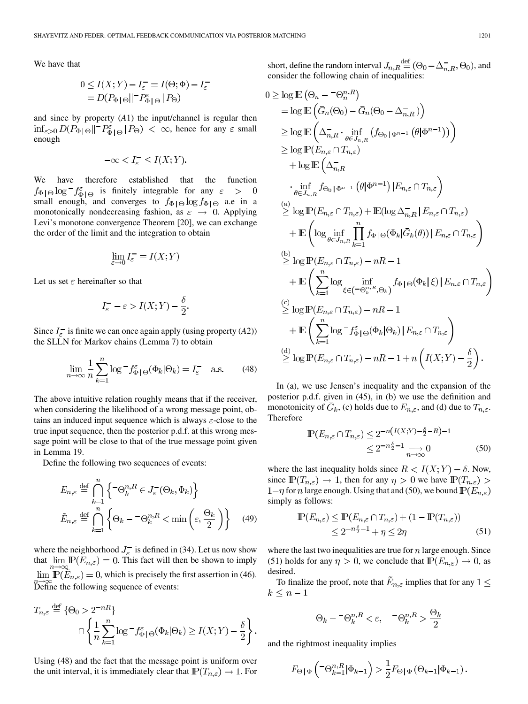We have that

$$
0 \le I(X;Y) - I_{\varepsilon} = I(\Theta; \Phi) - I_{\varepsilon}
$$
  
=  $D(P_{\Phi|\Theta}||-P_{\Phi|\Theta}^{\varepsilon} | P_{\Theta})$ 

and since by property (*A*1) the input/channel is regular then  $\inf_{\varepsilon > 0} D(P_{\Phi | \Theta} || P_{\Phi | \Theta} | P_{\Theta}) < \infty$ , hence for any  $\varepsilon$  small enough

$$
-\infty < I_{\varepsilon}^- \le I(X;Y).
$$

We have therefore established that the function  $f_{\Phi | \Theta} \log^{-} f_{\Phi | \Theta}^{\varepsilon}$  is finitely integrable for any  $\varepsilon > 0$ small enough, and converges to  $f_{\Phi | \Theta} \log f_{\Phi | \Theta}$  a.e in a monotonically nondecreasing fashion, as  $\varepsilon \to 0$ . Applying Levi's monotone convergence Theorem [20], we can exchange the order of the limit and the integration to obtain

$$
\lim_{\varepsilon \to 0} I_{\varepsilon}^- = I(X;Y)
$$

Let us set  $\varepsilon$  hereinafter so that

$$
I_{\varepsilon}^- - \varepsilon > I(X;Y) - \frac{\delta}{2}.
$$

Since  $I_{\varepsilon}^-$  is finite we can once again apply (using property (*A2*)) the SLLN for Markov chains (Lemma 7) to obtain

$$
\lim_{n \to \infty} \frac{1}{n} \sum_{k=1}^{n} \log \left( -f_{\Phi}^{\varepsilon}(\Phi_k | \Theta_k) \right) = I_{\varepsilon}^{\mathbb{-}} \quad \text{a.s.} \tag{48}
$$

The above intuitive relation roughly means that if the receiver, when considering the likelihood of a wrong message point, obtains an induced input sequence which is always  $\varepsilon$ -close to the true input sequence, then the posterior p.d.f. at this wrong message point will be close to that of the true message point given in Lemma 19.

Define the following two sequences of events:

$$
E_{n,\varepsilon} \stackrel{\text{def}}{=} \bigcap_{k=1}^{n} \left\{ \bigg[ \bigcap_{k=1}^{n} \left\{ \bigg[ \bigotimes_{k=1}^{n} \left( \Theta_k, \Phi_k \right) \right\} \right]
$$

$$
\tilde{E}_{n,\varepsilon} \stackrel{\text{def}}{=} \bigcap_{k=1}^{n} \left\{ \Theta_k - \bigg[ \bigotimes_{k=1}^{n} \left( \bigotimes_{k=1}^{n} \left( \bigotimes_{k=1}^{n} \Theta_k \right) \right] \right\} \tag{49}
$$

where the neighborhood  $J_{\varepsilon}^-$  is defined in (34). Let us now show that  $\lim_{n\to\infty} \mathbb{P}(E_{n,\varepsilon}) = 0$ . This fact will then be shown to imply  $\lim \overline{\mathbb{P}(\tilde{E}_{n,\varepsilon})} = 0$ , which is precisely the first assertion in (46). Define the following sequence of events:

$$
T_{n,\varepsilon} \stackrel{\text{def}}{=} \{ \Theta_0 > 2^{-nR} \}
$$

$$
\cap \left\{ \frac{1}{n} \sum_{k=1}^n \log \sigma f_{\Phi|\Theta}(\Phi_k|\Theta_k) \ge I(X;Y) - \frac{\delta}{2} \right\}.
$$

Using (48) and the fact that the message point is uniform over the unit interval, it is immediately clear that  $\mathbb{P}(T_{n,\varepsilon}) \to 1$ . For

short, define the random interval  $J_{n,R} \stackrel{\text{def}}{=} (\Theta_0 - \Delta_{n,R}^-, \Theta_0)$ , and consider the following chain of inequalities:

$$
0 \geq \log \mathbb{E} (\Theta_n - \Theta_n^{n,R})
$$
  
\n
$$
= \log \mathbb{E} (\bar{G}_n(\Theta_0) - \bar{G}_n(\Theta_0 - \Delta_{n,R}^{-}) )
$$
  
\n
$$
\geq \log \mathbb{E} (\Delta_{n,R}^{-} \cdot \inf_{\theta \in J_{n,R}} (f_{\Theta_0 | \Phi^{n-1}} (\theta | \Phi^{n-1})))
$$
  
\n
$$
\geq \log \mathbb{P}(E_{n,\varepsilon} \cap T_{n,\varepsilon})
$$
  
\n
$$
+ \log \mathbb{E} (\Delta_{n,R}^{-} \cdot \inf_{\theta \in J_{n,R}} f_{\Theta_0 | \Phi^{n-1}} (\theta | \Phi^{n-1}) | E_{n,\varepsilon} \cap T_{n,\varepsilon})
$$
  
\n
$$
\geq \log \mathbb{P}(E_{n,\varepsilon} \cap T_{n,\varepsilon}) + \mathbb{E} (\log \Delta_{n,R}^{-} | E_{n,\varepsilon} \cap T_{n,\varepsilon})
$$
  
\n
$$
+ \mathbb{E} (\log \inf_{\theta \in J_{n,R}} \prod_{k=1}^{n} f_{\Phi | \Theta} (\Phi_k | \bar{G}_k(\theta)) | E_{n,\varepsilon} \cap T_{n,\varepsilon})
$$
  
\n
$$
\geq \log \mathbb{P}(E_{n,\varepsilon} \cap T_{n,\varepsilon}) - nR - 1
$$
  
\n
$$
+ \mathbb{E} (\sum_{k=1}^{n} \log \inf_{\xi \in (-\Theta_k^{n,R}, \Theta_k)} f_{\Phi | \Theta} (\Phi_k | \xi) | E_{n,\varepsilon} \cap T_{n,\varepsilon})
$$
  
\n
$$
\geq \log \mathbb{P}(E_{n,\varepsilon} \cap T_{n,\varepsilon}) - nR - 1
$$
  
\n
$$
+ \mathbb{E} (\sum_{k=1}^{n} \log \tau_{\Phi}^{\varepsilon} (\Phi_k | \Theta_k) | E_{n,\varepsilon} \cap T_{n,\varepsilon})
$$
  
\n
$$
\geq \log \mathbb{P}(E_{n,\varepsilon} \cap T_{n,\varepsilon}) - nR - 1 + n (\Gamma(X;Y) - \frac{\delta}{2}).
$$

In (a), we use Jensen's inequality and the expansion of the posterior p.d.f. given in (45), in (b) we use the definition and monotonicity of  $G_k$ , (c) holds due to  $E_{n,\varepsilon}$ , and (d) due to  $T_{n,\varepsilon}$ . Therefore

$$
\mathbb{P}(E_{n,\varepsilon} \cap T_{n,\varepsilon}) \le 2^{-n\left(I(X;Y) - \frac{\varepsilon}{2} - R\right) - 1} \le 2^{-n\frac{\varepsilon}{2} - 1} \longrightarrow 0 \tag{50}
$$

where the last inequality holds since  $R < I(X;Y) - \delta$ . Now, since  $\mathbb{P}(T_{n,\varepsilon}) \to 1$ , then for any  $\eta > 0$  we have  $\mathbb{P}(T_{n,\varepsilon}) > 0$  $1-\eta$  for *n* large enough. Using that and (50), we bound  $\mathbb{P}(E_{n,\varepsilon})$ simply as follows:

$$
\mathbb{P}(E_{n,\varepsilon}) \le \mathbb{P}(E_{n,\varepsilon} \cap T_{n,\varepsilon}) + (1 - \mathbb{P}(T_{n,\varepsilon}))
$$
  

$$
\le 2^{-n\frac{\delta}{2} - 1} + \eta \le 2\eta
$$
 (51)

where the last two inequalities are true for  $n$  large enough. Since (51) holds for any  $\eta > 0$ , we conclude that  $\mathbb{P}(E_{n,\varepsilon}) \to 0$ , as desired.

To finalize the proof, note that  $\tilde{E}_{n,\varepsilon}$  implies that for any  $1 \leq$  $k \leq n-1$ 

$$
\Theta_k - \Theta_k^{n,R} < \varepsilon, \quad \Theta_k^{n,R} > \frac{\Theta_k}{2}
$$

and the rightmost inequality implies

$$
F_{\Theta|\Phi}\left(\mathcal{P}_{k-1}^{n,R}|\Phi_{k-1}\right) > \frac{1}{2}F_{\Theta|\Phi}\left(\Theta_{k-1}|\Phi_{k-1}\right).
$$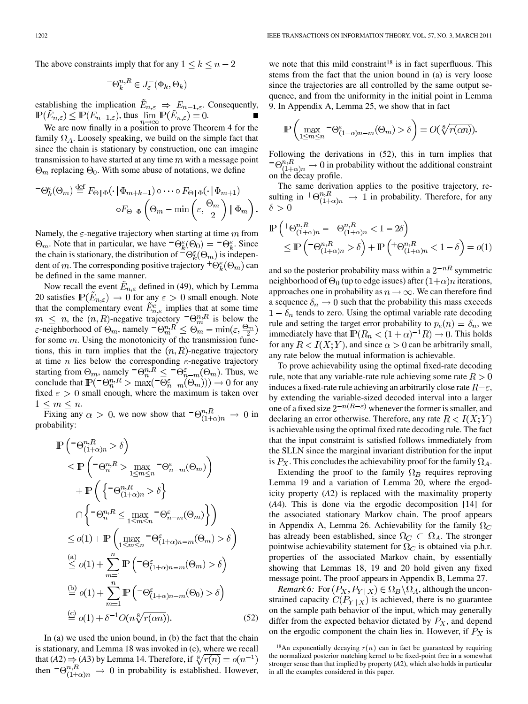The above constraints imply that for any  $1 \leq k \leq n-2$ 

$$
{}^-\Theta_k^{n,R}\in J^-_{\varepsilon}(\Phi_k,\Theta_k)
$$

establishing the implication  $E_{n,\varepsilon} \Rightarrow E_{n-1,\varepsilon}$ . Consequently,  $\mathbb{P}(\tilde{E}_{n,\varepsilon}) \leq \mathbb{P}(E_{n-1,\varepsilon})$ , thus  $\lim_{n \to \infty} \mathbb{P}(\tilde{E}_{n,\varepsilon}) = 0$ .

We are now finally in a position to prove Theorem 4 for the family  $\Omega_A$ . Loosely speaking, we build on the simple fact that since the chain is stationary by construction, one can imagine transmission to have started at any time  $m$  with a message point  $\Theta_m$  replacing  $\Theta_0$ . With some abuse of notations, we define

$$
\neg \Theta_k^{\varepsilon}(\Theta_m) \stackrel{\text{def}}{=} F_{\Theta | \Phi}(\cdot | \Phi_{m+k-1}) \circ \cdots \circ F_{\Theta | \Phi}(\cdot | \Phi_{m+1})
$$

$$
\circ F_{\Theta | \Phi} \left( \Theta_m - \min \left( \varepsilon, \frac{\Theta_m}{2} \right) | \Phi_m \right).
$$

Namely, the  $\varepsilon$ -negative trajectory when starting at time  $m$  from  $\Theta_m$ . Note that in particular, we have  $\Box \Theta_k^{\varepsilon}(\Theta_0) = \Box \Theta_k^{\varepsilon}$ . Since the chain is stationary, the distribution of  $\Box \Theta_k^{\varepsilon}(\Theta_m)$  is independent of m. The corresponding positive trajectory  ${}^+\Theta_k^{\varepsilon}(\Theta_m)$  can be defined in the same manner.

Now recall the event  $\tilde{E}_{n,\varepsilon}$  defined in (49), which by Lemma 20 satisfies  $\mathbb{P}(\tilde{E}_{n,\varepsilon}) \to 0$  for any  $\varepsilon > 0$  small enough. Note that the complementary event  $\tilde{E}_{n,\varepsilon}^c$  implies that at some time  $m \leq n$ , the  $(n, R)$ -negative trajectory  $\bigcap_{m=1}^{n, R}$  is below the  $\varepsilon$ -neighborhood of  $\Theta_m$ , namely  $\Theta_m^{n,R} \leq \Theta_m^{n} - \min(\varepsilon, \frac{\Theta_m}{2})$ for some  $m$ . Using the monotonicity of the transmission functions, this in turn implies that the  $(n, R)$ -negative trajectory at time *n* lies below the corresponding  $\varepsilon$ -negative trajectory starting from  $\Theta_m$ , namely  $\neg \Theta_n^{n,R} \leq \neg \Theta_{n-m}^{\varepsilon}(\Theta_m)$ . Thus, we conclude that  $\mathbb{P}(\bigcap_{n=1}^{\infty} B_n \geq \max(\bigcap_{n=1}^{\infty} (\Theta_m))) \to 0$  for any fixed  $\varepsilon > 0$  small enough, where the maximum is taken over  $1\leq m\leq n$ .

Fixing any  $\alpha > 0$ , we now show that  $\bigoplus_{(1+\alpha)n}^{n,R} \to 0$  in probability:

$$
\begin{split}\n&\mathbb{P}\left(\n\begin{matrix}\n-\Theta_{(1+\alpha)n}^{n,R} > \delta\n\end{matrix}\n\right) \\
&\leq \mathbb{P}\left(\n\begin{matrix}\n-\Theta_n^{n,R} > \max_{1 \leq m \leq n} \n-\Theta_{n-m}^{\varepsilon}(\Theta_m)\n\end{matrix}\n\right) \\
&\quad + \mathbb{P}\left(\left\{\n\begin{matrix}\n-\Theta_n^{n,R} < \max_{1 \leq m \leq n} \n-\Theta_{n-m}^{\varepsilon}(\Theta_m)\n\end{matrix}\n\right\}\n\right) \\
&\leq o(1) + \mathbb{P}\left(\max_{1 \leq m \leq n} \n-\Theta_{(1+\alpha)n-m}^{\varepsilon}(\Theta_m) > \delta\n\right) \\
&\stackrel{(a)}{\leq} o(1) + \sum_{m=1}^n \mathbb{P}\left(\n-\Theta_{(1+\alpha)n-m}^{\varepsilon}(\Theta_m) > \delta\n\right) \\
&\stackrel{(b)}{=} o(1) + \sum_{m=1}^n \mathbb{P}\left(\n-\Theta_{(1+\alpha)n-m}^{\varepsilon}(\Theta_0) > \delta\n\right) \\
&\stackrel{(c)}{=} o(1) + \delta^{-1}O(n\sqrt[8]{r(\alpha n)}).\n\end{split} \tag{52}
$$

In (a) we used the union bound, in (b) the fact that the chain is stationary, and Lemma 18 was invoked in (c), where we recall that (*A*2)  $\Rightarrow$  (*A*3) by Lemma 14. Therefore, if  $\sqrt[8]{r(n)} = o(n^{-1})$ then  $\overrightarrow{O}_{(1+\alpha)n}^{n,R} \rightarrow 0$  in probability is established. However, we note that this mild constraint<sup>18</sup> is in fact superfluous. This stems from the fact that the union bound in (a) is very loose since the trajectories are all controlled by the same output sequence, and from the uniformity in the initial point in Lemma 9. In Appendix A, Lemma 25, we show that in fact

$$
\mathbb{P}\left(\max_{1\leq m\leq n} \negthinspace\negthinspace^{-} \Theta_{(1+\alpha)n-m}^{\varepsilon}(\Theta_m) > \delta\right) = O(\sqrt[8]{r(\alpha n)}).
$$

Following the derivations in (52), this in turn implies that  $\bigcap_{(1+\alpha)n}^{\mathbb{R},R}$   $\rightarrow$  0 in probability without the additional constraint on the decay profile.

The same derivation applies to the positive trajectory, resulting in  ${}^+\Theta^{n,R}_{(1+\alpha)n} \rightarrow 1$  in probability. Therefore, for any  $\delta > 0$ 

$$
\mathbb{P}\left(^{+}\Theta^{n,R}_{(1+\alpha)n} - ^{-}\Theta^{n,R}_{(1+\alpha)n} < 1 - 2\delta\right)
$$
  
\n
$$
\leq \mathbb{P}\left(^{-}\Theta^{n,R}_{(1+\alpha)n} > \delta\right) + \mathbb{P}\left(^{+}\Theta^{n,R}_{(1+\alpha)n} < 1 - \delta\right) = o(1)
$$

and so the posterior probability mass within a  $2^{-nR}$  symmetric neighborhood of  $\Theta_0$  (up to edge issues) after  $(1+\alpha)n$  iterations, approaches one in probability as  $n \to \infty$ . We can therefore find a sequence  $\delta_n \to 0$  such that the probability this mass exceeds  $1 - \delta_n$  tends to zero. Using the optimal variable rate decoding rule and setting the target error probability to  $p_e(n) = \delta_n$ , we immediately have that  $\mathbb{P}(R_n < (1+\alpha)^{-1}R) \to 0$ . This holds for any  $R < I(X;Y)$ , and since  $\alpha > 0$  can be arbitrarily small, any rate below the mutual information is achievable.

To prove achievability using the optimal fixed-rate decoding rule, note that any variable-rate rule achieving some rate  $R > 0$ induces a fixed-rate rule achieving an arbitrarily close rate  $R-\varepsilon$ , by extending the variable-sized decoded interval into a larger one of a fixed size  $2^{-n(R-\epsilon)}$  whenever the former is smaller, and declaring an error otherwise. Therefore, any rate  $R < I(X;Y)$ is achievable using the optimal fixed rate decoding rule. The fact that the input constraint is satisfied follows immediately from the SLLN since the marginal invariant distribution for the input is  $P_X$ . This concludes the achievability proof for the family  $\Omega_A$ .

Extending the proof to the family  $\Omega_B$  requires reproving Lemma 19 and a variation of Lemma 20, where the ergodicity property (*A*2) is replaced with the maximality property (*A*4). This is done via the ergodic decomposition [14] for the associated stationary Markov chain. The proof appears in Appendix A, Lemma 26. Achievability for the family  $\Omega_{\rm C}$ has already been established, since  $\Omega_C \subset \Omega_A$ . The stronger pointwise achievability statement for  $\Omega_C$  is obtained via p.h.r. properties of the associated Markov chain, by essentially showing that Lemmas 18, 19 and 20 hold given any fixed message point. The proof appears in Appendix B, Lemma 27.

*Remark 6:* For  $(P_X, P_{Y|X}) \in \Omega_B \backslash \Omega_A$ , although the unconstrained capacity  $C(P_{Y|X})$  is achieved, there is no guarantee on the sample path behavior of the input, which may generally differ from the expected behavior dictated by  $P_X$ , and depend on the ergodic component the chain lies in. However, if  $P_X$  is

 $\mathbf{r}$ 

<sup>&</sup>lt;sup>18</sup>An exponentially decaying  $r(n)$  can in fact be guaranteed by requiring the normalized posterior matching kernel to be fixed-point free in a somewhat stronger sense than that implied by property (*A*2), which also holds in particular in all the examples considered in this paper.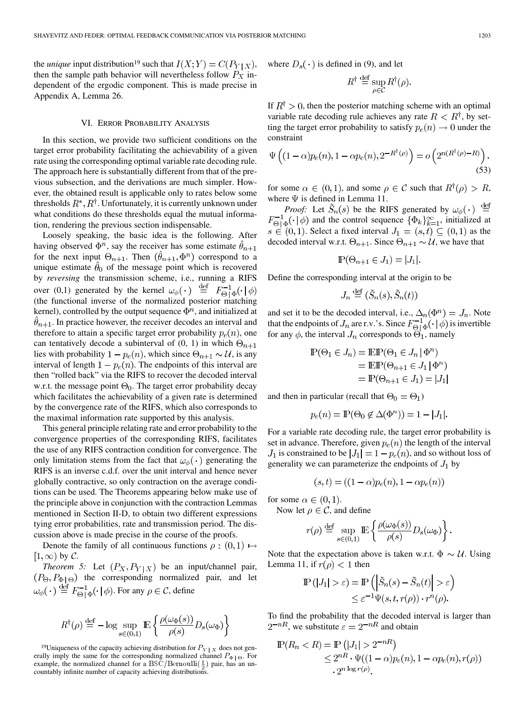the *unique* input distribution<sup>19</sup> such that  $I(X;Y) = C(P_{Y|X})$ , then the sample path behavior will nevertheless follow  $P_X$  independent of the ergodic component. This is made precise in Appendix A, Lemma 26.

#### VI. ERROR PROBABILITY ANALYSIS

In this section, we provide two sufficient conditions on the target error probability facilitating the achievability of a given rate using the corresponding optimal variable rate decoding rule. The approach here is substantially different from that of the previous subsection, and the derivations are much simpler. However, the obtained result is applicable only to rates below some thresholds  $R^*, R^{\dagger}$ . Unfortunately, it is currently unknown under what conditions do these thresholds equal the mutual information, rendering the previous section indispensable.

Loosely speaking, the basic idea is the following. After having observed  $\Phi^n$ , say the receiver has some estimate  $\theta_{n+1}$ for the next input  $\Theta_{n+1}$ . Then  $(\hat{\theta}_{n+1}, \Phi^n)$  correspond to a unique estimate  $\theta_0$  of the message point which is recovered by *reversing* the transmission scheme, i.e., running a RIFS over (0,1) generated by the kernel  $\omega_{\phi}(\cdot) \stackrel{\text{def}}{=} F_{\Theta | \Phi}^{-1}(\cdot | \phi)$ (the functional inverse of the normalized posterior matching kernel), controlled by the output sequence  $\Phi^n$ , and initialized at  $\hat{\theta}_{n+1}$ . In practice however, the receiver decodes an interval and therefore to attain a specific target error probability  $p_e(n)$ , one can tentatively decode a subinterval of  $(0, 1)$  in which  $\Theta_{n+1}$ lies with probability  $1 - p_e(n)$ , which since  $\Theta_{n+1} \sim \mathcal{U}$ , is any interval of length  $1 - p_e(n)$ . The endpoints of this interval are then "rolled back" via the RIFS to recover the decoded interval w.r.t. the message point  $\Theta_0$ . The target error probability decay which facilitates the achievability of a given rate is determined by the convergence rate of the RIFS, which also corresponds to the maximal information rate supported by this analysis.

This general principle relating rate and error probability to the convergence properties of the corresponding RIFS, facilitates the use of any RIFS contraction condition for convergence. The only limitation stems from the fact that  $\omega_{\phi}(\cdot)$  generating the RIFS is an inverse c.d.f. over the unit interval and hence never globally contractive, so only contraction on the average conditions can be used. The Theorems appearing below make use of the principle above in conjunction with the contraction Lemmas mentioned in Section II-D, to obtain two different expressions tying error probabilities, rate and transmission period. The discussion above is made precise in the course of the proofs.

Denote the family of all continuous functions  $\rho : (0,1) \mapsto$  $(1, \infty)$  by C.

*Theorem 5:* Let  $(P_X, P_{Y|X})$  be an input/channel pair,  $(P_{\Theta}, P_{\Phi | \Theta})$  the corresponding normalized pair, and let  $\omega_{\phi}(\cdot) \stackrel{\text{def}}{=} F_{\Theta}^{-1}(\cdot | \phi)$ . For any  $\rho \in \mathcal{C}$ , define

$$
R^{\dagger}(\rho) \stackrel{\text{def}}{=} -\log \sup_{s \in (0,1)} \mathbb{E} \left\{ \frac{\rho(\omega_{\Phi}(s))}{\rho(s)} D_s(\omega_{\Phi}) \right\}
$$

<sup>19</sup>Uniqueness of the capacity achieving distribution for  $P_{Y|X}$  does not generally imply the same for the corresponding normalized channel  $P_{\Phi | \Theta}$ . For example, the normalized channel for a  $BSC/Bernoulli(\frac{1}{2})$  pair, has an uncountably infinite number of capacity achieving distributions.

where  $D_s(\cdot)$  is defined in (9), and let

$$
R^{\dagger} \stackrel{\text{def}}{=} \sup_{\rho \in \mathcal{C}} R^{\dagger}(\rho).
$$

If  $R^{\dagger} > 0$ , then the posterior matching scheme with an optimal variable rate decoding rule achieves any rate  $R < R^{\dagger}$ , by setting the target error probability to satisfy  $p_e(n) \rightarrow 0$  under the constraint

$$
\Psi\left((1-\alpha)p_e(n), 1-\alpha p_e(n), 2^{-R^{\dagger}(\rho)}\right) = o\left(2^{n(R^{\dagger}(\rho)-R)}\right). \tag{53}
$$

for some  $\alpha \in (0,1)$ , and some  $\rho \in \mathcal{C}$  such that  $R^{\dagger}(\rho) > R$ , where  $\Psi$  is defined in Lemma 11.

*Proof:* Let  $S_n(s)$  be the RIFS generated by and the control sequence  $\{\Phi_k\}_{k=1}^{\infty}$ , initialized at  $s \in (0,1)$ . Select a fixed interval  $J_1 = (s,t) \subseteq (0,1)$  as the decoded interval w.r.t.  $\Theta_{n+1}$ . Since  $\Theta_{n+1} \sim \mathcal{U}$ , we have that

$$
\mathbb{P}(\Theta_{n+1} \in J_1) = |J_1|.
$$

Define the corresponding interval at the origin to be

$$
J_n \stackrel{\text{def}}{=} (\tilde{S}_n(s), \tilde{S}_n(t))
$$

and set it to be the decoded interval, i.e.,  $\Delta_n(\Phi^n) = J_n$ . Note that the endpoints of  $J_n$  are r.v.'s. Since  $F_{\Theta}^{-1}(\cdot | \phi)$  is invertible for any  $\phi$ , the interval  $J_n$  corresponds to  $\Theta_1$ , namely

$$
\mathbb{P}(\Theta_1 \in J_n) = \mathbb{E}\mathbb{P}(\Theta_1 \in J_n | \Phi^n)
$$
  
= 
$$
\mathbb{E}\mathbb{P}(\Theta_{n+1} \in J_1 | \Phi^n)
$$
  
= 
$$
\mathbb{P}(\Theta_{n+1} \in J_1) = |J_1|
$$

and then in particular (recall that  $\Theta_0 = \Theta_1$ )

$$
p_e(n) = \mathbb{P}(\Theta_0 \not\in \Delta(\Phi^n)) = 1 - |J_1|.
$$

For a variable rate decoding rule, the target error probability is set in advance. Therefore, given  $p_e(n)$  the length of the interval  $J_1$  is constrained to be  $|J_1| = 1 - p_e(n)$ , and so without loss of generality we can parameterize the endpoints of  $J_1$  by

$$
(s,t) = ((1-\alpha)p_e(n), 1-\alpha p_e(n))
$$

for some  $\alpha \in (0,1)$ .

Now let  $\rho \in \mathcal{C}$ , and define

$$
r(\rho) \stackrel{\text{def}}{=} \sup_{s \in (0,1)} \mathbb{E} \left\{ \frac{\rho(\omega_{\Phi}(s))}{\rho(s)} D_s(\omega_{\Phi}) \right\}.
$$

Note that the expectation above is taken w.r.t.  $\Phi \sim \mathcal{U}$ . Using Lemma 11, if  $r(\rho) < 1$  then

$$
\mathbb{P}(|J_1| > \varepsilon) = \mathbb{P}\left(\left|\tilde{S}_n(s) - \tilde{S}_n(t)\right| > \varepsilon\right)
$$
  

$$
\leq \varepsilon^{-1} \Psi(s, t, r(\rho)) \cdot r^n(\rho).
$$

To find the probability that the decoded interval is larger than  $2^{-nR}$ , we substitute  $\varepsilon = 2^{-nR}$  and obtain

$$
\mathbb{P}(R_n < R) = \mathbb{P}\left(|J_1| > 2^{-nR}\right) \\
\leq 2^{nR} \cdot \Psi((1-\alpha)p_e(n), 1 - \alpha p_e(n), r(\rho)) \\
\cdot 2^{n \log r(\rho)}.
$$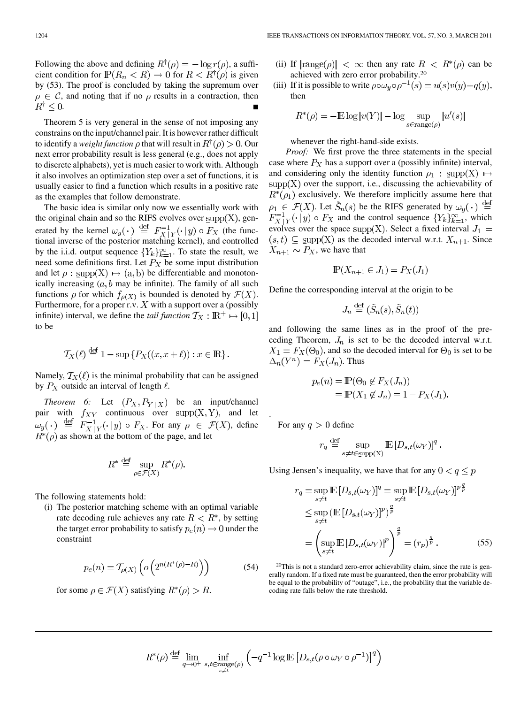Following the above and defining  $R^{\dagger}(\rho) = -\log r(\rho)$ , a sufficient condition for  $\mathbb{P}(R_n < R) \to 0$  for  $R < R^{\dagger}(\rho)$  is given by (53). The proof is concluded by taking the supremum over  $\rho \in \mathcal{C}$ , and noting that if no  $\rho$  results in a contraction, then  $R^{\dagger} \leq 0.$ 

Theorem 5 is very general in the sense of not imposing any constrains on the input/channel pair. It is however rather difficult to identify a *weight function*  $\rho$  that will result in  $R^{\dagger}(\rho) > 0$ . Our next error probability result is less general (e.g., does not apply to discrete alphabets), yet is much easier to work with. Although it also involves an optimization step over a set of functions, it is usually easier to find a function which results in a positive rate as the examples that follow demonstrate.

The basic idea is similar only now we essentially work with the original chain and so the RIFS evolves over  $\text{supp}(X)$ , generated by the kernel  $\omega_y(\cdot) \stackrel{\text{def}}{=} F_{X|Y}^{-1}(\cdot | y) \circ F_X$  (the functional inverse of the posterior matching kernel), and controlled by the i.i.d. output sequence  ${Y_k}_{k=1}^{\infty}$ . To state the result, we need some definitions first. Let  $P_X$  be some input distribution and let  $\rho$  :  $\text{supp}(X) \mapsto (a, b)$  be differentiable and monotonically increasing  $(a, b$  may be infinite). The family of all such functions  $\rho$  for which  $f_{\rho(X)}$  is bounded is denoted by  $\mathcal{F}(X)$ . Furthermore, for a proper r.v.  $X$  with a support over a (possibly infinite) interval, we define the *tail function*  $\mathcal{T}_X : \mathbb{R}^+ \mapsto [0,1]$ to be

$$
T_X(\ell) \stackrel{\text{def}}{=} 1 - \sup \{ P_X((x, x + \ell)) : x \in \mathbb{R} \}.
$$

Namely,  $T_X(\ell)$  is the minimal probability that can be assigned by  $P_X$  outside an interval of length  $\ell$ .

*Theorem 6:* Let  $(P_X, P_{Y|X})$  be an input/channel pair with  $f_{XY}$  continuous over  $\text{supp}(X, Y)$ , and let  $\omega_y(\cdot) \stackrel{\text{def}}{=} F_{X|Y}^{-1}(\cdot | y) \circ F_X$ . For any  $\rho \in \mathcal{F}(X)$ , define  $R^*(\rho)$  as shown at the bottom of the page, and let

$$
R^* \stackrel{\text{def}}{=} \sup_{\rho \in \mathcal{F}(X)} R^*(\rho).
$$

The following statements hold:

(i) The posterior matching scheme with an optimal variable rate decoding rule achieves any rate  $R < R^*$ , by setting the target error probability to satisfy  $p_e(n) \rightarrow 0$  under the constraint

$$
p_e(n) = T_{\rho(X)}\left(o\left(2^{n(R^*(\rho)-R)}\right)\right)
$$
 (54)

for some  $\rho \in \mathcal{F}(X)$  satisfying  $R^*(\rho) > R$ .

- (ii) If  $|\text{range}(\rho)| < \infty$  then any rate  $R < R^*(\rho)$  can be achieved with zero error probability.20
- (iii) If it is possible to write  $\rho \circ \omega_u \circ \rho^{-1}(s) = u(s)v(y) + q(y)$ , then

$$
R^*(\rho)=-{\rm I\!E}\log|v(Y)|-\log\sup_{s\in{\rm range}(\rho)}|u'(s)|
$$

whenever the right-hand-side exists.

*Proof:* We first prove the three statements in the special case where  $P_X$  has a support over a (possibly infinite) interval, and considering only the identity function  $\rho_1$ :  $\text{supp}(X) \mapsto$  $\text{supp}(X)$  over the support, i.e., discussing the achievability of  $R^*(\rho_1)$  exclusively. We therefore implicitly assume here that . Let  $S_n(s)$  be the RIFS generated by and the control sequence  ${Y_k}_{k=1}^{\infty}$ , which evolves over the space  $\text{supp}(X)$ . Select a fixed interval  $J_1 =$  $(s,t) \subseteq \text{supp(X)}$  as the decoded interval w.r.t.  $X_{n+1}$ . Since  $X_{n+1} \sim P_X$ , we have that

$$
\mathbb{P}(X_{n+1} \in J_1) = P_X(J_1)
$$

Define the corresponding interval at the origin to be

$$
J_n \stackrel{\text{def}}{=} (\tilde{S}_n(s), \tilde{S}_n(t))
$$

and following the same lines as in the proof of the preceding Theorem,  $J_n$  is set to be the decoded interval w.r.t.  $X_1 = F_X(\Theta_0)$ , and so the decoded interval for  $\Theta_0$  is set to be  $\Delta_n(Y^n) = F_X(J_n)$ . Thus

$$
p_e(n) = \mathbb{P}(\Theta_0 \notin F_X(J_n))
$$
  
=  $\mathbb{P}(X_1 \notin J_n) = 1 - P_X(J_1).$ 

For any  $q > 0$  define

.

$$
r_q \stackrel{\text{def}}{=} \sup_{s \neq t \in \text{supp}(\mathbf{X})} \mathbb{E} \left[ D_{s,t}(\omega_Y) \right]^q.
$$

Using Jensen's inequality, we have that for any  $0 < q \leq p$ 

$$
r_q = \sup_{s \neq t} \mathbb{E} [D_{s,t}(\omega_Y)]^q = \sup_{s \neq t} \mathbb{E} [D_{s,t}(\omega_Y)]^{p \frac{q}{p}}
$$
  
\n
$$
\leq \sup_{s \neq t} (\mathbb{E} [D_{s,t}(\omega_Y)]^p)^{\frac{q}{p}}
$$
  
\n
$$
= \left(\sup_{s \neq t} \mathbb{E} [D_{s,t}(\omega_Y)]^p\right)^{\frac{q}{p}} = (r_p)^{\frac{q}{p}}.
$$
 (55)

<sup>20</sup>This is not a standard zero-error achievability claim, since the rate is generally random. If a fixed rate must be guaranteed, then the error probability will be equal to the probability of "outage", i.e., the probability that the variable decoding rate falls below the rate threshold.

$$
R^*(\rho) \stackrel{\text{def}}{=} \lim_{q \to 0^+} \inf_{\substack{s,t \in \text{range}(\rho) \\ s \neq t}} \left( -q^{-1} \log \mathbb{E} \left[ D_{s,t}(\rho \circ \omega_Y \circ \rho^{-1}) \right]^q \right)
$$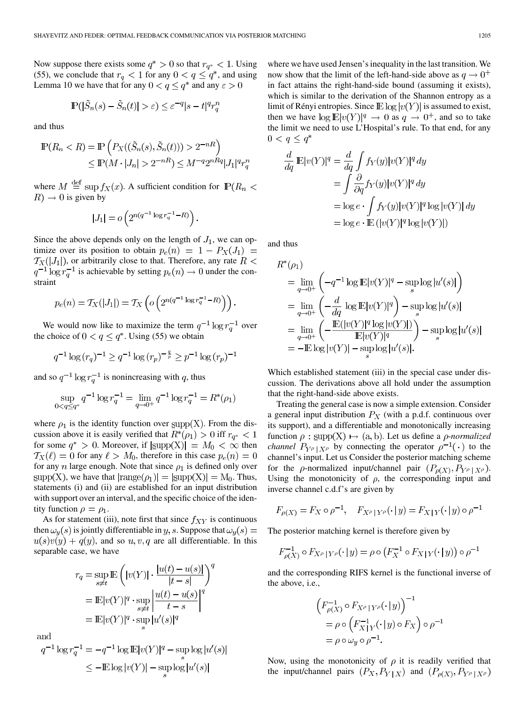Now suppose there exists some  $q^* > 0$  so that  $r_{q^*} < 1$ . Using (55), we conclude that  $r_q < 1$  for any  $0 < q \le q^*$ , and using Lemma 10 we have that for any  $0 < q \leq q^*$  and any  $\varepsilon > 0$ 

$$
\mathbb{P}(|\tilde{S}_n(s) - \tilde{S}_n(t)| > \varepsilon) \le \varepsilon^{-q} |s - t|^q r_q^n
$$

and thus

$$
\mathbb{P}(R_n < R) = \mathbb{P}\left(P_X((\tilde{S}_n(s), \tilde{S}_n(t))) > 2^{-nR}\right) \\
 \le \mathbb{P}(M \cdot |J_n| > 2^{-nR}) \le M^{-q} 2^{nRq} |J_1|^q r_q^n
$$

where  $M \stackrel{\text{def}}{=} \sup f_X(x)$ . A sufficient condition for  $\mathbb{P}(R_n <$  $R) \rightarrow 0$  is given by

$$
|J_1| = o\left(2^{n(q^{-1}\log r_q^{-1} - R)}\right).
$$

Since the above depends only on the length of  $J_1$ , we can optimize over its position to obtain  $p_e(n) = 1 - P_X(J_1) =$  $\mathcal{T}_X(|J_1|)$ , or arbitrarily close to that. Therefore, any rate  $R <$  $q^{-1} \log r_q^{-1}$  is achievable by setting  $p_e(n) \to 0$  under the constraint

$$
p_e(n) = \mathcal{T}_X(|J_1|) = \mathcal{T}_X\left(o\left(2^{n(q^{-1}\log r_q^{-1} - R)}\right)\right).
$$

We would now like to maximize the term  $q^{-1} \log r_q^{-1}$  over the choice of  $0 < q \leq q^*$ . Using (55) we obtain

$$
q^{-1}\log(r_q)^{-1} \ge q^{-1}\log(r_p)^{-\frac{q}{p}} \ge p^{-1}\log(r_p)^{-1}
$$

and so  $q^{-1} \log r_q^{-1}$  is nonincreasing with q, thus

$$
\sup_{0 < q \le q^*} q^{-1} \log r_q^{-1} = \lim_{q \to 0^+} q^{-1} \log r_q^{-1} = R^*(\rho_1)
$$

where  $\rho_1$  is the identity function over  $\text{supp}(X)$ . From the discussion above it is easily verified that  $R^*(\rho_1) > 0$  iff  $r_{q^*} < 1$ for some  $q^* > 0$ . Moreover, if  $|\text{supp}(X)| = M_0 < \infty$  then  $T_X(\ell) = 0$  for any  $\ell > M_0$ , therefore in this case  $p_e(n) = 0$ for any *n* large enough. Note that since  $\rho_1$  is defined only over  $\text{supp}(X)$ , we have that  $|\text{range}(\rho_1)| = |\text{supp}(X)| = M_0$ . Thus, statements (i) and (ii) are established for an input distribution with support over an interval, and the specific choice of the identity function  $\rho = \rho_1$ .

As for statement (iii), note first that since  $f_{XY}$  is continuous then  $\omega_y(s)$  is jointly differentiable in y, s. Suppose that  $\omega_y(s)$  =  $u(s)v(y) + q(y)$ , and so  $u, v, q$  are all differentiable. In this separable case, we have

$$
r_q = \sup_{s \neq t} \mathbb{E}\left(|v(Y)| \cdot \frac{|u(t) - u(s)|}{|t - s|}\right)^q
$$

$$
= \mathbb{E}|v(Y)|^q \cdot \sup_{s \neq t} \left|\frac{u(t) - u(s)}{t - s}\right|^q
$$

$$
= \mathbb{E}|v(Y)|^q \cdot \sup_s |u'(s)|^q
$$

$$
\log r_q^{-1} = -q^{-1} \log \mathbb{E}|v(Y)|^q - \sup_s \log |u'(s)|
$$

and  $q^{-}$ 

$$
\log r_q^{-1} = -q^{-1} \log \mathbb{E}|v(Y)|^q - \sup_s \log |u'(s)|
$$
  

$$
\leq -\mathbb{E}\log |v(Y)| - \sup_s \log |u'(s)|
$$

where we have used Jensen's inequality in the last transition. We now show that the limit of the left-hand-side above as  $q \to 0^+$ in fact attains the right-hand-side bound (assuming it exists), which is similar to the derivation of the Shannon entropy as a limit of Rényi entropies. Since  $\mathbb{E} \log |v(Y)|$  is assumed to exist, then we have  $\log \mathbb{E}|v(Y)|^q \to 0$  as  $q \to 0^+$ , and so to take the limit we need to use L'Hospital's rule. To that end, for any  $0 < q \leq q^*$ 

$$
\frac{d}{dq} \mathbb{E}|v(Y)|^q = \frac{d}{dq} \int f_Y(y)|v(Y)|^q dy
$$
  
\n
$$
= \int \frac{\partial}{\partial q} f_Y(y)|v(Y)|^q dy
$$
  
\n
$$
= \log e \cdot \int f_Y(y)|v(Y)|^q \log |v(Y)| dy
$$
  
\n
$$
= \log e \cdot \mathbb{E} (|v(Y)|^q \log |v(Y)|)
$$

and thus

$$
R^{*}(\rho_{1})
$$
  
=  $\lim_{q \to 0^{+}} \left( -q^{-1} \log \mathbb{E}|v(Y)|^{q} - \sup_{s} \log |u'(s)| \right)$   
=  $\lim_{q \to 0^{+}} \left( -\frac{d}{dq} \log \mathbb{E}|v(Y)|^{q} \right) - \sup_{s} \log |u'(s)|$   
=  $\lim_{q \to 0^{+}} \left( -\frac{\mathbb{E}(|v(Y)|^{q} \log |v(Y)|)}{\mathbb{E}|v(Y)|^{q}} \right) - \sup_{s} \log |u'(s)|$   
=  $-\mathbb{E} \log |v(Y)| - \sup_{s} \log |u'(s)|.$ 

Which established statement (iii) in the special case under discussion. The derivations above all hold under the assumption that the right-hand-side above exists.

Treating the general case is now a simple extension. Consider a general input distribution  $P_X$  (with a p.d.f. continuous over its support), and a differentiable and monotonically increasing function  $\rho$  :  $\text{supp}(X) \mapsto (a, b)$ . Let us define a  $\rho$ *-normalized channel*  $P_{Y^{\rho}}|_{X^{\rho}}$  by connecting the operator  $\rho^{-1}(\cdot)$  to the channel's input. Let us Consider the posterior matching scheme for the  $\rho$ -normalized input/channel pair  $(P_{\rho(X)}, P_{Y^{\rho}}|_{X^{\rho}})$ . Using the monotonicity of  $\rho$ , the corresponding input and inverse channel c.d.f's are given by

$$
F_{\rho(X)} = F_X \circ \rho^{-1}, \quad F_{X^{\rho} | Y^{\rho}}(\cdot | y) = F_{X | Y}(\cdot | y) \circ \rho^{-1}
$$

The posterior matching kernel is therefore given by

$$
F_{\rho(X)}^{-1} \circ F_{X^{\rho}}|_{Y^{\rho}}(\cdot | y) = \rho \circ (F_X^{-1} \circ F_{X|Y}(\cdot | y)) \circ \rho^{-1}
$$

and the corresponding RIFS kernel is the functional inverse of the above, i.e.,

$$
\begin{aligned} \left( F_{\rho(X)}^{-1} \circ F_{X^{\rho} \mid Y^{\rho}}(\cdot | \, y) \right)^{-1} \\ &= \rho \circ \left( F_{X \mid Y}^{-1}(\cdot \mid y) \circ F_{X} \right) \circ \rho^{-1} \\ &= \rho \circ \omega_{y} \circ \rho^{-1}. \end{aligned}
$$

Now, using the monotonicity of  $\rho$  it is readily verified that the input/channel pairs  $(P_X, P_{Y|X})$  and  $(P_{\rho(X)}, P_{Y^{\rho}|X^{\rho}})$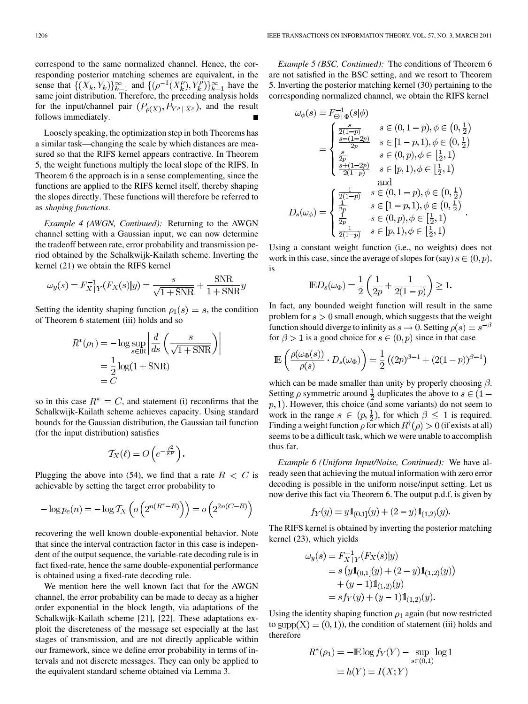correspond to the same normalized channel. Hence, the corresponding posterior matching schemes are equivalent, in the sense that  $\{(X_k, Y_k)\}_{k=1}^{\infty}$  and  $\{(\rho^{-1}(X_k^{\rho}), Y_k^{\rho})\}_{k=1}^{\infty}$  have the same joint distribution. Therefore, the preceding analysis holds for the input/channel pair  $(P_{\rho(X)}, P_{Y^{\rho} | X^{\rho}})$ , and the result follows immediately.

Loosely speaking, the optimization step in both Theorems has a similar task—changing the scale by which distances are measured so that the RIFS kernel appears contractive. In Theorem 5, the weight functions multiply the local slope of the RIFS. In Theorem 6 the approach is in a sense complementing, since the functions are applied to the RIFS kernel itself, thereby shaping the slopes directly. These functions will therefore be referred to as *shaping functions*.

*Example 4 (AWGN, Continued):* Returning to the AWGN channel setting with a Gaussian input, we can now determine the tradeoff between rate, error probability and transmission period obtained by the Schalkwijk-Kailath scheme. Inverting the kernel (21) we obtain the RIFS kernel

$$
\omega_y(s) = F_{X|Y}^{-1}(F_X(s)|y) = \frac{s}{\sqrt{1 + \text{SNR}}} + \frac{\text{SNR}}{1 + \text{SNR}}y
$$

Setting the identity shaping function  $\rho_1(s) = s$ , the condition of Theorem 6 statement (iii) holds and so

$$
R^*(\rho_1) = -\log \sup_{s \in \mathbb{R}} \left| \frac{d}{ds} \left( \frac{s}{\sqrt{1 + \text{SNR}}} \right) \right|
$$
  
=  $\frac{1}{2} \log(1 + \text{SNR})$   
=  $C$ 

so in this case  $R^* = C$ , and statement (i) reconfirms that the Schalkwijk-Kailath scheme achieves capacity. Using standard bounds for the Gaussian distribution, the Gaussian tail function (for the input distribution) satisfies

$$
\mathcal{T}_X(\ell) = O\left(e^{-\frac{\ell^2}{8P}}\right).
$$

Plugging the above into (54), we find that a rate  $R < C$  is achievable by setting the target error probability to

$$
-\log p_e(n) = -\log T_X\left(o\left(2^{n(R^* - R)}\right)\right) = o\left(2^{2n(C - R)}\right)
$$

recovering the well known double-exponential behavior. Note that since the interval contraction factor in this case is independent of the output sequence, the variable-rate decoding rule is in fact fixed-rate, hence the same double-exponential performance is obtained using a fixed-rate decoding rule.

We mention here the well known fact that for the AWGN channel, the error probability can be made to decay as a higher order exponential in the block length, via adaptations of the Schalkwijk-Kailath scheme [21], [22]. These adaptations exploit the discreteness of the message set especially at the last stages of transmission, and are not directly applicable within our framework, since we define error probability in terms of intervals and not discrete messages. They can only be applied to the equivalent standard scheme obtained via Lemma 3.

*Example 5 (BSC, Continued):* The conditions of Theorem 6 are not satisfied in the BSC setting, and we resort to Theorem 5. Inverting the posterior matching kernel (30) pertaining to the corresponding normalized channel, we obtain the RIFS kernel

$$
\omega_{\phi}(s) = F_{\Theta | \Phi}^{-1}(s | \phi)
$$
\n
$$
= \begin{cases}\n\frac{s}{2(1-p)} & s \in (0, 1-p), \phi \in (0, \frac{1}{2}) \\
\frac{s-(1-2p)}{2p} & s \in [1-p, 1), \phi \in (0, \frac{1}{2}) \\
\frac{s}{2p} & s \in (0, p), \phi \in [\frac{1}{2}, 1) \\
\frac{s+(1-2p)}{2(1-p)} & s \in [p, 1), \phi \in [\frac{1}{2}, 1) \\
\end{cases}
$$
\nand  
\n
$$
D_s(\omega_{\phi}) = \begin{cases}\n\frac{1}{2(1-p)} & s \in (0, 1-p), \phi \in (0, \frac{1}{2}) \\
\frac{1}{2p} & s \in (1-p, 1), \phi \in (0, \frac{1}{2}) \\
\frac{1}{2p} & s \in (0, p), \phi \in [\frac{1}{2}, 1) \\
\frac{1}{2(1-p)} & s \in [p, 1), \phi \in [\frac{1}{2}, 1)\n\end{cases}
$$

Using a constant weight function (i.e., no weights) does not work in this case, since the average of slopes for (say)  $s \in (0, p)$ , is

$$
\mathbb{E}D_s(\omega_{\Phi}) = \frac{1}{2} \left( \frac{1}{2p} + \frac{1}{2(1-p)} \right) \ge 1.
$$

In fact, any bounded weight function will result in the same problem for  $s > 0$  small enough, which suggests that the weight function should diverge to infinity as  $s \to 0$ . Setting  $\rho(s) = s^{-\beta}$ for  $\beta > 1$  is a good choice for  $s \in (0, p)$  since in that case

$$
\mathbb{E}\left(\frac{\rho(\omega_{\Phi}(s))}{\rho(s)} \cdot D_s(\omega_{\Phi})\right) = \frac{1}{2}\left((2p)^{\beta - 1} + (2(1 - p))^{\beta - 1}\right)
$$

which can be made smaller than unity by properly choosing  $\beta$ . Setting  $\rho$  symmetric around  $\frac{1}{2}$  duplicates the above to  $s \in (1 - \frac{1}{2})$  $p$ , 1). However, this choice (and some variants) do not seem to work in the range  $s \in (p, \frac{1}{2})$ , for which  $\beta \leq 1$  is required. Finding a weight function  $\rho$  for which  $R^{\dagger}(\rho) > 0$  (if exists at all) seems to be a difficult task, which we were unable to accomplish thus far.

*Example 6 (Uniform Input/Noise, Continued):* We have already seen that achieving the mutual information with zero error decoding is possible in the uniform noise/input setting. Let us now derive this fact via Theorem 6. The output p.d.f. is given by

$$
f_Y(y) = y \mathbf{1}_{(0,1]}(y) + (2 - y) \mathbf{1}_{(1,2)}(y).
$$

The RIFS kernel is obtained by inverting the posterior matching kernel (23), which yields

$$
\omega_y(s) = F_{X|Y}^{-1}(F_X(s)|y)
$$
  
=  $s (y \mathbb{1}_{(0,1]}(y) + (2-y) \mathbb{1}_{(1,2)}(y))$   
+  $(y-1) \mathbb{1}_{(1,2)}(y)$   
=  $s f_Y(y) + (y-1) \mathbb{1}_{(1,2)}(y).$ 

Using the identity shaping function  $\rho_1$  again (but now restricted to  $\text{supp}(X) = (0, 1)$ , the condition of statement (iii) holds and therefore

$$
R^*(\rho_1) = -\mathbb{E}\log f_Y(Y) - \sup_{s \in (0,1)} \log 1
$$

$$
= h(Y) = I(X;Y)
$$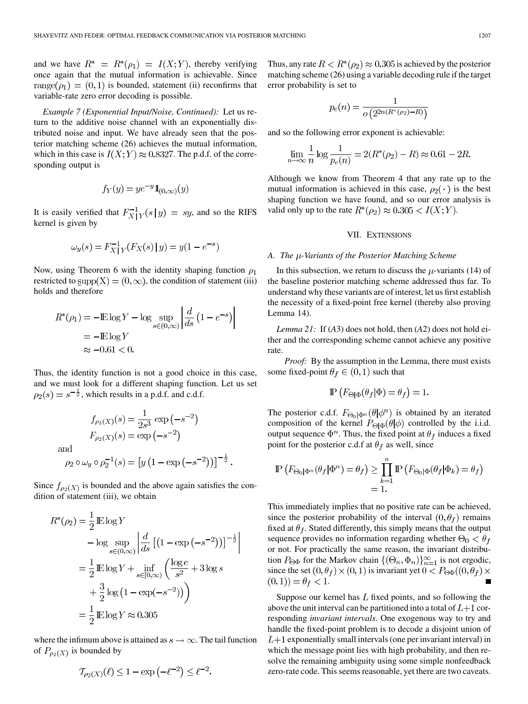and we have  $R^* = R^*(\rho_1) = I(X;Y)$ , thereby verifying once again that the mutual information is achievable. Since range( $\rho_1$ ) = (0,1) is bounded, statement (ii) reconfirms that variable-rate zero error decoding is possible.

*Example 7 (Exponential Input/Noise, Continued):* Let us return to the additive noise channel with an exponentially distributed noise and input. We have already seen that the posterior matching scheme (26) achieves the mutual information, which in this case is  $I(X;Y) \approx 0.8327$ . The p.d.f. of the corresponding output is

$$
f_Y(y) = ye^{-y} \mathbf{1}_{(0,\infty)}(y)
$$

It is easily verified that  $F_X^{-1}|_Y(s|y) = sy$ , and so the RIFS kernel is given by

$$
\omega_y(s) = F_{X|Y}^{-1}(F_X(s) | y) = y(1 - e^{-s})
$$

Now, using Theorem 6 with the identity shaping function  $\rho_1$ restricted to supp $(X) = (0, \infty)$ , the condition of statement (iii) holds and therefore

$$
R^*(\rho_1) = -\mathbb{E}\log Y - \log \sup_{s \in (0,\infty)} \left| \frac{d}{ds} \left( 1 - e^{-s} \right) \right|
$$
  
=  $-\mathbb{E}\log Y$   
 $\approx -0.61 < 0.$ 

Thus, the identity function is not a good choice in this case, and we must look for a different shaping function. Let us set  $\rho_2(s) = s^{-\frac{1}{2}}$ , which results in a p.d.f. and c.d.f.

$$
f_{\rho_2(X)}(s) = \frac{1}{2s^3} \exp(-s^{-2})
$$

$$
F_{\rho_2(X)}(s) = \exp(-s^{-2})
$$
and
$$
\rho_2 \circ \omega_2 \circ \rho_2^{-1}(s) = [y(1 - \exp(-s^{-2}))]^{-\frac{1}{2}}
$$

$$
\rho_2 \circ \omega_y \circ \rho_2^{-1}(s) = \left[ y \left( 1 - \exp \left( -s^{-2} \right) \right) \right]^{-\frac{1}{2}}.
$$

Since  $f_{\rho_2(X)}$  is bounded and the above again satisfies the condition of statement (iii), we obtain

$$
R^*(\rho_2) = \frac{1}{2} \mathbb{E} \log Y
$$
  
\n
$$
- \log \sup_{s \in (0,\infty)} \left| \frac{d}{ds} \left[ (1 - \exp(-s^{-2})) \right]^{-\frac{1}{2}} \right|
$$
  
\n
$$
= \frac{1}{2} \mathbb{E} \log Y + \inf_{s \in [0,\infty)} \left( \frac{\log e}{s^2} + 3 \log s
$$
  
\n
$$
+ \frac{3}{2} \log (1 - \exp(-s^{-2})) \right)
$$
  
\n
$$
= \frac{1}{2} \mathbb{E} \log Y \approx 0.305
$$

where the infimum above is attained as  $s \to \infty$ . The tail function of  $P_{\rho_2(X)}$  is bounded by

$$
\mathcal{T}_{\rho_2(X)}(\ell) \le 1 - \exp\left(-\ell^{-2}\right) \le \ell^{-2}
$$

Thus, any rate  $R < R^*(\rho_2) \approx 0.305$  is achieved by the posterior matching scheme (26) using a variable decoding rule if the target error probability is set to

$$
p_e(n) = \frac{1}{o(2^{2n(R^*(\rho_2)-R)})}
$$

and so the following error exponent is achievable:

$$
\lim_{n \to \infty} \frac{1}{n} \log \frac{1}{p_e(n)} = 2(R^*(\rho_2) - R) \approx 0.61 - 2R.
$$

Although we know from Theorem 4 that any rate up to the mutual information is achieved in this case,  $\rho_2(\cdot)$  is the best shaping function we have found, and so our error analysis is valid only up to the rate  $R^*(\rho_2) \approx 0.305 < I(X;Y)$ .

# VII. EXTENSIONS

#### A. *The*  $\mu$ *-Variants of the Posterior Matching Scheme*

In this subsection, we return to discuss the  $\mu$ -variants (14) of the baseline posterior matching scheme addressed thus far. To understand why these variants are of interest, let us first establish the necessity of a fixed-point free kernel (thereby also proving Lemma 14).

*Lemma 21:* If (*A*3) does not hold, then (*A*2) does not hold either and the corresponding scheme cannot achieve any positive rate.

*Proof:* By the assumption in the Lemma, there must exists some fixed-point  $\theta_f \in (0,1)$  such that

$$
\mathbb{P}\left(F_{\Theta|\Phi}(\theta_f|\Phi) = \theta_f\right) = 1.
$$

The posterior c.d.f.  $F_{\Theta_0|\Phi^n}(\theta|\phi^n)$  is obtained by an iterated composition of the kernel  $P_{\Theta|\Phi}(\theta|\phi)$  controlled by the i.i.d. output sequence  $\Phi^n$ . Thus, the fixed point at  $\theta_f$  induces a fixed point for the posterior c.d.f at  $\theta_f$  as well, since

$$
\mathbb{P}\left(F_{\Theta_0|\Phi^n}(\theta_f|\Phi^n) = \theta_f\right) \ge \prod_{k=1}^n \mathbb{P}\left(F_{\Theta_0|\Phi}(\theta_f|\Phi_k) = \theta_f\right) = 1.
$$

This immediately implies that no positive rate can be achieved, since the posterior probability of the interval  $(0, \theta_f)$  remains fixed at  $\theta_f$ . Stated differently, this simply means that the output sequence provides no information regarding whether  $\Theta_0 < \theta_f$ or not. For practically the same reason, the invariant distribution  $P_{\Theta \Phi}$  for the Markov chain  $\{(\Theta_n, \Phi_n)\}_{n=1}^{\infty}$  is not ergodic, since the set  $(0, \theta_f) \times (0, 1)$  is invariant yet  $0 < P_{\Theta \Phi}((0, \theta_f) \times$  $(0,1)) = \theta_f < 1.$ 

Suppose our kernel has  $L$  fixed points, and so following the above the unit interval can be partitioned into a total of  $L+1$  corresponding *invariant intervals*. One exogenous way to try and handle the fixed-point problem is to decode a disjoint union of  $L+1$  exponentially small intervals (one per invariant interval) in which the message point lies with high probability, and then resolve the remaining ambiguity using some simple nonfeedback zero-rate code. This seems reasonable, yet there are two caveats.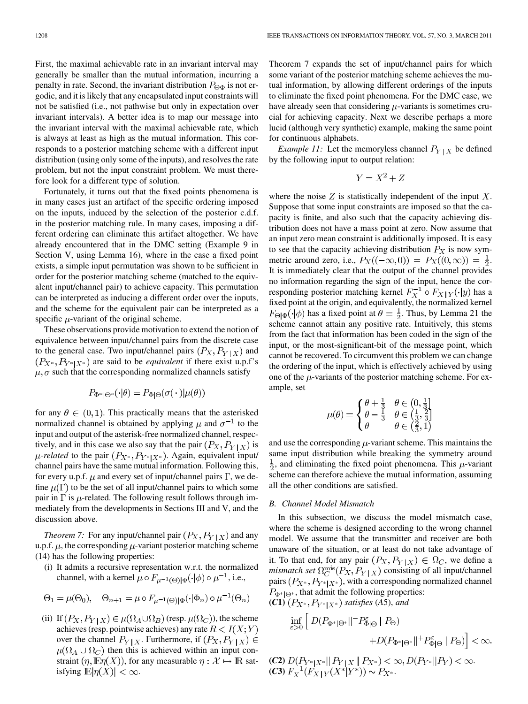First, the maximal achievable rate in an invariant interval may generally be smaller than the mutual information, incurring a penalty in rate. Second, the invariant distribution  $P_{\Theta\Phi}$  is not ergodic, and it is likely that any encapsulated input constraints will not be satisfied (i.e., not pathwise but only in expectation over invariant intervals). A better idea is to map our message into the invariant interval with the maximal achievable rate, which is always at least as high as the mutual information. This corresponds to a posterior matching scheme with a different input distribution (using only some of the inputs), and resolves the rate problem, but not the input constraint problem. We must therefore look for a different type of solution.

Fortunately, it turns out that the fixed points phenomena is in many cases just an artifact of the specific ordering imposed on the inputs, induced by the selection of the posterior c.d.f. in the posterior matching rule. In many cases, imposing a different ordering can eliminate this artifact altogether. We have already encountered that in the DMC setting (Example 9 in Section V, using Lemma 16), where in the case a fixed point exists, a simple input permutation was shown to be sufficient in order for the posterior matching scheme (matched to the equivalent input/channel pair) to achieve capacity. This permutation can be interpreted as inducing a different order over the inputs, and the scheme for the equivalent pair can be interpreted as a specific  $\mu$ -variant of the original scheme.

These observations provide motivation to extend the notion of equivalence between input/channel pairs from the discrete case to the general case. Two input/channel pairs  $(P_X, P_{Y|X})$  and  $(P_{X^*}, P_{Y^*|X^*})$  are said to be *equivalent* if there exist u.p.f's  $\mu$ ,  $\sigma$  such that the corresponding normalized channels satisfy

$$
P_{\Phi^*|\Theta^*}(\cdot|\theta) = P_{\Phi|\Theta}(\sigma(\cdot)|\mu(\theta))
$$

for any  $\theta \in (0,1)$ . This practically means that the asterisked normalized channel is obtained by applying  $\mu$  and  $\sigma^{-1}$  to the input and output of the asterisk-free normalized channel, respectively, and in this case we also say that the pair  $(P_X, P_{Y|X})$  is  $\mu$ -related to the pair  $(P_{X^*}, P_{Y^*|X^*})$ . Again, equivalent input/ channel pairs have the same mutual information. Following this, for every u.p.f.  $\mu$  and every set of input/channel pairs  $\Gamma$ , we define  $\mu(\Gamma)$  to be the set of all input/channel pairs to which some pair in  $\Gamma$  is  $\mu$ -related. The following result follows through immediately from the developments in Sections III and V, and the discussion above.

*Theorem 7:* For any input/channel pair  $(P_X, P_{Y|X})$  and any u.p.f.  $\mu$ , the corresponding  $\mu$ -variant posterior matching scheme (14) has the following properties:

(i) It admits a recursive representation w.r.t. the normalized channel, with a kernel  $\mu \circ F_{\mu^{-1}(\Theta)|\Phi}(\cdot|\phi) \circ \mu^{-1}$ , i.e.,

$$
\Theta_1 = \mu(\Theta_0), \quad \Theta_{n+1} = \mu \circ F_{\mu^{-1}(\Theta)|\Phi}(\cdot | \Phi_n) \circ \mu^{-1}(\Theta_n)
$$

(ii) If  $(P_X, P_{Y|X}) \in \mu(\Omega_A \cup \Omega_B)$  (resp.  $\mu(\Omega_C)$ ), the scheme achieves (resp. pointwise achieves) any rate  $R < I(X;Y)$ over the channel  $P_{Y|X}$ . Furthermore, if  $(P_X, P_{Y|X}) \in$  $\mu(\Omega_A \cup \Omega_C)$  then this is achieved within an input constraint  $(\eta, \mathbb{E}\eta(X))$ , for any measurable  $\eta : \mathcal{X} \mapsto \mathbb{R}$  satisfying  $\mathbb{E}|\eta(X)| < \infty$ .

Theorem 7 expands the set of input/channel pairs for which some variant of the posterior matching scheme achieves the mutual information, by allowing different orderings of the inputs to eliminate the fixed point phenomena. For the DMC case, we have already seen that considering  $\mu$ -variants is sometimes crucial for achieving capacity. Next we describe perhaps a more lucid (although very synthetic) example, making the same point for continuous alphabets.

*Example 11:* Let the memoryless channel  $P_{Y|X}$  be defined by the following input to output relation:

$$
Y = X^2 + Z
$$

where the noise  $Z$  is statistically independent of the input  $X$ . Suppose that some input constraints are imposed so that the capacity is finite, and also such that the capacity achieving distribution does not have a mass point at zero. Now assume that an input zero mean constraint is additionally imposed. It is easy to see that the capacity achieving distribution  $P_X$  is now symmetric around zero, i.e.,  $P_X((-\infty,0)) = P_X((0,\infty)) = \frac{1}{2}$ . It is immediately clear that the output of the channel provides no information regarding the sign of the input, hence the corresponding posterior matching kernel  $F_X^{-1} \circ F_{X|Y}(\cdot|y)$  has a fixed point at the origin, and equivalently, the normalized kernel  $F_{\Theta|\Phi}(\cdot|\phi)$  has a fixed point at  $\theta = \frac{1}{2}$ . Thus, by Lemma 21 the scheme cannot attain any positive rate. Intuitively, this stems from the fact that information has been coded in the sign of the input, or the most-significant-bit of the message point, which cannot be recovered. To circumvent this problem we can change the ordering of the input, which is effectively achieved by using one of the  $\mu$ -variants of the posterior matching scheme. For example, set

$$
\mu(\theta) = \begin{cases} \theta + \frac{1}{3} & \theta \in (0, \frac{1}{3}] \\ \theta - \frac{1}{3} & \theta \in (\frac{1}{3}, \frac{2}{3}] \\ \theta & \theta \in (\frac{2}{3}, 1) \end{cases}
$$

and use the corresponding  $\mu$ -variant scheme. This maintains the same input distribution while breaking the symmetry around  $\frac{1}{2}$ , and eliminating the fixed point phenomena. This  $\mu$ -variant scheme can therefore achieve the mutual information, assuming all the other conditions are satisfied.

## *B. Channel Model Mismatch*

In this subsection, we discuss the model mismatch case, where the scheme is designed according to the wrong channel model. We assume that the transmitter and receiver are both unaware of the situation, or at least do not take advantage of it. To that end, for any pair  $(P_X, P_{Y|X}) \in \Omega_C$ , we define a *mismatch set*  $\Omega_C^{\text{mis}}(P_X, P_{Y|X})$  consisting of all input/channel pairs  $(P_{X^*}, P_{Y^*|X^*})$ , with a corresponding normalized channel  $P_{\Phi^*|\Theta^*}$ , that admit the following properties:

**(C1)**  $(P_{X^*}, P_{Y^*|X^*})$  satisfies (A5), and

$$
\inf_{\varepsilon > 0} \left[ D(P_{\Phi^* | \Theta^*} ||^{\mathsf{T}} P^{\varepsilon}_{\Phi | \Theta} | P_{\Theta}) \right. \\
\left. + D(P_{\Phi^* | \Theta^*} ||^{\mathsf{T}} P^{\varepsilon}_{\Phi | \Theta} | P_{\Theta}) \right] < \infty.
$$
\n(C2)  $D(P_{Y^* | X^*} || P_{Y | X} | P_{X^*}) < \infty, D(P_{Y^*} || P_{Y}) < \infty.$ \n(C3)  $F_X^{-1}(F_{X | Y}(X^* | Y^*)) \sim P_{X^*}.$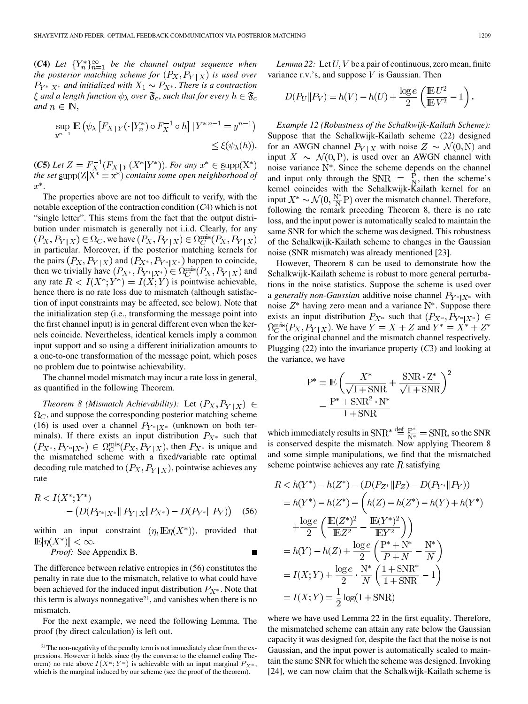**(C4)** Let  $\{Y_n^*\}_{n=1}^\infty$  be the channel output sequence when *the posterior matching scheme for*  $(P_X, P_{Y|X})$  *is used over*  $P_{Y^*|X^*}$  and initialized with  $X_1 \sim P_{X^*}$ . There is a contraction  $\xi$  and a length function  $\psi_{\lambda}$  over  $\mathfrak{F}_c$ , such that for every  $h \in \mathfrak{F}_c$ *and*  $n \in \mathbb{N}$ ,

$$
\sup_{y^{n-1}} \mathbb{E} \left( \psi_{\lambda} \left[ F_{X \mid Y}(\cdot | Y_n^*) \circ F_X^{-1} \circ h \right] | Y^{*n-1} = y^{n-1} \right)
$$
  

$$
\leq \xi(\psi_{\lambda}(h))
$$

**(C5)** Let  $Z = F_X^{-1}(F_{X|Y}(X^*|Y^*))$ . For any *the set*  $\text{supp}(Z|X^* = x^*)$  contains some open neighborhood of  $x^*$ .

The properties above are not too difficult to verify, with the notable exception of the contraction condition (*C*4) which is not "single letter". This stems from the fact that the output distribution under mismatch is generally not i.i.d. Clearly, for any  $(P_X, P_{Y|X}) \in \Omega_C$ , we have  $(P_X, P_{Y|X}) \in \Omega_C^{\text{mis}}(P_X, P_{Y|X})$ in particular. Moreover, if the posterior matching kernels for the pairs  $(P_X, P_{Y|X})$  and  $(P_{X^*}, P_{Y^*|X^*})$  happen to coincide, then we trivially have  $(P_{X^*}, P_{Y^*|X^*}) \in \Omega_C^{\text{mis}}(P_X, P_{Y|X})$  and any rate  $R < I(X^*; Y^*) = I(X; Y)$  is pointwise achievable, hence there is no rate loss due to mismatch (although satisfaction of input constraints may be affected, see below). Note that the initialization step (i.e., transforming the message point into the first channel input) is in general different even when the kernels coincide. Nevertheless, identical kernels imply a common input support and so using a different initialization amounts to a one-to-one transformation of the message point, which poses no problem due to pointwise achievability.

The channel model mismatch may incur a rate loss in general, as quantified in the following Theorem.

*Theorem 8 (Mismatch Achievability):* Let  $(P_X, P_{Y|X}) \in$  $\Omega_{\mathcal{C}}$ , and suppose the corresponding posterior matching scheme (16) is used over a channel  $P_{Y^*|X^*}$  (unknown on both terminals). If there exists an input distribution  $P_{X^*}$  such that  $(P_{X^*}, P_{Y^*|X^*}) \in \Omega_C^{\text{mis}}(P_X, P_{Y|X})$ , then  $P_{X^*}$  is unique and the mismatched scheme with a fixed/variable rate optimal decoding rule matched to  $(P_X, P_{Y|X})$ , pointwise achieves any rate

$$
R < I(X^*; Y^*) \\
 - \left( D(P_{Y^*|X^*} \| P_{Y \mid X} \| P_{X^*}) - D(P_{Y^*} \| P_Y) \right) \tag{56}
$$

within an input constraint  $(\eta, \mathbb{E}\eta(X^*))$ , provided that  $\mathbb{E}[\eta(X^*)]<\infty.$ 

*Proof:* See Appendix B.

The difference between relative entropies in (56) constitutes the penalty in rate due to the mismatch, relative to what could have been achieved for the induced input distribution  $P_{X^*}$ . Note that this term is always nonnegative $2<sup>1</sup>$ , and vanishes when there is no mismatch.

For the next example, we need the following Lemma. The proof (by direct calculation) is left out.

*Lemma 22:* Let  $U, V$  be a pair of continuous, zero mean, finite variance r.v.'s, and suppose  $V$  is Gaussian. Then

$$
D(P_U || P_V) = h(V) - h(U) + \frac{\log e}{2} \left( \frac{\mathbb{E} U^2}{\mathbb{E} V^2} - 1 \right).
$$

*Example 12 (Robustness of the Schalkwijk-Kailath Scheme):* Suppose that the Schalkwijk-Kailath scheme (22) designed for an AWGN channel  $P_{Y|X}$  with noise  $Z \sim \mathcal{N}(0, N)$  and input  $X \sim \mathcal{N}(0, P)$ , is used over an AWGN channel with noise variance  $N^*$ . Since the scheme depends on the channel and input only through the SNR  $= \frac{P}{N}$ , then the scheme's kernel coincides with the Schalkwijk-Kailath kernel for an input  $X^* \sim \mathcal{N}(0, \frac{N^*}{N}\mathbf{P})$  over the mismatch channel. Therefore, following the remark preceding Theorem 8, there is no rate loss, and the input power is automatically scaled to maintain the same SNR for which the scheme was designed. This robustness of the Schalkwijk-Kailath scheme to changes in the Gaussian noise (SNR mismatch) was already mentioned [23].

However, Theorem 8 can be used to demonstrate how the Schalkwijk-Kailath scheme is robust to more general perturbations in the noise statistics. Suppose the scheme is used over a *generally non-Gaussian* additive noise channel  $P_{Y^*|X^*}$  with noise  $Z^*$  having zero mean and a variance  $N^*$ . Suppose there exists an input distribution  $P_{X^*}$  such that  $(P_{X^*}, P_{Y^*|X^*}) \in$  $\Omega_C^{\text{mis}}(P_X, P_{Y|X})$ . We have  $Y = X + Z$  and  $Y^* = X^* + Z^*$ for the original channel and the mismatch channel respectively. Plugging (22) into the invariance property (*C*3) and looking at the variance, we have

$$
P^* = \mathbb{E}\left(\frac{X^*}{\sqrt{1 + \text{SNR}}} + \frac{\text{SNR} \cdot Z^*}{\sqrt{1 + \text{SNR}}}\right)^2
$$

$$
= \frac{P^* + \text{SNR}^2 \cdot N^*}{1 + \text{SNR}}
$$

which immediately results in SNR<sup>\*</sup>  $\stackrel{\text{def}}{=} \frac{P^*}{N^*} =$  SNR, so the SNR is conserved despite the mismatch. Now applying Theorem 8 and some simple manipulations, we find that the mismatched scheme pointwise achieves any rate  $R$  satisfying

$$
R < h(Y^*) - h(Z^*) - (D(P_{Z^*} || P_Z) - D(P_{Y^*} || P_Y))
$$
\n
$$
= h(Y^*) - h(Z^*) - \left( h(Z) - h(Z^*) - h(Y) + h(Y^*) \right)
$$
\n
$$
+ \frac{\log e}{2} \left( \frac{\mathbb{E}(Z^*)^2}{\mathbb{E}Z^2} - \frac{\mathbb{E}(Y^*)^2}{\mathbb{E}Y^2} \right)
$$
\n
$$
= h(Y) - h(Z) + \frac{\log e}{2} \left( \frac{P^* + N^*}{P + N} - \frac{N^*}{N} \right)
$$
\n
$$
= I(X;Y) + \frac{\log e}{2} \cdot \frac{N^*}{N} \left( \frac{1 + \text{SNR}^*}{1 + \text{SNR}} - 1 \right)
$$
\n
$$
= I(X;Y) = \frac{1}{2} \log(1 + \text{SNR})
$$

where we have used Lemma 22 in the first equality. Therefore, the mismatched scheme can attain any rate below the Gaussian capacity it was designed for, despite the fact that the noise is not Gaussian, and the input power is automatically scaled to maintain the same SNR for which the scheme was designed. Invoking [24], we can now claim that the Schalkwijk-Kailath scheme is

<sup>21</sup>The non-negativity of the penalty term is not immediately clear from the expressions. However it holds since (by the converse to the channel coding Thefor orm) no rate above  $I(X^*; Y^*)$  is achievable with an input marginal  $P_{X^*}$ , which is the marginal induced by our scheme (see the proof of the theorem).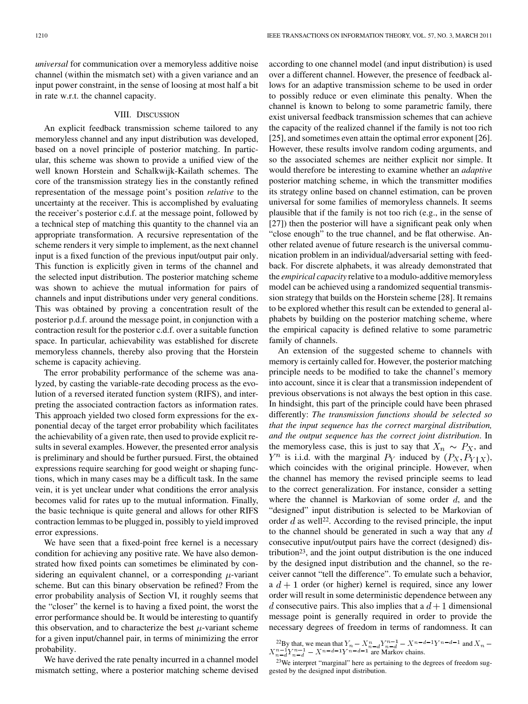*universal* for communication over a memoryless additive noise channel (within the mismatch set) with a given variance and an input power constraint, in the sense of loosing at most half a bit in rate w.r.t. the channel capacity.

## VIII. DISCUSSION

An explicit feedback transmission scheme tailored to any memoryless channel and any input distribution was developed, based on a novel principle of posterior matching. In particular, this scheme was shown to provide a unified view of the well known Horstein and Schalkwijk-Kailath schemes. The core of the transmission strategy lies in the constantly refined representation of the message point's position *relative* to the uncertainty at the receiver. This is accomplished by evaluating the receiver's posterior c.d.f. at the message point, followed by a technical step of matching this quantity to the channel via an appropriate transformation. A recursive representation of the scheme renders it very simple to implement, as the next channel input is a fixed function of the previous input/output pair only. This function is explicitly given in terms of the channel and the selected input distribution. The posterior matching scheme was shown to achieve the mutual information for pairs of channels and input distributions under very general conditions. This was obtained by proving a concentration result of the posterior p.d.f. around the message point, in conjunction with a contraction result for the posterior c.d.f. over a suitable function space. In particular, achievability was established for discrete memoryless channels, thereby also proving that the Horstein scheme is capacity achieving.

The error probability performance of the scheme was analyzed, by casting the variable-rate decoding process as the evolution of a reversed iterated function system (RIFS), and interpreting the associated contraction factors as information rates. This approach yielded two closed form expressions for the exponential decay of the target error probability which facilitates the achievability of a given rate, then used to provide explicit results in several examples. However, the presented error analysis is preliminary and should be further pursued. First, the obtained expressions require searching for good weight or shaping functions, which in many cases may be a difficult task. In the same vein, it is yet unclear under what conditions the error analysis becomes valid for rates up to the mutual information. Finally, the basic technique is quite general and allows for other RIFS contraction lemmas to be plugged in, possibly to yield improved error expressions.

We have seen that a fixed-point free kernel is a necessary condition for achieving any positive rate. We have also demonstrated how fixed points can sometimes be eliminated by considering an equivalent channel, or a corresponding  $\mu$ -variant scheme. But can this binary observation be refined? From the error probability analysis of Section VI, it roughly seems that the "closer" the kernel is to having a fixed point, the worst the error performance should be. It would be interesting to quantify this observation, and to characterize the best  $\mu$ -variant scheme for a given input/channel pair, in terms of minimizing the error probability.

We have derived the rate penalty incurred in a channel model mismatch setting, where a posterior matching scheme devised

according to one channel model (and input distribution) is used over a different channel. However, the presence of feedback allows for an adaptive transmission scheme to be used in order to possibly reduce or even eliminate this penalty. When the channel is known to belong to some parametric family, there exist universal feedback transmission schemes that can achieve the capacity of the realized channel if the family is not too rich [25], and sometimes even attain the optimal error exponent [26]. However, these results involve random coding arguments, and so the associated schemes are neither explicit nor simple. It would therefore be interesting to examine whether an *adaptive* posterior matching scheme, in which the transmitter modifies its strategy online based on channel estimation, can be proven universal for some families of memoryless channels. It seems plausible that if the family is not too rich (e.g., in the sense of [27]) then the posterior will have a significant peak only when "close enough" to the true channel, and be flat otherwise. Another related avenue of future research is the universal communication problem in an individual/adversarial setting with feedback. For discrete alphabets, it was already demonstrated that the *empirical capacity* relative to a modulo-additive memoryless model can be achieved using a randomized sequential transmission strategy that builds on the Horstein scheme [28]. It remains to be explored whether this result can be extended to general alphabets by building on the posterior matching scheme, where the empirical capacity is defined relative to some parametric family of channels.

An extension of the suggested scheme to channels with memory is certainly called for. However, the posterior matching principle needs to be modified to take the channel's memory into account, since it is clear that a transmission independent of previous observations is not always the best option in this case. In hindsight, this part of the principle could have been phrased differently: *The transmission functions should be selected so that the input sequence has the correct marginal distribution, and the output sequence has the correct joint distribution*. In the memoryless case, this is just to say that  $X_n \sim P_X$ , and  $Y^n$  is i.i.d. with the marginal  $P_Y$  induced by  $(P_X, P_{Y|X})$ , which coincides with the original principle. However, when the channel has memory the revised principle seems to lead to the correct generalization. For instance, consider a setting where the channel is Markovian of some order  $d$ , and the "designed" input distribution is selected to be Markovian of order  $d$  as well<sup>22</sup>. According to the revised principle, the input to the channel should be generated in such a way that any  $d$ consecutive input/output pairs have the correct (designed) distribution23, and the joint output distribution is the one induced by the designed input distribution and the channel, so the receiver cannot "tell the difference". To emulate such a behavior, a  $d + 1$  order (or higher) kernel is required, since any lower order will result in some deterministic dependence between any d consecutive pairs. This also implies that a  $d+1$  dimensional message point is generally required in order to provide the necessary degrees of freedom in terms of randomness. It can essage point is generally required in order to provide the<br>cessary degrees of freedom in terms of randomness. It can<br><sup>22</sup>By that, we mean that  $Y_n = X_{n-d}^n Y_{n-d}^{n-1} - X^{n-d-1} Y^{n-d-1}$  and  $X_n =$ 

necessary degrees of freedom in terms of 1<br>
<sup>22</sup>By that, we mean that  $Y_n - X_{n-d}^n Y_{n-d}^{n-1} - X^{n-d}$ <br>  $X_{n-d}^{n-1} Y_{n-d}^{n-1} - X^{n-d-1} Y^{n-d-1}$  are Markov chains.

<sup>&</sup>lt;sup>23</sup>We interpret "marginal" here as pertaining to the degrees of freedom suggested by the designed input distribution.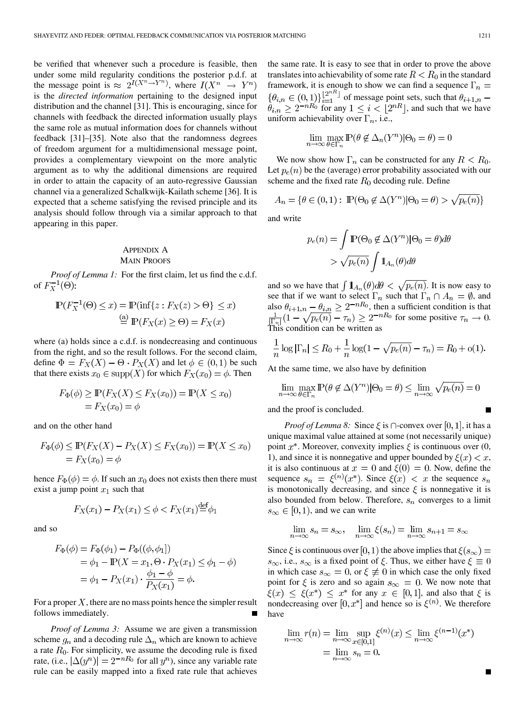be verified that whenever such a procedure is feasible, then under some mild regularity conditions the posterior p.d.f. at the message point is  $\approx 2^{I(X^n \to Y^n)}$ , where  $I(X^n \to Y^n)$ is the *directed information* pertaining to the designed input distribution and the channel [31]. This is encouraging, since for channels with feedback the directed information usually plays the same role as mutual information does for channels without feedback [31]–[35]. Note also that the randomness degrees of freedom argument for a multidimensional message point, provides a complementary viewpoint on the more analytic argument as to why the additional dimensions are required in order to attain the capacity of an auto-regressive Gaussian channel via a generalized Schalkwijk-Kailath scheme [36]. It is expected that a scheme satisfying the revised principle and its analysis should follow through via a similar approach to that appearing in this paper.

# APPENDIX A MAIN PROOFS

*Proof of Lemma 1:* For the first claim, let us find the c.d.f. of  $F_X^{-1}(\Theta)$ :

$$
\mathbb{P}(F_X^{-1}(\Theta) \le x) = \mathbb{P}(\inf\{z : F_X(z) > \Theta\} \le x)
$$

$$
\stackrel{\text{(a)}}{=} \mathbb{P}(F_X(x) \ge \Theta) = F_X(x)
$$

where (a) holds since a c.d.f. is nondecreasing and continuous from the right, and so the result follows. For the second claim, define  $\Phi = F_X(X) - \Theta \cdot P_X(X)$  and let  $\phi \in (0,1)$  be such that there exists  $x_0 \in \text{supp}(X)$  for which  $F_X(x_0) = \phi$ . Then

$$
F_{\Phi}(\phi) \ge \mathbb{P}(F_X(X) \le F_X(x_0)) = \mathbb{P}(X \le x_0)
$$
  
=  $F_X(x_0) = \phi$ 

and on the other hand

$$
F_{\Phi}(\phi) \le \mathbb{P}(F_X(X) - P_X(X) \le F_X(x_0)) = \mathbb{P}(X \le x_0)
$$
  
=  $F_X(x_0) = \phi$ 

hence  $F_{\Phi}(\phi) = \phi$ . If such an  $x_0$  does not exists then there must exist a jump point  $x_1$  such that

$$
F_X(x_1) - P_X(x_1) \le \phi < F_X(x_1) \stackrel{\text{def}}{=} \phi_1
$$

and so

$$
F_{\Phi}(\phi) = F_{\Phi}(\phi_1) - P_{\Phi}((\phi, \phi_1])
$$
  
=  $\phi_1 - \mathbb{P}(X = x_1, \Theta \cdot P_X(x_1) \le \phi_1 - \phi)$   
=  $\phi_1 - P_X(x_1) \cdot \frac{\phi_1 - \phi}{P_X(x_1)} = \phi.$ 

For a proper  $X$ , there are no mass points hence the simpler result follows immediately.

*Proof of Lemma 3:* Assume we are given a transmission scheme  $g_n$  and a decoding rule  $\Delta_n$  which are known to achieve a rate  $R_0$ . For simplicity, we assume the decoding rule is fixed rate, (i.e.,  $|\Delta(y^n)| = 2^{-nR_0}$  for all  $y^n$ ), since any variable rate rule can be easily mapped into a fixed rate rule that achieves the same rate. It is easy to see that in order to prove the above translates into achievability of some rate  $R < R_0$  in the standard framework, it is enough to show we can find a sequence  $\Gamma_n =$ of message point sets, such that for any  $1 \leq i < \lfloor 2^{nR} \rfloor$ , and such that we have uniform achievability over  $\Gamma_n$ , i.e.,

$$
\lim_{n \to \infty} \max_{\theta \in \Gamma_n} \mathbb{P}(\theta \notin \Delta_n(Y^n)|\Theta_0 = \theta) = 0
$$

We now show how  $\Gamma_n$  can be constructed for any  $R < R_0$ . Let  $p_e(n)$  be the (average) error probability associated with our scheme and the fixed rate  $R_0$  decoding rule. Define

$$
A_n = \{ \theta \in (0,1) : \mathbb{P}(\Theta_0 \not\in \Delta(Y^n)|\Theta_0 = \theta) > \sqrt{p_e(n)} \}
$$

and write

$$
p_e(n) = \int \mathbb{P}(\Theta_0 \not\in \Delta(Y^n)|\Theta_0 = \theta) d\theta
$$

$$
> \sqrt{p_e(n)} \int \mathbb{1}_{A_n}(\theta) d\theta
$$

and so we have that  $\int 1\!A_n(\theta)d\theta < \sqrt{p_e(n)}$ . It is now easy to see that if we want to select  $\Gamma_n$  such that  $\Gamma_n \cap A_n = \emptyset$ , and also  $\theta_{i+1,n} - \theta_{i,n} \geq 2^{-nR_0}$ , then a sufficient condition is that for some positive  $\tau_n \to 0$ . This condition can be written as

$$
\frac{1}{n}\log|\Gamma_n| \le R_0 + \frac{1}{n}\log(1 - \sqrt{p_e(n)} - \tau_n) = R_0 + o(1).
$$

At the same time, we also have by definition

$$
\lim_{n \to \infty} \max_{\theta \in \Gamma_n} \mathbb{P}(\theta \notin \Delta(Y^n)|\Theta_0 = \theta) \le \lim_{n \to \infty} \sqrt{p_e(n)} = 0
$$

and the proof is concluded.

*Proof of Lemma 8:* Since  $\xi$  is  $\cap$ -convex over  $[0, 1]$ , it has a unique maximal value attained at some (not necessarily unique) point  $x^*$ . Moreover, convexity implies  $\xi$  is continuous over (0, 1), and since it is nonnegative and upper bounded by  $\xi(x) < x$ , it is also continuous at  $x = 0$  and  $\xi(0) = 0$ . Now, define the sequence  $s_n = \xi^{(n)}(x^*)$ . Since  $\xi(x) < x$  the sequence  $s_n$ is monotonically decreasing, and since  $\xi$  is nonnegative it is also bounded from below. Therefore,  $s_n$  converges to a limit  $s_{\infty} \in [0, 1)$ , and we can write

$$
\lim_{n \to \infty} s_n = s_{\infty}, \quad \lim_{n \to \infty} \xi(s_n) = \lim_{n \to \infty} s_{n+1} = s_{\infty}
$$

Since  $\xi$  is continuous over [0, 1) the above implies that  $\xi(s_\infty)$  =  $s_{\infty}$ , i.e.,  $s_{\infty}$  is a fixed point of  $\xi$ . Thus, we either have  $\xi \equiv 0$ in which case  $s_{\infty} = 0$ , or  $\xi \neq 0$  in which case the only fixed point for  $\xi$  is zero and so again  $s_{\infty} = 0$ . We now note that  $\xi(x) \leq \xi(x^*) \leq x^*$  for any  $x \in [0,1]$ , and also that  $\xi$  is nondecreasing over  $[0, x^*]$  and hence so is  $\xi^{(n)}$ . We therefore have

$$
\lim_{n \to \infty} r(n) = \lim_{n \to \infty} \sup_{x \in [0,1]} \xi^{(n)}(x) \le \lim_{n \to \infty} \xi^{(n-1)}(x^*)
$$

$$
= \lim_{n \to \infty} s_n = 0.
$$

Г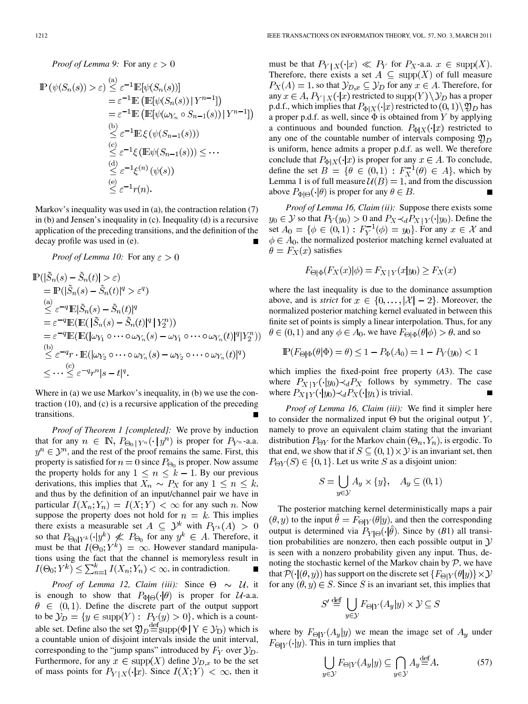$$
\begin{split} \mathbb{P}\left(\psi(S_n(s)) > \varepsilon\right) &\stackrel{(a)}{\leq} \varepsilon^{-1} \mathbb{E}[\psi(S_n(s))] \\ &= \varepsilon^{-1} \mathbb{E}\left(\mathbb{E}[\psi(S_n(s)) \mid Y^{n-1}]\right) \\ &= \varepsilon^{-1} \mathbb{E}\left(\mathbb{E}[\psi(\omega_{Y_n} \circ S_{n-1}(s)) \mid Y^{n-1}]\right) \\ &\stackrel{(b)}{\leq} \varepsilon^{-1} \mathbb{E}\left(\psi(S_{n-1}(s))\right) \\ &\stackrel{(c)}{\leq} \varepsilon^{-1} \xi\left(\mathbb{E}\psi(S_{n-1}(s))\right) \leq \cdots \\ &\stackrel{(d)}{\leq} \varepsilon^{-1} \xi^{(n)}\left(\psi(s)\right) \\ &\stackrel{(e)}{\leq} \varepsilon^{-1} r(n). \end{split}
$$

Markov's inequality was used in (a), the contraction relation (7) in (b) and Jensen's inequality in (c). Inequality (d) is a recursive application of the preceding transitions, and the definition of the decay profile was used in (e).

*Proof of Lemma 10:* For any  $\varepsilon > 0$ 

$$
\begin{split}\n& \mathbb{P}(|\tilde{S}_n(s) - \tilde{S}_n(t)| > \varepsilon) \\
& = \mathbb{P}(|\tilde{S}_n(s) - \tilde{S}_n(t)|^q > \varepsilon^q) \\
& \overset{(a)}{\leq} \varepsilon^{-q} \mathbb{E}|\tilde{S}_n(s) - \tilde{S}_n(t)|^q \\
& = \varepsilon^{-q} \mathbb{E}(\mathbb{E}(|\tilde{S}_n(s) - \tilde{S}_n(t)|^q | Y_2^n)) \\
& = \varepsilon^{-q} \mathbb{E}(\mathbb{E}(|\omega_{Y_1} \circ \cdots \circ \omega_{Y_n}(s) - \omega_{Y_1} \circ \cdots \circ \omega_{Y_n}(t)|^q | Y_2^n)) \\
& \overset{(b)}{\leq} \varepsilon^{-q} r \cdot \mathbb{E}(|\omega_{Y_2} \circ \cdots \circ \omega_{Y_n}(s) - \omega_{Y_2} \circ \cdots \circ \omega_{Y_n}(t)|^q) \\
& \leq \cdots \leq \varepsilon^{-q} r^n |s - t|^q.\n\end{split}
$$

Where in (a) we use Markov's inequality, in (b) we use the contraction (10), and (c) is a recursive application of the preceding transitions.

*Proof of Theorem 1 [completed]:* We prove by induction that for any  $n \in \mathbb{N}$ ,  $P_{\Theta_0|Y^n}(\cdot|y^n)$  is proper for  $P_{Y^n}$ -a.a.  $y^n \in \mathcal{Y}^n$ , and the rest of the proof remains the same. First, this property is satisfied for  $n = 0$  since  $P_{\Theta_0}$  is proper. Now assume the property holds for any  $1 \leq n \leq k-1$ . By our previous derivations, this implies that  $X_n \sim P_X$  for any  $1 \leq n \leq k$ , and thus by the definition of an input/channel pair we have in particular  $I(X_n; Y_n) = I(X; Y) < \infty$  for any such *n*. Now suppose the property does not hold for  $n = k$ . This implies there exists a measurable set  $A \subseteq \mathcal{Y}^k$  with  $P_{Y^k}(A) > 0$ so that  $P_{\Theta_0|Y^k}(\cdot|y^k) \nless P_{\Theta_0}$  for any  $y^k \in A$ . Therefore, it must be that  $I(\Theta_0; Y^k) = \infty$ . However standard manipulations using the fact that the channel is memoryless result in  $I(\Theta_0; Y^k) \leq \sum_{n=1}^k I(X_n; Y_n) < \infty$ , in contradiction.

*Proof of Lemma 12, Claim (iii):* Since  $\Theta \sim \mathcal{U}$ , it is enough to show that  $P_{\Phi|\Theta}(\cdot|\theta)$  is proper for  $\mathcal{U}$ -a.a.  $\theta \in (0,1)$ . Define the discrete part of the output support to be  $\mathcal{Y}_D = \{ y \in \text{supp}(Y) : P_Y(y) > 0 \}$ , which is a countable set. Define also the set  $\mathfrak{Y}_D \stackrel{\text{def}}{=} \underline{\text{supp}}(\Phi | Y \in \mathcal{Y}_D)$  which is a countable union of disjoint intervals inside the unit interval, corresponding to the "jump spans" introduced by  $F_Y$  over  $\mathcal{Y}_D$ . Furthermore, for any  $x \in \text{supp}(X)$  define  $\mathcal{Y}_{D,x}$  to be the set of mass points for  $P_{Y|X}(\cdot|x)$ . Since  $I(X;Y) < \infty$ , then it

must be that  $P_{Y|X}(\cdot|x) \ll P_Y$  for  $P_X$ -a.a.  $x \in \text{supp}(X)$ . Therefore, there exists a set  $A \subseteq \text{supp}(X)$  of full measure  $P_X(A) = 1$ , so that  $\mathcal{Y}_{D,x} \subseteq \mathcal{Y}_D$  for any  $x \in A$ . Therefore, for any  $x \in A$ ,  $P_{Y|X}(\cdot|x)$  restricted to supp $(Y) \setminus Y_D$  has a proper p.d.f., which implies that  $P_{\Phi|X}(\cdot|x)$  restricted to  $(0,1)\backslash \mathfrak{Y}_D$  has a proper p.d.f. as well, since  $\Phi$  is obtained from Y by applying a continuous and bounded function.  $P_{\Phi|X}(\cdot|x)$  restricted to any one of the countable number of intervals composing  $\mathfrak{Y}_D$ is uniform, hence admits a proper p.d.f. as well. We therefore conclude that  $P_{\Phi|X}(\cdot|x)$  is proper for any  $x \in A$ . To conclude, define the set  $B = \{ \theta \in (0,1) : F_X^{-1}(\theta) \in A \}$ , which by Lemma 1 is of full measure  $\mathcal{U}(B) = 1$ , and from the discussion above  $P_{\Phi|\Theta}(\cdot|\theta)$  is proper for any  $\theta \in B$ .

*Proof of Lemma 16, Claim (ii):* Suppose there exists some  $y_0 \in \mathcal{Y}$  so that  $P_Y(y_0) > 0$  and  $P_X \prec_d P_{X|Y}(\cdot | y_0)$ . Define the set  $A_0 = \{ \phi \in (0,1) : F_Y^{-1}(\phi) = y_0 \}.$  For any  $x \in \mathcal{X}$  and  $\phi \in A_0$ , the normalized posterior matching kernel evaluated at  $\theta = F_X(x)$  satisfies

$$
F_{\Theta|\Phi}(F_X(x)|\phi) = F_{X|Y}(x|y_0) \ge F_X(x)
$$

where the last inequality is due to the dominance assumption above, and is *strict* for  $x \in \{0, \ldots, |\mathcal{X}| - 2\}$ . Moreover, the normalized posterior matching kernel evaluated in between this finite set of points is simply a linear interpolation. Thus, for any  $\theta \in (0,1)$  and any  $\phi \in A_0$ , we have  $F_{\Theta | \Phi}(\theta | \phi) > \theta$ , and so

$$
\mathbb{P}(F_{\Theta|\Phi}(\theta|\Phi) = \theta) \le 1 - P_{\Phi}(A_0) = 1 - P_Y(y_0) < 1
$$

which implies the fixed-point free property (*A*3). The case where  $P_{X|Y}(\cdot|y_0) \prec_d P_X$  follows by symmetry. The case where  $P_{X|Y}(\cdot|y_0) \prec_d P_X(\cdot|y_1)$  is trivial. **The Second Service** 

*Proof of Lemma 16, Claim (iii):* We find it simpler here to consider the normalized input  $\Theta$  but the original output Y, namely to prove an equivalent claim stating that the invariant distribution  $P_{\Theta Y}$  for the Markov chain  $(\Theta_n, Y_n)$ , is ergodic. To that end, we show that if  $S \subseteq (0,1) \times \mathcal{Y}$  is an invariant set, then  $P_{\Theta Y}(S) \in \{0,1\}$ . Let us write S as a disjoint union:

$$
S = \bigcup_{y \in \mathcal{Y}} A_y \times \{y\}, \quad A_y \subseteq (0, 1)
$$

The posterior matching kernel deterministically maps a pair  $t(\theta, y)$  to the input  $\hat{\theta} = F_{\Theta|Y}(\theta|y)$ , and then the corresponding output is determined via  $P_{Y|\Theta}(\cdot|\hat{\theta})$ . Since by (*B*1) all transition probabilities are nonzero, then each possible output in  $Y$ is seen with a nonzero probability given any input. Thus, denoting the stochastic kernel of the Markov chain by  $P$ , we have that  $\mathcal{P}(\cdot | (\theta, y))$  has support on the discrete set  $\{F_{\Theta|Y}(\theta | y)\}\times \mathcal{Y}$ for any  $(\theta, y) \in S$ . Since S is an invariant set, this implies that

$$
S' \stackrel{\text{def}}{=} \bigcup_{y \in \mathcal{Y}} F_{\Theta|Y}(A_y|y) \times \mathcal{Y} \subseteq S
$$

where by  $F_{\Theta|Y}(A_y|y)$  we mean the image set of  $A_y$  under  $F_{\Theta|Y}(\cdot|y)$ . This in turn implies that

$$
\bigcup_{y \in \mathcal{Y}} F_{\Theta|Y}(A_y|y) \subseteq \bigcap_{y \in \mathcal{Y}} A_y \stackrel{\text{def}}{=} A. \tag{57}
$$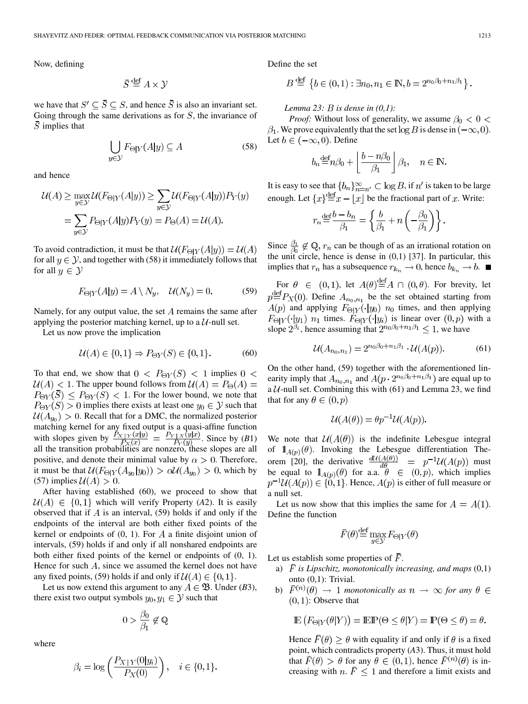Now, defining

$$
\bar{S} \stackrel{\text{def}}{=} A \times \mathcal{Y}
$$

we have that  $S' \subseteq \overline{S} \subseteq S$ , and hence  $\overline{S}$  is also an invariant set. Going through the same derivations as for  $S$ , the invariance of  $\overline{S}$  implies that

$$
\bigcup_{y \in \mathcal{Y}} F_{\Theta|Y}(A|y) \subseteq A \tag{58}
$$

and hence

$$
\mathcal{U}(A) \ge \max_{y \in \mathcal{Y}} \mathcal{U}(F_{\Theta|Y}(A|y)) \ge \sum_{y \in \mathcal{Y}} \mathcal{U}(F_{\Theta|Y}(A|y))P_Y(y)
$$

$$
= \sum_{y \in \mathcal{Y}} P_{\Theta|Y}(A|y)P_Y(y) = P_{\Theta}(A) = \mathcal{U}(A).
$$

To avoid contradiction, it must be that  $\mathcal{U}(F_{\Theta|Y}(A|y)) = \mathcal{U}(A)$ for all  $y \in \mathcal{Y}$ , and together with (58) it immediately follows that for all  $y \in \mathcal{Y}$ 

$$
F_{\Theta|Y}(A|y) = A \setminus N_y, \quad \mathcal{U}(N_y) = 0. \tag{59}
$$

Namely, for any output value, the set  $A$  remains the same after applying the posterior matching kernel, up to a  $\mathcal{U}$ -null set.

Let us now prove the implication

$$
\mathcal{U}(A) \in \{0, 1\} \Rightarrow P_{\Theta Y}(S) \in \{0, 1\}.\tag{60}
$$

To that end, we show that  $0 < P_{\Theta Y}(S) < 1$  implies  $0 <$  $\mathcal{U}(A)$  < 1. The upper bound follows from  $\mathcal{U}(A) = P_{\Theta}(A) =$  $P_{\Theta Y}(\bar{S}) \leq P_{\Theta Y}(S) < 1$ . For the lower bound, we note that  $P_{\Theta Y}(S) > 0$  implies there exists at least one  $y_0 \in \mathcal{Y}$  such that  $\mathcal{U}(A_{y_0}) > 0$ . Recall that for a DMC, the normalized posterior matching kernel for any fixed output is a quasi-affine function with slopes given by  $\frac{F_X[Y(x|y)]}{P_Y(x)} = \frac{F_Y[X(y|x)]}{P_Y(y)}$ . Since by (*B*1) all the transition probabilities are nonzero, these slopes are all positive, and denote their minimal value by  $\alpha > 0$ . Therefore, it must be that  $\mathcal{U}(F_{\Theta|Y}(A_{y_0}|y_0)) > \alpha \mathcal{U}(A_{y_0}) > 0$ , which by (57) implies  $\mathcal{U}(A) > 0$ .

After having established (60), we proceed to show that  $\mathcal{U}(A) \in \{0,1\}$  which will verify Property (A2). It is easily observed that if  $\vec{A}$  is an interval, (59) holds if and only if the endpoints of the interval are both either fixed points of the kernel or endpoints of  $(0, 1)$ . For A a finite disjoint union of intervals, (59) holds if and only if all nonshared endpoints are both either fixed points of the kernel or endpoints of (0, 1). Hence for such  $A$ , since we assumed the kernel does not have any fixed points, (59) holds if and only if  $\mathcal{U}(A) \in \{0, 1\}$ .

Let us now extend this argument to any  $A \in \mathfrak{B}$ . Under (B3), there exist two output symbols  $y_0, y_1 \in \mathcal{Y}$  such that

$$
0>\frac{\beta_0}{\beta_1}\not\in\mathbb{Q}
$$

where

$$
\beta_i = \log\left(\frac{P_{X|Y}(0|y_i)}{P_X(0)}\right), \quad i \in \{0, 1\}.
$$

Define the set

 $\ddot{\phantom{a}}$ 

$$
B \stackrel{\text{def}}{=} \left\{ b \in (0,1) : \exists n_0, n_1 \in \mathbb{N}, b = 2^{n_0 \beta_0 + n_1 \beta_1} \right\}.
$$

*Lemma 23: is dense in (0,1):*

*Proof:* Without loss of generality, we assume  $\beta_0 < 0 <$  $\beta_1$ . We prove equivalently that the set  $\log B$  is dense in  $(-\infty, 0)$ . Let  $b \in (-\infty, 0)$ . Define

$$
b_n \stackrel{\text{def}}{=} n\beta_0 + \left\lfloor \frac{b - n\beta_0}{\beta_1} \right\rfloor \beta_1, \quad n \in \mathbb{N}.
$$

It is easy to see that  ${b_n}_{n=n'} \subset \log B$ , if  $n'$  is taken to be large enough. Let  $\{x\} \stackrel{\text{def}}{=} x - |x|$  be the fractional part of x. Write:

$$
r_n \stackrel{\text{def}}{=} \frac{b - b_n}{\beta_1} = \left\{ \frac{b}{\beta_1} + n \left( -\frac{\beta_0}{\beta_1} \right) \right\}.
$$

Since  $\frac{\beta_1}{\beta_2} \notin \mathbb{Q}$ ,  $r_n$  can be though of as an irrational rotation on the unit circle, hence is dense in (0,1) [37]. In particular, this implies that  $r_n$  has a subsequence  $r_{k_n} \to 0$ , hence  $b_{k_n} \to b$ .

For  $\theta \in (0,1)$ , let  $A(\theta) \stackrel{\text{def}}{=} A \cap (0,\theta)$ . For brevity, let  $p = P_X(0)$ . Define  $A_{n_0,n_1}$  be the set obtained starting from  $A(p)$  and applying  $F_{\Theta|Y}(\cdot|y_0)$   $n_0$  times, and then applying  $F_{\Theta|Y}(\cdot|y_1)$   $n_1$  times.  $F_{\Theta|Y}(\cdot|y_i)$  is linear over  $(0, p)$  with a slope  $2^{\beta_i}$ , hence assuming that  $2^{n_0\beta_0+n_1\beta_1} < 1$ , we have

$$
U(A_{n_0,n_1}) = 2^{n_0\beta_0 + n_1\beta_1} \cdot U(A(p)). \tag{61}
$$

On the other hand, (59) together with the aforementioned linearity imply that  $A_{n_0,n_1}$  and  $A(p \cdot 2^{n_0 \beta_0 + n_1 \beta_1})$  are equal up to a  $U$ -null set. Combining this with (61) and Lemma 23, we find that for any  $\theta \in (0, p)$ 

$$
\mathcal{U}(A(\theta)) = \theta p^{-1} \mathcal{U}(A(p)).
$$

We note that  $\mathcal{U}(A(\theta))$  is the indefinite Lebesgue integral of  $1_{A(p)}(\theta)$ . Invoking the Lebesgue differentiation Theorem [20], the derivative  $\frac{d\mathcal{U}(A(\theta))}{d\theta} = p^{-1}\mathcal{U}(A(p))$  must be equal to  $1_{A(p)}(\theta)$  for a.a.  $\theta \in (0,p)$ , which implies  $p^{-1}\mathcal{U}(A(p)) \in \{0,1\}$ . Hence,  $A(p)$  is either of full measure or a null set.

Let us now show that this implies the same for  $A = A(1)$ . Define the function

$$
\bar{F}(\theta) \stackrel{\text{def}}{=} \max_{y \in \mathcal{Y}} F_{\Theta|Y}(\theta)
$$

Let us establish some properties of  $\bar{F}$ .

- a)  $\bar{F}$  is Lipschitz, monotonically increasing, and maps  $(0,1)$ onto (0,1): Trivial.
- b)  $\bar{F}^{(n)}(\theta) \rightarrow 1$  monotonically as  $n \rightarrow \infty$  for any  $\theta \in$  $(0, 1)$ : Observe that

$$
\mathbb{E}\left(F_{\Theta|Y}(\theta|Y)\right) = \mathbb{E}\mathbb{P}(\Theta \le \theta|Y) = \mathbb{P}(\Theta \le \theta) = \theta.
$$

Hence  $\bar{F}(\theta) \ge \theta$  with equality if and only if  $\theta$  is a fixed point, which contradicts property (*A*3). Thus, it must hold that  $\bar{F}(\theta) > \theta$  for any  $\theta \in (0,1)$ , hence  $\bar{F}^{(n)}(\theta)$  is increasing with n.  $\bar{F} \leq 1$  and therefore a limit exists and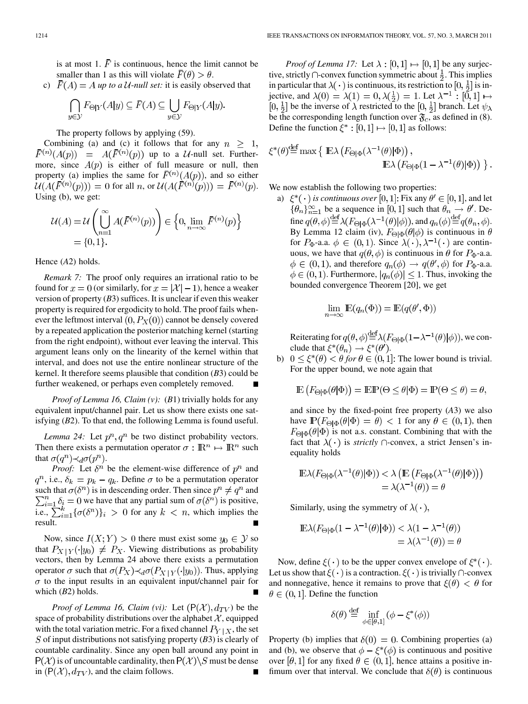is at most 1.  $\bar{F}$  is continuous, hence the limit cannot be smaller than 1 as this will violate  $\bar{F}(\theta) > \theta$ .

c)  $\bar{F}(A) = A$  *up to a U-null set:* it is easily observed that

$$
\bigcap_{y \in \mathcal{Y}} F_{\Theta|Y}(A|y) \subseteq \overline{F}(A) \subseteq \bigcup_{y \in \mathcal{Y}} F_{\Theta|Y}(A|y).
$$

The property follows by applying (59).

Combining (a) and (c) it follows that for any  $n \geq 1$ ,  $\bar{F}^{(n)}(A(p)) = A(\bar{F}^{(n)}(p))$  up to a *U*-null set. Furthermore, since  $A(p)$  is either of full measure or null, then property (a) implies the same for  $\bar{F}^{(n)}(A(p))$ , and so either  $\mathcal{U}(\tilde{A}(\tilde{F}^{(n)}(p))) = 0$  for all n, or  $\mathcal{U}(A(\tilde{F}^{(n)}(p))) = \tilde{F}^{(n)}(p)$ . Using (b), we get:

$$
\mathcal{U}(A) = \mathcal{U}\left(\bigcup_{n=1}^{\infty} A(\bar{F}^{(n)}(p))\right) \in \left\{0, \lim_{n \to \infty} \bar{F}^{(n)}(p)\right\}
$$

$$
= \{0, 1\}.
$$

# Hence (*A*2) holds.

*Remark 7:* The proof only requires an irrational ratio to be found for  $x = 0$  (or similarly, for  $x = |\mathcal{X}| - 1$ ), hence a weaker version of property (*B*3) suffices. It is unclear if even this weaker property is required for ergodicity to hold. The proof fails whenever the leftmost interval  $(0, P_X(0))$  cannot be densely covered by a repeated application the posterior matching kernel (starting from the right endpoint), without ever leaving the interval. This argument leans only on the linearity of the kernel within that interval, and does not use the entire nonlinear structure of the kernel. It therefore seems plausible that condition (*B*3) could be further weakened, or perhaps even completely removed.

*Proof of Lemma 16, Claim (v):* (*B*1) trivially holds for any equivalent input/channel pair. Let us show there exists one satisfying (*B*2). To that end, the following Lemma is found useful.

*Lemma 24:* Let  $p^n, q^n$  be two distinct probability vectors. Then there exists a permutation operator  $\sigma : \mathbb{R}^n \mapsto \mathbb{R}^n$  such that  $\sigma(q^n) \prec_d \sigma(p^n)$ .

*Proof:* Let  $\delta^n$  be the element-wise difference of  $p^n$  and  $q^n$ , i.e.,  $\delta_k = p_k - q_k$ . Define  $\sigma$  to be a permutation operator such that  $\sigma(\delta^n)$  is in descending order. Then since  $p^n \neq q^n$  and we have that any partial sum of  $\sigma(\delta^n)$  is positive, i.e.,  $\sum_{i=1}^{\kappa} {\{\sigma(\delta^n)\}_i} > 0$  for any  $k < n$ , which implies the result.

Now, since  $I(X;Y) > 0$  there must exist some  $y_0 \in Y$  so that  $P_{X|Y}(\cdot|y_0) \neq P_X$ . Viewing distributions as probability vectors, then by Lemma 24 above there exists a permutation operator  $\sigma$  such that  $\sigma(P_X) \prec_d \sigma(P_{X|Y}(\cdot|y_0))$ . Thus, applying  $\sigma$  to the input results in an equivalent input/channel pair for which (*B*2) holds.

*Proof of Lemma 16, Claim (vi):* Let  $(P(\mathcal{X}), d_{TV})$  be the space of probability distributions over the alphabet  $\mathcal{X}$ , equipped with the total variation metric. For a fixed channel  $P_{Y|X}$ , the set S of input distributions not satisfying property (B3) is clearly of countable cardinality. Since any open ball around any point in  $P(\mathcal{X})$  is of uncountable cardinality, then  $P(\mathcal{X})\backslash S$  must be dense in  $(P(X), d_{TV})$ , and the claim follows.

*Proof of Lemma 17:* Let  $\lambda : [0,1] \mapsto [0,1]$  be any surjective, strictly  $\cap$ -convex function symmetric about  $\frac{1}{2}$ . This implies in particular that  $\lambda(\cdot)$  is continuous, its restriction to  $[0, \frac{1}{2}]$  is injective, and  $\lambda(0) = \lambda(1) = 0, \lambda(\frac{1}{2}) = 1$ . Let  $\lambda^{-1} : [0,1] \mapsto$  $[0, \frac{1}{2}]$  be the inverse of  $\lambda$  restricted to the  $[0, \frac{1}{2}]$  branch. Let  $\psi_{\lambda}$ be the corresponding length function over  $\mathfrak{F}_c$ , as defined in (8). Define the function  $\xi^* : [0,1] \mapsto [0,1]$  as follows:

$$
\xi^*(\theta) \stackrel{\text{def}}{=} \max \left\{ \mathbb{E} \lambda \left( F_{\Theta | \Phi}(\lambda^{-1}(\theta) | \Phi) \right), \mathbb{E} \lambda \left( F_{\Theta | \Phi} (1 - \lambda^{-1}(\theta) | \Phi) \right) \right\}.
$$

We now establish the following two properties:

a)  $\xi^*(\cdot)$  is continuous over [0, 1]: Fix any  $\theta' \in [0, 1]$ , and let be a sequence in [0, 1] such that  $\theta_n \to \theta'$ . Define  $q(\theta, \phi) \equiv \lambda (F_{\Theta | \Phi}(\lambda^{-1}(\theta) | \phi))$ , and  $q_n(\phi) \equiv q(\theta_n, \phi)$ . By Lemma 12 claim (iv),  $F_{\Theta|\Phi}(\theta|\phi)$  is continuous in  $\theta$ for  $P_{\Phi}$ -a.a.  $\phi \in (0,1)$ . Since  $\lambda(\cdot), \lambda^{-1}(\cdot)$  are continuous, we have that  $q(\theta, \phi)$  is continuous in  $\theta$  for  $P_{\Phi}$ -a.a.  $\phi \in (0,1)$ , and therefore  $q_n(\phi) \to q(\theta', \phi)$  for  $P_{\Phi}$ -a.a.  $\phi \in (0, 1)$ . Furthermore,  $|q_n(\phi)| \leq 1$ . Thus, invoking the bounded convergence Theorem [20], we get

$$
\lim_{n \to \infty} \mathbb{E}(q_n(\Phi)) = \mathbb{E}(q(\theta', \Phi))
$$

Reiterating for  $q(\theta, \phi) \stackrel{\text{def}}{=} \lambda (F_{\Theta | \Phi}(1 - \lambda^{-1}(\theta) | \phi))$ , we conclude that  $\xi^*(\theta_n) \to \xi^*(\theta')$ .

b)  $0 \leq \xi^*(\theta) < \theta$  for  $\theta \in (0,1]$ : The lower bound is trivial. For the upper bound, we note again that

$$
\mathbb{E}\left(F_{\Theta|\Phi}(\theta|\Phi)\right) = \mathbb{E}\mathbb{P}(\Theta \le \theta|\Phi) = \mathbb{P}(\Theta \le \theta) = \theta,
$$

and since by the fixed-point free property (*A*3) we also have  $\mathbb{P}(F_{\Theta|\Phi}(\theta|\Phi) = \theta) < 1$  for any  $\theta \in (0,1)$ , then  $F_{\Theta|\Phi}(\theta|\Phi)$  is not a.s. constant. Combining that with the fact that  $\lambda(\cdot)$  is *strictly*  $\cap$ -convex, a strict Jensen's inequality holds

$$
\mathbb{E}\lambda(F_{\Theta|\Phi}(\lambda^{-1}(\theta)|\Phi)) < \lambda \left( \mathbb{E}\left(F_{\Theta|\Phi}(\lambda^{-1}(\theta)|\Phi)\right) \right) = \lambda(\lambda^{-1}(\theta)) = \theta
$$

Similarly, using the symmetry of  $\lambda(\cdot)$ ,

$$
\mathbb{E}\lambda(F_{\Theta|\Phi}(1-\lambda^{-1}(\theta)|\Phi)) < \lambda(1-\lambda^{-1}(\theta))
$$
  
=  $\lambda(\lambda^{-1}(\theta)) = \theta$ 

Now, define  $\xi(\cdot)$  to be the upper convex envelope of  $\xi^*(\cdot)$ . Let us show that  $\xi(\cdot)$  is a contraction.  $\xi(\cdot)$  is trivially  $\cap$ -convex and nonnegative, hence it remains to prove that  $\xi(\theta) < \theta$  for  $\theta \in (0, 1]$ . Define the function

$$
\delta(\theta) \stackrel{\text{def}}{=} \inf_{\phi \in [\theta,1]} (\phi - \xi^*(\phi))
$$

Property (b) implies that  $\delta(0) = 0$ . Combining properties (a) and (b), we observe that  $\phi - \xi^*(\phi)$  is continuous and positive over [ $\theta$ , 1] for any fixed  $\theta \in (0, 1]$ , hence attains a positive infimum over that interval. We conclude that  $\delta(\theta)$  is continuous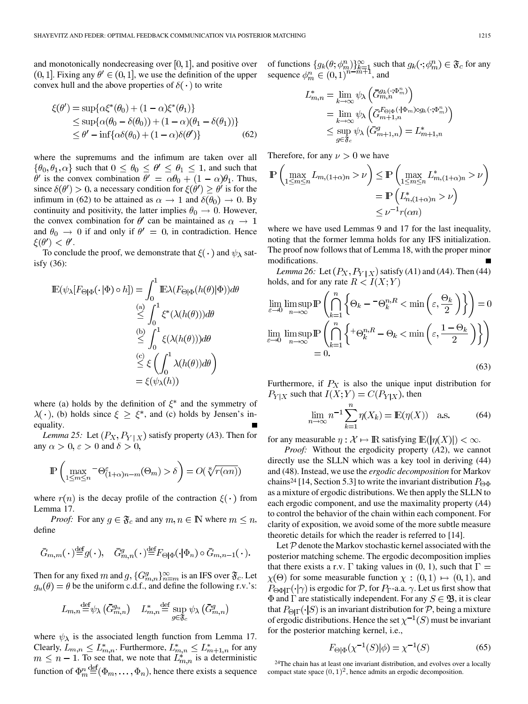and monotonically nondecreasing over  $[0, 1]$ , and positive over  $(0, 1]$ . Fixing any  $\theta' \in (0, 1]$ , we use the definition of the upper convex hull and the above properties of  $\delta(\cdot)$  to write

$$
\xi(\theta') = \sup \{ \alpha \xi^*(\theta_0) + (1 - \alpha) \xi^*(\theta_1) \}
$$
  
\n
$$
\leq \sup \{ \alpha(\theta_0 - \delta(\theta_0)) + (1 - \alpha)(\theta_1 - \delta(\theta_1)) \}
$$
  
\n
$$
\leq \theta' - \inf \{ \alpha \delta(\theta_0) + (1 - \alpha) \delta(\theta') \}
$$
(62)

where the supremums and the infimum are taken over all such that  $0 \le \theta_0 \le \theta' \le \theta_1 \le 1$ , and such that is the convex combination  $\theta' = \alpha \theta_0 + (1 - \alpha)\theta_1$ . Thus, since  $\delta(\theta') > 0$ , a necessary condition for  $\xi(\theta') \ge \theta'$  is for the infimum in (62) to be attained as  $\alpha \to 1$  and  $\delta(\theta_0) \to 0$ . By continuity and positivity, the latter implies  $\theta_0 \rightarrow 0$ . However, the convex combination for  $\theta'$  can be maintained as  $\alpha \rightarrow 1$ and  $\theta_0 \rightarrow 0$  if and only if  $\theta' = 0$ , in contradiction. Hence  $\xi(\theta') < \theta'.$ 

To conclude the proof, we demonstrate that  $\xi(\cdot)$  and  $\psi_{\lambda}$  satisfy (36):

$$
\mathbb{E}(\psi_{\lambda}[F_{\Theta|\Phi}(\cdot|\Phi) \circ h]) = \int_{0}^{1} \mathbb{E}\lambda(F_{\Theta|\Phi}(h(\theta)|\Phi))d\theta
$$
  
\n
$$
\stackrel{(a)}{\leq} \int_{0}^{1} \xi^*(\lambda(h(\theta)))d\theta
$$
  
\n
$$
\stackrel{(b)}{\leq} \int_{0}^{1} \xi(\lambda(h(\theta)))d\theta
$$
  
\n
$$
\stackrel{(c)}{\leq} \xi \left(\int_{0}^{1} \lambda(h(\theta))d\theta\right)
$$
  
\n
$$
= \xi(\psi_{\lambda}(h))
$$

where (a) holds by the definition of  $\xi^*$  and the symmetry of  $\lambda(\cdot)$ , (b) holds since  $\xi \geq \xi^*$ , and (c) holds by Jensen's inequality.

*Lemma 25:* Let  $(P_X, P_{Y|X})$  satisfy property (A3). Then for any  $\alpha > 0$ ,  $\varepsilon > 0$  and  $\delta > 0$ ,

$$
\mathbb{P}\left(\max_{1\leq m\leq n} \mathcal{P}(\mathcal{C}_{(1+\alpha)n-m}(\Theta_m) > \delta\right) = O(\sqrt[8]{r(\alpha n)})
$$

where  $r(n)$  is the decay profile of the contraction  $\xi(\cdot)$  from Lemma 17.

*Proof:* For any  $g \in \mathfrak{F}_c$  and any  $m, n \in \mathbb{N}$  where  $m \leq n$ , define

$$
\bar{G}_{m,m}(\cdot) \stackrel{\text{def}}{=} g(\cdot), \quad \bar{G}_{m,n}^g(\cdot) \stackrel{\text{def}}{=} F_{\Theta|\Phi}(\cdot | \Phi_n) \circ \bar{G}_{m,n-1}(\cdot).
$$

Then for any fixed m and  $g$ ,  $\{G_{m,n}^g\}_{n=m}^\infty$  is an IFS over  $\mathfrak{F}_c$ . Let  $g_u(\theta) = \theta$  be the uniform c.d.f., and define the following r.v.'s:

$$
L_{m,n} \stackrel{\text{def}}{=} \psi_{\lambda} \left( \bar{G}_{m,n}^{g_u} \right) \quad L_{m,n}^* \stackrel{\text{def}}{=} \sup_{g \in \mathfrak{F}_c} \psi_{\lambda} \left( \bar{G}_{m,n}^g \right)
$$

where  $\psi_{\lambda}$  is the associated length function from Lemma 17. Clearly,  $L_{m,n} \leq L_{m,n}^*$ . Furthermore,  $L_{m,n}^* \leq L_{m+1,n}^*$  for any . To see that, we note that  $L_{m,n}^*$  is a deterministic function of  $\Phi_m^{\text{n def}}(\Phi_m, \dots, \Phi_n)$ , hence there exists a sequence of functions  $\{g_k(\theta; \phi_m^n)\}_{k=1}^{\infty}$  such that  $g_k(\cdot; \phi_m^n) \in \mathfrak{F}_c$  for any sequence  $\phi_m^n \in (0,1)^{n-m+1}$ , and

$$
L_{m,n}^{*} = \lim_{k \to \infty} \psi_{\lambda} \left( \bar{G}_{m,n}^{g_k(\cdot; \Phi_m^n)} \right)
$$
  
= 
$$
\lim_{k \to \infty} \psi_{\lambda} \left( \bar{G}_{m+1,n}^{F_{\Theta|\Phi}(\cdot | \Phi_m) \circ g_k(\cdot; \Phi_m^n)} \right)
$$
  

$$
\leq \sup_{g \in \mathfrak{F}_c} \psi_{\lambda} \left( \bar{G}_{m+1,n}^g \right) = L_{m+1,n}^{*}
$$

Therefore, for any  $\nu > 0$  we have

$$
\mathbb{P}\left(\max_{1\leq m\leq n} L_{m,(1+\alpha)n} > \nu\right) \leq \mathbb{P}\left(\max_{1\leq m\leq n} L_{m,(1+\alpha)n}^* > \nu\right)
$$

$$
= \mathbb{P}\left(L_{n,(1+\alpha)n}^* > \nu\right)
$$

$$
\leq \nu^{-1}r(\alpha n)
$$

where we have used Lemmas 9 and 17 for the last inequality, noting that the former lemma holds for any IFS initialization. The proof now follows that of Lemma 18, with the proper minor modifications.

*Lemma 26:* Let  $(P_X, P_{Y|X})$  satisfy (*A*1) and (*A*4). Then (44) holds, and for any rate  $R < I(X;Y)$ 

$$
\lim_{\varepsilon \to 0} \limsup_{n \to \infty} \mathbb{P}\left(\bigcap_{k=1}^{n} \left\{\Theta_k - \Theta_k^{n,R} < \min\left(\varepsilon, \frac{\Theta_k}{2}\right)\right\}\right) = 0
$$
\n
$$
\lim_{\varepsilon \to 0} \limsup_{n \to \infty} \mathbb{P}\left(\bigcap_{k=1}^{n} \left\{\Theta_k^{n,R} - \Theta_k < \min\left(\varepsilon, \frac{1 - \Theta_k}{2}\right)\right\}\right) = 0
$$
\n
$$
= 0.
$$
\n(63)

Furthermore, if  $P_X$  is also the unique input distribution for  $P_{Y|X}$  such that  $I(X;Y) = C(P_{Y|X})$ , then

$$
\lim_{n \to \infty} n^{-1} \sum_{k=1}^{n} \eta(X_k) = \mathbb{E}(\eta(X)) \quad \text{a.s.} \tag{64}
$$

for any measurable  $\eta : \mathcal{X} \mapsto \mathbb{R}$  satisfying  $\mathbb{E}(|\eta(X)|) < \infty$ .

*Proof:* Without the ergodicity property (*A*2), we cannot directly use the SLLN which was a key tool in deriving (44) and (48). Instead, we use the *ergodic decomposition* for Markov chains<sup>24</sup> [14, Section 5.3] to write the invariant distribution  $P_{\Theta\Phi}$ as a mixture of ergodic distributions. We then apply the SLLN to each ergodic component, and use the maximality property (*A*4) to control the behavior of the chain within each component. For clarity of exposition, we avoid some of the more subtle measure theoretic details for which the reader is referred to [14].

Let  $P$  denote the Markov stochastic kernel associated with the posterior matching scheme. The ergodic decomposition implies that there exists a r.v.  $\Gamma$  taking values in (0, 1), such that  $\Gamma =$  $\chi(\Theta)$  for some measurable function  $\chi : (0,1) \mapsto (0,1)$ , and  $P_{\Theta \Phi}$  $\Gamma(\cdot | \gamma)$  is ergodic for  $\mathcal{P}$ , for  $P_{\Gamma}$ -a.a.  $\gamma$ . Let us first show that  $\Phi$  and  $\Gamma$  are statistically independent. For any  $S \in \mathfrak{B}$ , it is clear that  $P_{\Theta|\Gamma}(\cdot|S)$  is an invariant distribution for P, being a mixture of ergodic distributions. Hence the set  $\chi^{-1}(S)$  must be invariant for the posterior matching kernel, i.e.,

$$
F_{\Theta|\Phi}(\chi^{-1}(S)|\phi) = \chi^{-1}(S)
$$
\n(65)

<sup>&</sup>lt;sup>24</sup>The chain has at least one invariant distribution, and evolves over a locally compact state space  $(0, 1)^2$ , hence admits an ergodic decomposition.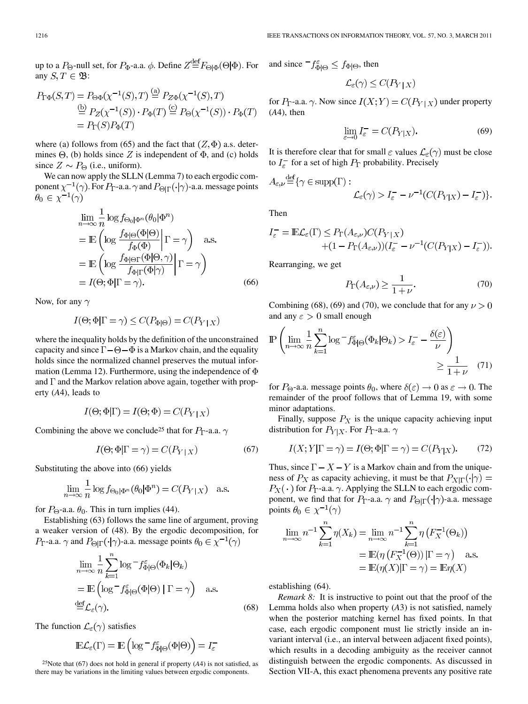up to a  $P_{\Theta}$ -null set, for  $P_{\Phi}$ -a.a.  $\phi$ . Define  $Z^{\text{def}} = F_{\Theta|\Phi}(\Theta|\Phi)$ . For any  $S, T \in \mathfrak{B}$ :

$$
P_{\Gamma\Phi}(S,T) = P_{\Theta\Phi}(\chi^{-1}(S),T) \stackrel{\text{(a)}}{=} P_{Z\Phi}(\chi^{-1}(S),T)
$$
  
\n
$$
\stackrel{\text{(b)}}{=} P_Z(\chi^{-1}(S)) \cdot P_{\Phi}(T) \stackrel{\text{(c)}}{=} P_{\Theta}(\chi^{-1}(S)) \cdot P_{\Phi}(T)
$$
  
\n
$$
= P_{\Gamma}(S)P_{\Phi}(T)
$$

where (a) follows from (65) and the fact that  $(Z, \Phi)$  a.s. determines  $\Theta$ , (b) holds since Z is independent of  $\Phi$ , and (c) holds since  $Z \sim P_{\Theta}$  (i.e., uniform).

We can now apply the SLLN (Lemma 7) to each ergodic component  $\chi^{-1}(\gamma)$ . For  $P_{\Gamma}$ -a.a.  $\gamma$  and  $P_{\Theta|\Gamma}(\cdot|\gamma)$ -a.a. message points  $\theta_0 \in \chi^{-1}(\gamma)$ 

$$
\lim_{n \to \infty} \frac{1}{n} \log f_{\Theta_0 | \Phi^n}(\theta_0 | \Phi^n)
$$
\n
$$
= \mathbb{E} \left( \log \frac{f_{\Phi | \Theta}(\Phi | \Theta)}{f_{\Phi}(\Phi)} \middle| \Gamma = \gamma \right) \text{ a.s.}
$$
\n
$$
= \mathbb{E} \left( \log \frac{f_{\Phi | \Theta \Gamma}(\Phi | \Theta, \gamma)}{f_{\Phi | \Gamma}(\Phi | \gamma)} \middle| \Gamma = \gamma \right)
$$
\n
$$
= I(\Theta; \Phi | \Gamma = \gamma). \tag{66}
$$

Now, for any  $\gamma$ 

$$
I(\Theta; \Phi | \Gamma = \gamma) \le C(P_{\Phi | \Theta}) = C(P_{Y | X})
$$

where the inequality holds by the definition of the unconstrained capacity and since  $\Gamma$  –  $\Theta$  –  $\Phi$  is a Markov chain, and the equality holds since the normalized channel preserves the mutual information (Lemma 12). Furthermore, using the independence of  $\Phi$ and  $\Gamma$  and the Markov relation above again, together with property (*A*4), leads to

$$
I(\Theta; \Phi | \Gamma) = I(\Theta; \Phi) = C(P_{Y | X})
$$

Combining the above we conclude<sup>25</sup> that for  $P_\Gamma$ -a.a.  $\gamma$ 

$$
I(\Theta; \Phi | \Gamma = \gamma) = C(P_{Y | X}) \tag{67}
$$

Substituting the above into (66) yields

$$
\lim_{n \to \infty} \frac{1}{n} \log f_{\Theta_0 | \Phi^n}(\theta_0 | \Phi^n) = C(P_{Y | X})
$$
 a.s.

for  $P_{\Theta}$ -a.a.  $\theta_0$ . This in turn implies (44).

Establishing (63) follows the same line of argument, proving a weaker version of (48). By the ergodic decomposition, for  $P_{\Gamma}$ -a.a.  $\gamma$  and  $P_{\Theta|\Gamma}(\cdot|\gamma)$ -a.a. message points  $\theta_0 \in \chi^{-1}(\gamma)$ 

$$
\lim_{n \to \infty} \frac{1}{n} \sum_{k=1}^{n} \log \left( \Phi_k | \Theta_k \right)
$$
\n
$$
= \mathbb{E} \left( \log \left( \frac{1}{\Phi} | \Theta \right) \mid \Gamma = \gamma \right) \quad \text{a.s.}
$$
\n
$$
\frac{\det}{\Phi} \mathcal{L}_{\varepsilon}(\gamma). \tag{68}
$$

The function  $\mathcal{L}_{\varepsilon}(\gamma)$  satisfies

$$
\mathbb{E}\mathcal{L}_{\varepsilon}(\Gamma) = \mathbb{E}\left(\log^{-}f_{\Phi|\Theta}^{\varepsilon}(\Phi|\Theta)\right) = I_{\varepsilon}^{-}
$$

25Note that (67) does not hold in general if property (*A*4) is not satisfied, as there may be variations in the limiting values between ergodic components.

and since  $-f_{\Phi|\Theta}^{\varepsilon} \leq f_{\Phi|\Theta}$ , then

$$
\mathcal{L}_{\varepsilon}(\gamma) \le C(P_{Y|X})
$$

for  $P_{\Gamma}$ -a.a.  $\gamma$ . Now since  $I(X;Y) = C(P_{Y|X})$  under property (*A*4), then

$$
\lim_{\varepsilon \to 0} I_{\varepsilon}^- = C(P_{Y|X}).\tag{69}
$$

It is therefore clear that for small  $\varepsilon$  values  $\mathcal{L}_{\varepsilon}(\gamma)$  must be close to  $I_{\varepsilon}^-$  for a set of high  $P_{\Gamma}$  probability. Precisely

$$
A_{\varepsilon,\nu} \stackrel{\text{def}}{=} \{ \gamma \in \text{supp}(\Gamma) : \mathcal{L}_{\varepsilon}(\gamma) > I_{\varepsilon}^- - \nu^{-1} (C(P_{Y|X}) - I_{\varepsilon}^-) \}.
$$

Then

$$
I_{\varepsilon}^- = \mathbb{E}\mathcal{L}_{\varepsilon}(\Gamma) \le P_{\Gamma}(A_{\varepsilon,\nu})C(P_{Y|X}) +(1 - P_{\Gamma}(A_{\varepsilon,\nu}))(I_{\varepsilon}^- - \nu^{-1}(C(P_{Y|X}) - I_{\varepsilon}^-)).
$$

Rearranging, we get

$$
P_{\Gamma}(A_{\varepsilon,\nu}) \ge \frac{1}{1+\nu}.\tag{70}
$$

Combining (68), (69) and (70), we conclude that for any  $\nu > 0$ and any  $\varepsilon > 0$  small enough

$$
\mathbb{P}\left(\lim_{n\to\infty}\frac{1}{n}\sum_{k=1}^n\log\left(-f_{\Phi|\Theta}^{\varepsilon}(\Phi_k|\Theta_k)\right) > I_{\varepsilon}^{-1} - \frac{\delta(\varepsilon)}{\nu}\right) \ge \frac{1}{1+\nu} \quad (71)
$$

for  $P_{\Theta}$ -a.a. message points  $\theta_0$ , where  $\delta(\varepsilon) \to 0$  as  $\varepsilon \to 0$ . The remainder of the proof follows that of Lemma 19, with some minor adaptations.

Finally, suppose  $P_X$  is the unique capacity achieving input distribution for  $P_{Y|X}$ . For  $P_{\Gamma}$ -a.a.  $\gamma$ 

$$
I(X;Y|\Gamma=\gamma) = I(\Theta; \Phi|\Gamma=\gamma) = C(P_{Y|X}).\tag{72}
$$

Thus, since  $\Gamma - X - Y$  is a Markov chain and from the uniqueness of  $P_X$  as capacity achieving, it must be that  $P_{X|\Gamma}(\cdot|\gamma) =$  $P_X(\cdot)$  for  $P_\Gamma$ -a.a.  $\gamma$ . Applying the SLLN to each ergodic component, we find that for  $P_{\Gamma}$ -a.a.  $\gamma$  and  $P_{\Theta|\Gamma}(\cdot|\gamma)$ -a.a. message points  $\theta_0 \in \chi^{-1}(\gamma)$ 

$$
\lim_{n \to \infty} n^{-1} \sum_{k=1}^{n} \eta(X_k) = \lim_{n \to \infty} n^{-1} \sum_{k=1}^{n} \eta(F_X^{-1}(\Theta_k))
$$

$$
= \mathbb{E}(\eta(F_X^{-1}(\Theta)) | \Gamma = \gamma) \text{ a.s.}
$$

$$
= \mathbb{E}(\eta(X) | \Gamma = \gamma) = \mathbb{E}\eta(X)
$$

establishing (64).

*Remark 8:* It is instructive to point out that the proof of the Lemma holds also when property (*A*3) is not satisfied, namely when the posterior matching kernel has fixed points. In that case, each ergodic component must lie strictly inside an invariant interval (i.e., an interval between adjacent fixed points), which results in a decoding ambiguity as the receiver cannot distinguish between the ergodic components. As discussed in Section VII-A, this exact phenomena prevents any positive rate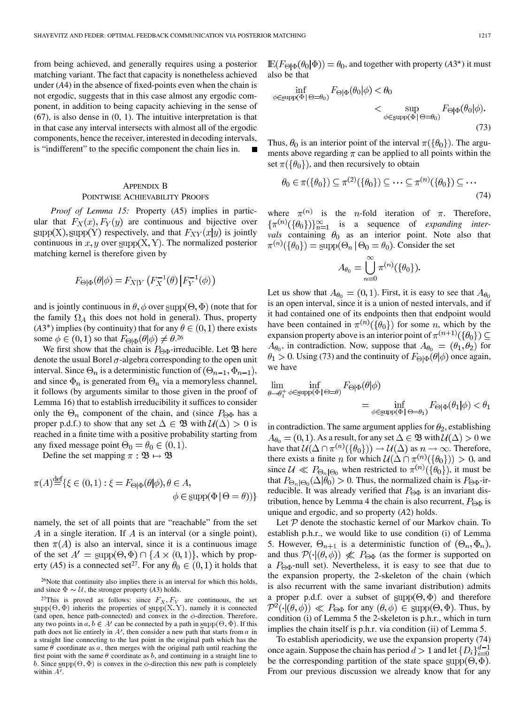from being achieved, and generally requires using a posterior matching variant. The fact that capacity is nonetheless achieved under (*A*4) in the absence of fixed-points even when the chain is not ergodic, suggests that in this case almost any ergodic component, in addition to being capacity achieving in the sense of (67), is also dense in (0, 1). The intuitive interpretation is that in that case any interval intersects with almost all of the ergodic components, hence the receiver, interested in decoding intervals, is "indifferent" to the specific component the chain lies in.

# APPENDIX B POINTWISE ACHIEVABILITY PROOFS

*Proof of Lemma 15:* Property (*A*5) implies in particular that  $F_X(x)$ ,  $F_Y(y)$  are continuous and bijective over  $supp(X)$ ,  $supp(Y)$  respectively, and that  $F_{XY}(x|y)$  is jointly continuous in  $x, y$  over  $\text{supp}(X, Y)$ . The normalized posterior matching kernel is therefore given by

$$
F_{\Theta|\Phi}(\theta|\phi) = F_{X|Y} \left( F_X^{-1}(\theta) \middle| F_Y^{-1}(\phi) \right)
$$

and is jointly continuous in  $\theta$ ,  $\phi$  over supp( $\Theta$ ,  $\Phi$ ) (note that for the family  $\Omega_A$  this does not hold in general). Thus, property  $(A3^*)$  implies (by continuity) that for any  $\theta \in (0,1)$  there exists some  $\phi \in (0,1)$  so that  $F_{\Theta|\Phi}(\theta|\phi) \neq \theta$ .<sup>26</sup>

We first show that the chain is  $P_{\Theta\Phi}$ -irreducible. Let  $\mathfrak B$  here denote the usual Borel  $\sigma$ -algebra corresponding to the open unit interval. Since  $\Theta_n$  is a deterministic function of  $(\Theta_{n-1}, \Phi_{n-1})$ , and since  $\Phi_n$  is generated from  $\Theta_n$  via a memoryless channel, it follows (by arguments similar to those given in the proof of Lemma 16) that to establish irreducibility it suffices to consider only the  $\Theta_n$  component of the chain, and (since  $P_{\Theta \Phi}$  has a proper p.d.f.) to show that any set  $\Delta \in \mathfrak{B}$  with  $\mathcal{U}(\Delta) > 0$  is reached in a finite time with a positive probability starting from any fixed message point  $\Theta_0 = \theta_0 \in (0,1)$ .

Define the set mapping  $\pi : \mathfrak{B} \mapsto \mathfrak{B}$ 

$$
\pi(A) \stackrel{\text{def}}{=} \{ \xi \in (0,1) : \xi = F_{\Theta|\Phi}(\theta|\phi), \theta \in A, \phi \in \text{supp}(\Phi \mid \Theta = \theta) \}
$$

namely, the set of all points that are "reachable" from the set  $\overline{A}$  in a single iteration. If  $\overline{A}$  is an interval (or a single point), then  $\pi(A)$  is also an interval, since it is a continuous image of the set  $A' = \text{supp}(\Theta, \Phi) \cap \{A \times (0, 1)\}\)$ , which by property (A5) is a connected set<sup>27</sup>. For any  $\theta_0 \in (0,1)$  it holds that

26Note that continuity also implies there is an interval for which this holds, and since  $\Phi \sim \mathcal{U}$ , the stronger property (A3) holds.

 $\mathbb{E}(F_{\Theta|\Phi}(\theta_0|\Phi)) = \theta_0$ , and together with property (A3<sup>\*</sup>) it must also be that

$$
\inf_{\phi \in \text{supp}(\Phi \,|\, \Theta = \theta_0)} F_{\Theta|\Phi}(\theta_0|\phi) < \theta_0
$$
\n
$$
< \sup_{\phi \in \text{supp}(\Phi \,|\, \Theta = \theta_0)} F_{\Theta|\Phi}(\theta_0|\phi). \tag{73}
$$

Thus,  $\theta_0$  is an interior point of the interval  $\pi$ ( $\{\theta_0\}$ ). The arguments above regarding  $\pi$  can be applied to all points within the set  $\pi({\theta_0})$ , and then recursively to obtain

$$
\theta_0 \in \pi(\{\theta_0\}) \subseteq \pi^{(2)}(\{\theta_0\}) \subseteq \dots \subseteq \pi^{(n)}(\{\theta_0\}) \subseteq \dots
$$
\n(74)

where  $\pi^{(n)}$  is the *n*-fold iteration of  $\pi$ . Therefore, is a sequence of *expanding intervals* containing  $\theta_0$  as an interior point. Note also that  $\pi^{(n)}(\{\theta_0\}) = \text{supp}(\Theta_n | \Theta_0 = \theta_0)$ . Consider the set

$$
A_{\theta_0} = \bigcup_{n=0}^{\infty} \pi^{(n)}(\{\theta_0\}).
$$

Let us show that  $A_{\theta_0} = (0, 1)$ . First, it is easy to see that  $A_{\theta_0}$ is an open interval, since it is a union of nested intervals, and if it had contained one of its endpoints then that endpoint would have been contained in  $\pi^{(n)}(\{\theta_0\})$  for some *n*, which by the expansion property above is an interior point of  $\pi^{(n+1)}(\{\theta_0\}) \subseteq$  $A_{\theta_0}$ , in contradiction. Now, suppose that  $A_{\theta_0} = (\theta_1, \theta_2)$  for  $\theta_1 > 0$ . Using (73) and the continuity of  $F_{\Theta | \Phi}(\theta | \phi)$  once again, we have

$$
\lim_{\theta \to \theta_1^+} \inf_{\phi \in \text{supp}(\Phi \, | \, \Theta = \theta)} F_{\Theta|\Phi}(\theta|\phi) = \inf_{\phi \in \text{supp}(\Phi \, | \, \Theta = \theta_1)} F_{\Theta|\Phi}(\theta_1|\phi) < \theta_1
$$

in contradiction. The same argument applies for  $\theta_2$ , establishing  $A_{\theta_0} = (0, 1)$ . As a result, for any set  $\Delta \in \mathfrak{B}$  with  $\mathcal{U}(\Delta) > 0$  we have that  $\mathcal{U}(\Delta \cap \pi^{(n)}(\{\theta_0\})) \to \mathcal{U}(\Delta)$  as  $n \to \infty$ . Therefore, there exists a finite *n* for which  $U(\Delta \cap \pi^{(n)}(\{\theta_0\})) > 0$ , and since  $\mathcal{U} \ll P_{\Theta_n|\Theta_0}$  when restricted to  $\pi^{(n)}(\{\theta_0\})$ , it must be that  $P_{\Theta_n|\Theta_0}(\Delta|\theta_0) > 0$ . Thus, the normalized chain is  $P_{\Theta\Phi}$ -irreducible. It was already verified that  $P_{\Theta \Phi}$  is an invariant distribution, hence by Lemma 4 the chain is also recurrent,  $P_{\Theta\Phi}$  is unique and ergodic, and so property (*A*2) holds.

Let  $P$  denote the stochastic kernel of our Markov chain. To establish p.h.r., we would like to use condition (i) of Lemma 5. However,  $\Theta_{n+1}$  is a deterministic function of  $(\Theta_n, \Phi_n)$ , and thus  $\mathcal{P}(\cdot | (\theta, \phi)) \nleq P_{\Theta \Phi}$  (as the former is supported on a  $P_{\Theta\Phi}$ -null set). Nevertheless, it is easy to see that due to the expansion property, the 2-skeleton of the chain (which is also recurrent with the same invariant distribution) admits a proper p.d.f. over a subset of  $\text{supp}(\Theta, \Phi)$  and therefore  $\mathcal{P}^2(\cdot | (\theta, \phi)) \ll P_{\Theta \Phi}$  for any  $(\theta, \phi) \in \text{supp}(\Theta, \Phi)$ . Thus, by condition (i) of Lemma 5 the 2-skeleton is p.h.r., which in turn implies the chain itself is p.h.r. via condition (ii) of Lemma 5.

To establish aperiodicity, we use the expansion property (74) once again. Suppose the chain has period  $d > 1$  and let  $\{D_i\}_{i=0}^{d-1}$ be the corresponding partition of the state space supp $(\Theta, \Phi)$ . From our previous discussion we already know that for any

<sup>&</sup>lt;sup>27</sup>This is proved as follows: since  $F_X, F_Y$  are continuous, the set  $\text{supp}(\Theta, \Phi)$  inherits the properties of  $\text{supp}(X, Y)$ , namely it is connected (and open, hence path-connected) and convex in the  $\phi$ -direction. Therefore, any two points in  $a, b \in A'$  can be connected by a path in  $\text{supp}(\Theta, \Phi)$ . If this path does not lie entirely in  $A'$ , then consider a new path that starts from  $a$  in a straight line connecting to the last point in the original path which has the same  $\theta$  coordinate as  $a$ , then merges with the original path until reaching the first point with the same  $\theta$  coordinate as  $b$ , and continuing in a straight line to b. Since  $\text{supp}(\Theta, \Phi)$  is convex in the  $\phi$ -direction this new path is completely within  $A'$ .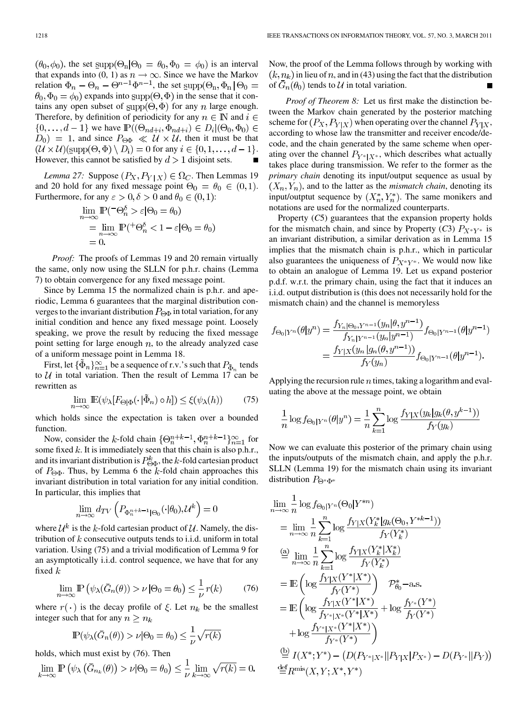$(\theta_0, \phi_0)$ , the set supp $(\Theta_n | \Theta_0 = \theta_0, \Phi_0 = \phi_0)$  is an interval that expands into (0, 1) as  $n \to \infty$ . Since we have the Markov relation  $\Phi_n - \Theta_n - \Theta^{n-1} \Phi^{n-1}$ , the set  $\text{supp}(\Theta_n, \Phi_n | \Theta_0 =$  $\theta_0, \Phi_0 = \phi_0$ ) expands into supp $(\Theta, \Phi)$  in the sense that it contains any open subset of  $\text{supp}(\Theta, \Phi)$  for any n large enough. Therefore, by definition of periodicity for any  $n \in \mathbb{N}$  and  $i \in$  $\{0,\ldots,d-1\}$  we have  $\mathbb{P}((\Theta_{nd+i},\Phi_{nd+i})\in D_i|(\Theta_0,\Phi_0)\in$  $(D_0) = 1$ , and since  $P_{\Theta \Phi} \ll U \times U$ , then it must be that  $(\mathcal{U} \times \mathcal{U})(\text{supp}(\Theta, \Phi) \setminus D_i) = 0$  for any  $i \in \{0, 1, \ldots, d - 1\}.$ However, this cannot be satisfied by  $d > 1$  disjoint sets.

*Lemma 27:* Suppose  $(P_X, P_{Y|X}) \in \Omega_C$ . Then Lemmas 19 and 20 hold for any fixed message point  $\Theta_0 = \theta_0 \in (0,1)$ . Furthermore, for any  $\varepsilon > 0, \delta > 0$  and  $\theta_0 \in (0, 1)$ :

$$
\lim_{n \to \infty} \mathbb{P}(\neg \Theta_n^{\delta} > \varepsilon | \Theta_0 = \theta_0)
$$
  
= 
$$
\lim_{n \to \infty} \mathbb{P}(\neg \Theta_n^{\delta} < 1 - \varepsilon | \Theta_0 = \theta_0)
$$
  
= 0.

*Proof:* The proofs of Lemmas 19 and 20 remain virtually the same, only now using the SLLN for p.h.r. chains (Lemma 7) to obtain convergence for any fixed message point.

Since by Lemma 15 the normalized chain is p.h.r. and aperiodic, Lemma 6 guarantees that the marginal distribution converges to the invariant distribution  $P_{\Theta \Phi}$  in total variation, for any initial condition and hence any fixed message point. Loosely speaking, we prove the result by reducing the fixed message point setting for large enough  $n$ , to the already analyzed case of a uniform message point in Lemma 18.

First, let  $\{\hat{\Phi}_n\}_{n=1}^{\infty}$  be a sequence of r.v.'s such that  $P_{\tilde{\Phi}_n}$  tends to  $\mathcal U$  in total variation. Then the result of Lemma 17 can be rewritten as

$$
\lim_{n \to \infty} \mathbb{E}(\psi_{\lambda}[F_{\Theta|\Phi}(\cdot|\tilde{\Phi}_n) \circ h]) \le \xi(\psi_{\lambda}(h)) \tag{75}
$$

which holds since the expectation is taken over a bounded function.

Now, consider the k-fold chain  $\{\Theta_n^{n+k-1}, \Phi_n^{n+k-1}\}_{n=1}^{\infty}$  for some fixed  $k$ . It is immediately seen that this chain is also p.h.r., and its invariant distribution is  $P_{\Theta\Phi}^k$ , the k-fold cartesian product of  $P_{\Theta\Phi}$ . Thus, by Lemma 6 the k-fold chain approaches this invariant distribution in total variation for any initial condition. In particular, this implies that

$$
\lim_{n \to \infty} d_{TV} \left( P_{\Phi_n^{n+k-1}|\Theta_0} (\cdot|\theta_0), \mathcal{U}^k \right) = 0
$$

where  $\mathcal{U}^k$  is the k-fold cartesian product of  $\mathcal{U}$ . Namely, the distribution of  $k$  consecutive outputs tends to i.i.d. uniform in total variation. Using (75) and a trivial modification of Lemma 9 for an asymptotically i.i.d. control sequence, we have that for any fixed  $k$ 

$$
\lim_{n \to \infty} \mathbb{P}\left(\psi_{\lambda}(\bar{G}_n(\theta)) > \nu \,|\Theta_0 = \theta_0\right) \le \frac{1}{\nu} \,r(k) \tag{76}
$$

where  $r(\cdot)$  is the decay profile of  $\xi$ . Let  $n_k$  be the smallest integer such that for any  $n \geq n_k$ 

$$
\mathbb{P}(\psi_{\lambda}(\bar{G}_n(\theta)) > \nu | \Theta_0 = \theta_0) \le \frac{1}{\nu} \sqrt{r(k)}
$$

holds, which must exist by (76). Then

$$
\lim_{k \to \infty} \mathbb{P} \left( \psi_{\lambda} \left( \bar{G}_{n_k}(\theta) \right) > \nu \middle| \Theta_0 = \theta_0 \right) \leq \frac{1}{\nu} \lim_{k \to \infty} \sqrt{r(k)} = 0.
$$

Now, the proof of the Lemma follows through by working with  $(k, n_k)$  in lieu of n, and in (43) using the fact that the distribution of  $\bar{G}_n(\theta_0)$  tends to  $\mathcal U$  in total variation.

*Proof of Theorem 8:* Let us first make the distinction between the Markov chain generated by the posterior matching scheme for  $(P_X, P_{Y|X})$  when operating over the channel  $P_{Y|X}$ , according to whose law the transmitter and receiver encode/decode, and the chain generated by the same scheme when operating over the channel  $P_{Y^*|X^*}$ , which describes what actually takes place during transmission. We refer to the former as the *primary chain* denoting its input/output sequence as usual by  $(X_n, Y_n)$ , and to the latter as the *mismatch chain*, denoting its input/outptut sequence by  $(X_n^*, Y_n^*)$ . The same monikers and notations are used for the normalized counterparts.

Property (*C*5) guarantees that the expansion property holds for the mismatch chain, and since by Property (*C*3)  $P_{X^*Y^*}$  is an invariant distribution, a similar derivation as in Lemma 15 implies that the mismatch chain is p.h.r., which in particular also guarantees the uniqueness of  $P_{X^*Y^*}$ . We would now like to obtain an analogue of Lemma 19. Let us expand posterior p.d.f. w.r.t. the primary chain, using the fact that it induces an i.i.d. output distribution is (this does not necessarily hold for the mismatch chain) and the channel is memoryless

$$
f_{\Theta_0|Y^n}(\theta|y^n) = \frac{f_{Y_n|\Theta_0, Y^{n-1}}(y_n|\theta, y^{n-1})}{f_{Y_n|Y^{n-1}}(y_n|y^{n-1})} f_{\Theta_0|Y^{n-1}}(\theta|y^{n-1})
$$
  
= 
$$
\frac{f_{Y|X}(y_n|g_n(\theta, y^{n-1}))}{f_Y(y_n)} f_{\Theta_0|Y^{n-1}}(\theta|y^{n-1}).
$$

Applying the recursion rule  $n$  times, taking a logarithm and evaluating the above at the message point, we obtain

$$
\frac{1}{n}\log f_{\Theta_0|Y^n}(\theta|y^n) = \frac{1}{n}\sum_{k=1}^n \log \frac{f_{Y|X}(y_k|g_k(\theta, y^{k-1}))}{f_Y(y_k)}
$$

Now we can evaluate this posterior of the primary chain using the inputs/outputs of the mismatch chain, and apply the p.h.r. SLLN (Lemma 19) for the mismatch chain using its invariant distribution  $P_{\Theta^*\Phi^*}$ 

$$
\lim_{n \to \infty} \frac{1}{n} \log f_{\Theta_0|Y^n}(\Theta_0|Y^{*n})
$$
\n
$$
= \lim_{n \to \infty} \frac{1}{n} \sum_{k=1}^n \log \frac{f_{Y|X}(Y_k^*|g_k(\Theta_0, Y^{*k-1}))}{f_Y(Y_k^*)}
$$
\n
$$
\stackrel{\text{(a)}}{=} \lim_{n \to \infty} \frac{1}{n} \sum_{k=1}^n \log \frac{f_{Y|X}(Y_k^*|X_k^*)}{f_Y(Y_k^*)}
$$
\n
$$
= \mathbb{E}\left(\log \frac{f_{Y|X}(Y^*|X^*)}{f_Y(Y^*)}\right) \mathcal{P}_{\theta_0}^* - \text{a.s.}
$$
\n
$$
= \mathbb{E}\left(\log \frac{f_{Y|X}(Y^*|X^*)}{f_{Y^*|X^*}(Y^*|X^*)} + \log \frac{f_{Y^*}(Y^*)}{f_Y(Y^*)}
$$
\n
$$
+ \log \frac{f_{Y^*|X^*}(Y^*|X^*)}{f_{Y^*}(Y^*)}\right)
$$
\n
$$
\stackrel{\text{(b)}}{=} I(X^*; Y^*) - (D(P_{Y^*|X^*}||P_{Y|X}|P_{X^*}) - D(P_{Y^*}||P_Y))
$$
\n
$$
\stackrel{\text{def}}{=} R^{\text{mis}}(X, Y; X^*, Y^*)
$$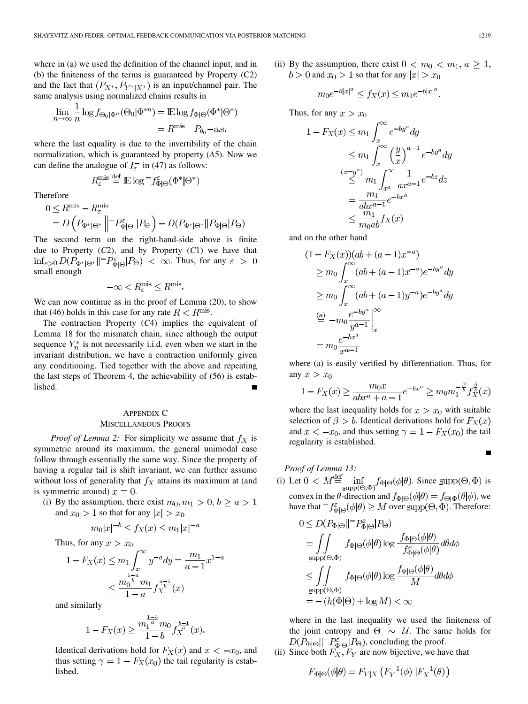where in (a) we used the definition of the channel input, and in (b) the finiteness of the terms is guaranteed by Property (C2) and the fact that  $(P_{X^*}, P_{Y^*|X^*})$  is an input/channel pair. The same analysis using normalized chains results in

$$
\lim_{n \to \infty} \frac{1}{n} \log f_{\Theta_0 | \Phi^n}(\Theta_0 | \Phi^{*n}) = \mathbb{E} \log f_{\Phi | \Theta}(\Phi^* | \Theta^*)
$$
  
=  $R^{\text{mis}} \quad P_{\theta_0} - \text{a.s.}$ 

where the last equality is due to the invertibility of the chain normalization, which is guaranteed by property (*A*5). Now we can define the analogue of  $I_{\epsilon}^-$  in (47) as follows:

$$
R_{\varepsilon}^{\text{mis}} \stackrel{\text{def}}{=} \mathbb{E} \log \mathcal{I}_{\Phi|\Theta}^{\varepsilon}(\Phi^*|\Theta^*)
$$

Therefore

$$
0 \leq R^{\text{mis}} - R_{\varepsilon}^{\text{mis}} = D\left(P_{\Phi^*|\Theta^*} \middle\|^{-1} P_{\Phi|\Theta}^{\varepsilon} \middle\| P_{\Theta}\right) - D(P_{\Phi^*|\Theta^*} \middle\| P_{\Phi|\Theta} \middle\| P_{\Theta}\right)
$$

The second term on the right-hand-side above is finite due to Property (*C*2), and by Property (*C*1) we have that  $\inf_{\varepsilon>0} D(P_{\Phi^*|\Theta^*}||^{-}P_{\Phi|\Theta}^{\varepsilon}|P_{\Theta}) < \infty$ . Thus, for any  $\varepsilon > 0$ small enough

$$
-\infty < R_\varepsilon^{\text{mis}} \leq R^{\text{mis}}.
$$

We can now continue as in the proof of Lemma (20), to show that (46) holds in this case for any rate  $R < R^{\text{mis}}$ .

The contraction Property (*C*4) implies the equivalent of Lemma 18 for the mismatch chain, since although the output sequence  $Y_n^*$  is not necessarily i.i.d. even when we start in the invariant distribution, we have a contraction uniformly given any conditioning. Tied together with the above and repeating the last steps of Theorem 4, the achievability of (56) is established.

# APPENDIX C MISCELLANEOUS PROOFS

*Proof of Lemma 2:* For simplicity we assume that  $f_X$  is symmetric around its maximum, the general unimodal case follow through essentially the same way. Since the property of having a regular tail is shift invariant, we can further assume without loss of generality that  $f_X$  attains its maximum at (and is symmetric around)  $x = 0$ .

(i) By the assumption, there exist  $m_0, m_1 > 0, b \ge a > 1$ and  $x_0 > 1$  so that for any  $|x| > x_0$ 

$$
m_0|x|^{-b} \leq f_X(x) \leq m_1|x|^{-a}
$$

Thus, for any  $x > x_0$ 

$$
1 - F_X(x) \le m_1 \int_x^{\infty} y^{-a} dy = \frac{m_1}{a - 1} x^{1 - a}
$$

$$
\le \frac{m_0^{\frac{1 - a}{b}} m_1}{1 - a} f_X^{\frac{a - 1}{b}}(x)
$$

and similarly

$$
1 - F_X(x) \ge \frac{m_1^{\frac{1-b}{a}} m_0}{1-b} f_X^{\frac{b-1}{a}}(x).
$$

Identical derivations hold for  $F_X(x)$  and  $x < -x_0$ , and thus setting  $\gamma = 1 - F_X(x_0)$  the tail regularity is established.

(ii) By the assumption, there exist  $0 < m_0 < m_1, a \ge 1$ ,  $b > 0$  and  $x_0 > 1$  so that for any  $|x| > x_0$ 

$$
m_0 e^{-b|x|^a} \le f_X(x) \le m_1 e^{-b|x|^a}
$$

Thus, for any  $x > x_0$ 

$$
1 - F_X(x) \le m_1 \int_x^{\infty} e^{-by^a} dy
$$
  
\n
$$
\le m_1 \int_x^{\infty} \left(\frac{y}{x}\right)^{a-1} e^{-by^a} dy
$$
  
\n
$$
\le m_1 \int_{x^a}^{\infty} \frac{1}{ax^{a-1}} e^{-bz} dz
$$
  
\n
$$
= \frac{m_1}{abx^{a-1}} e^{-bx^a}
$$
  
\n
$$
\le \frac{m_1}{mod} f_X(x)
$$

and on the other hand

$$
(1 - F_X(x))(ab + (a - 1)x^{-a})
$$
  
\n
$$
\geq m_0 \int_x^{\infty} (ab + (a - 1)x^{-a})e^{-by^a} dy
$$
  
\n
$$
\geq m_0 \int_x^{\infty} (ab + (a - 1)y^{-a})e^{-by^a} dy
$$
  
\n
$$
\stackrel{(a)}{=} -m_0 \frac{e^{-by^a}}{y^{a-1}}\Big|_x^{\infty}
$$
  
\n
$$
= m_0 \frac{e^{-bx^a}}{x^{a-1}}
$$

where (a) is easily verified by differentiation. Thus, for any  $x > x_0$ 

$$
1 - F_X(x) \ge \frac{m_0 x}{abx^a + a - 1} e^{-bx^a} \ge m_0 m_1^{-\frac{\beta}{b}} f_X^{\frac{\beta}{b}}(x)
$$

where the last inequality holds for  $x > x_0$  with suitable selection of  $\beta > b$ . Identical derivations hold for  $F_X(x)$ and  $x < -x_0$ , and thus setting  $\gamma = 1 - F_X(x_0)$  the tail regularity is established.

*Proof of Lemma 13:*

(i) Let  $0 < M \stackrel{\text{def}}{=} \inf_{\text{supp}(\Theta,\Phi)} f_{\Phi|\Theta}(\phi|\theta)$ . Since  $\text{supp}(\Theta,\Phi)$  is convex in the  $\theta$ -direction and  $f_{\Phi|\Theta}(\phi|\theta) = f_{\Theta|\Phi}(\theta|\phi)$ , we have that  $\tau_{\Phi|\Theta}(\phi|\theta) \geq M$  over supp( $\Theta$ ,  $\Phi$ ). Therefore:

$$
0 \le D(P_{\Phi|\Theta}||^{-}P_{\Phi|\Theta}^{s}|P_{\Theta})
$$
  
\n
$$
= \iint_{\text{supp}(\Theta,\Phi)} f_{\Phi|\Theta}(\phi|\theta) \log \frac{f_{\Phi|\Theta}(\phi|\theta)}{-}f_{\Phi|\Theta}^{s}(\phi|\theta)} d\theta d\phi
$$
  
\n
$$
\le \iint_{\text{supp}(\Theta,\Phi)} f_{\Phi|\Theta}(\phi|\theta) \log \frac{f_{\Phi|\Theta}(\phi|\theta)}{M} d\theta d\phi
$$
  
\n
$$
= -(h(\Phi|\Theta) + \log M) < \infty
$$

where in the last inequality we used the finiteness of the joint entropy and  $\Theta \sim \mathcal{U}$ . The same holds for  $D(P_{\Phi|\Theta}||+P_{\Phi|\Theta}^{\epsilon}|P_{\Theta})$ , concluding the proof.

(ii) Since both  $F_X, F_Y$  are now bijective, we have that

$$
F_{\Phi|\Theta}(\phi|\theta) = F_{Y|X} \left( F_Y^{-1}(\phi) \left| F_X^{-1}(\theta) \right. \right)
$$

Е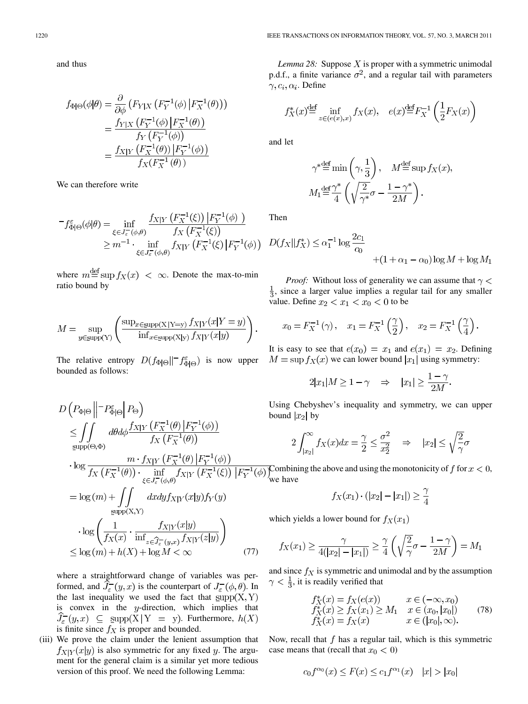and thus

 $\overline{ }$ 

$$
f_{\Phi|\Theta}(\phi|\theta) = \frac{\partial}{\partial \phi} \left( F_{Y|X} \left( F_Y^{-1}(\phi) \middle| F_X^{-1}(\theta) \right) \right)
$$
  
= 
$$
\frac{f_{Y|X} \left( F_Y^{-1}(\phi) \middle| F_X^{-1}(\theta) \right)}{f_Y \left( F_Y^{-1}(\phi) \right)}
$$
  
= 
$$
\frac{f_{X|Y} \left( F_X^{-1}(\theta) \right) \left| F_Y^{-1}(\phi) \right|}{f_X(F_X^{-1}(\theta))}
$$

We can therefore write

$$
-f_{\Phi|\Theta}^{\varepsilon}(\phi|\theta) = \inf_{\xi \in J_{\varepsilon}^{-}(\phi,\theta)} \frac{f_{X|Y}\left(F_X^{-1}(\xi)\right)|F_Y^{-1}(\phi)}{f_X\left(F_X^{-1}(\xi)\right)}
$$

$$
\geq m^{-1} \cdot \inf_{\xi \in J_{\varepsilon}^{-}(\phi,\theta)} f_{X|Y}\left(F_X^{-1}(\xi)|F_Y^{-1}(\phi)\right)
$$

where  $m \stackrel{\text{def}}{=} \sup f_X(x) < \infty$ . Denote the max-to-min ratio bound by

$$
M = \sup_{y \in \text{supp}(Y)} \left( \frac{\sup_{x \in \text{supp}(X|Y=y)} f_{X|Y}(x|Y=y)}{\inf_{x \in \text{supp}(X|y)} f_{X|Y}(x|y)} \right).
$$

The relative entropy  $D(f_{\Phi|\Theta}||^f f_{\Phi|\Theta}^{\varepsilon})$  is now upper bounded as follows:

$$
D\left(P_{\Phi|\Theta}\middle\parallel P_{\Phi|\Theta}\middle\right| P_{\Theta}\right)
$$
\n
$$
\leq \iint_{\text{supp}(\Theta,\Phi)} d\theta d\phi \frac{f_{X|Y}\left(F_X^{-1}(\theta)\middle\vert F_Y^{-1}(\phi)\right)}{f_X\left(F_X^{-1}(\theta)\right)}
$$
\n
$$
\cdot \log \frac{m \cdot f_{X|Y}\left(F_X^{-1}(\theta)\middle\vert F_Y^{-1}(\phi)\right)}{f_X\left(F_X^{-1}(\theta)\right) \cdot \inf_{\xi \in J_{\epsilon}^{-}(\phi,\theta)} f_{X|Y}\left(F_X^{-1}(\xi)\right)\left[F_Y^{-1}(\theta)\right]}
$$
\n
$$
= \log(m) + \iint_{\text{supp}(X,Y)} dxdy f_{X|Y}(x|y) f_Y(y)
$$
\n
$$
\cdot \log \left(\frac{1}{f_X(x)} \cdot \frac{f_{X|Y}(x|y)}{\inf_{z \in \widehat{J}_{\epsilon}^{-}(y,x)} f_{X|Y}(z|y)}\right)
$$
\n
$$
\leq \log(m) + h(X) + \log M < \infty
$$
\n(77)

where a straightforward change of variables was performed, and  $\widetilde{J}_{\varepsilon}^{-}(y, x)$  is the counterpart of  $J_{\varepsilon}^{-}(\phi, \theta)$ . In the last inequality we used the fact that  $\text{supp}(X, Y)$ is convex in the  $y$ -direction, which implies that  $\widehat{J}_{\varepsilon}^-(y,x) \subseteq \text{supp}(\overline{X} | Y = y)$ . Furthermore,  $h(X)$ is finite since  $f_X$  is proper and bounded.

(iii) We prove the claim under the lenient assumption that  $f_{X|Y}(x|y)$  is also symmetric for any fixed y. The argument for the general claim is a similar yet more tedious version of this proof. We need the following Lemma:

*Lemma 28:* Suppose  $X$  is proper with a symmetric unimodal p.d.f., a finite variance  $\sigma^2$ , and a regular tail with parameters  $\gamma$ ,  $c_i$ ,  $\alpha_i$ . Define

$$
f_X^*(x) \stackrel{\text{def}}{=} \inf_{z \in (e(x), x)} f_X(x), \quad e(x) \stackrel{\text{def}}{=} F_X^{-1} \left( \frac{1}{2} F_X(x) \right)
$$

and let

$$
\gamma^* \stackrel{\text{def}}{=} \min\left(\gamma, \frac{1}{3}\right), \quad M \stackrel{\text{def}}{=} \sup f_X(x),
$$

$$
M_1 \stackrel{\text{def}}{=} \frac{\gamma^*}{4} \left(\sqrt{\frac{2}{\gamma^*}} \sigma - \frac{1 - \gamma^*}{2M}\right).
$$

Then

$$
D(f_X || f_X^*) \le \alpha_1^{-1} \log \frac{2c_1}{c_0} + (1 + \alpha_1 - \alpha_0) \log M + \log M_1
$$

*Proof:* Without loss of generality we can assume that  $\gamma$  <  $\frac{1}{3}$ , since a larger value implies a regular tail for any smaller value. Define  $x_2 < x_1 < x_0 < 0$  to be

$$
x_0 = F_X^{-1}(\gamma), \quad x_1 = F_X^{-1}(\frac{\gamma}{2}), \quad x_2 = F_X^{-1}(\frac{\gamma}{4}).
$$

It is easy to see that  $e(x_0) = x_1$  and  $e(x_1) = x_2$ . Defining  $M = \sup f_X(x)$  we can lower bound  $|x_1|$  using symmetry:

$$
2|x_1|M \ge 1 - \gamma \quad \Rightarrow \quad |x_1| \ge \frac{1 - \gamma}{2M}.
$$

Using Chebyshev's inequality and symmetry, we can upper bound  $|x_2|$  by

$$
2\int_{|x_2|}^{\infty} f_X(x)dx = \frac{\gamma}{2} \le \frac{\sigma^2}{x_2^2} \quad \Rightarrow \quad |x_2| \le \sqrt{\frac{2}{\gamma}}\sigma
$$

Combining the above and using the monotonicity of f for  $x < 0$ , we have

$$
f_X(x_1) \cdot (|x_2| - |x_1|) \ge \frac{\gamma}{4}
$$

which yields a lower bound for  $f_X(x_1)$ 

$$
f_X(x_1) \ge \frac{\gamma}{4(|x_2| - |x_1|)} \ge \frac{\gamma}{4} \left( \sqrt{\frac{2}{\gamma}} \sigma - \frac{1 - \gamma}{2M} \right) = M_1
$$

and since  $f_X$  is symmetric and unimodal and by the assumption  $\gamma < \frac{1}{3}$ , it is readily verified that

$$
f_X^*(x) = f_X(e(x)) \qquad x \in (-\infty, x_0)
$$
  
\n
$$
f_X^*(x) \ge f_X(x_1) \ge M_1 \qquad x \in (x_0, |x_0|)
$$
  
\n
$$
f_X^*(x) = f_X(x) \qquad x \in (|x_0|, \infty).
$$
\n(78)

Now, recall that  $f$  has a regular tail, which is this symmetric case means that (recall that  $x_0 < 0$ )

$$
c_0 f^{\alpha_0}(x) \le F(x) \le c_1 f^{\alpha_1}(x) \quad |x| > |x_0|
$$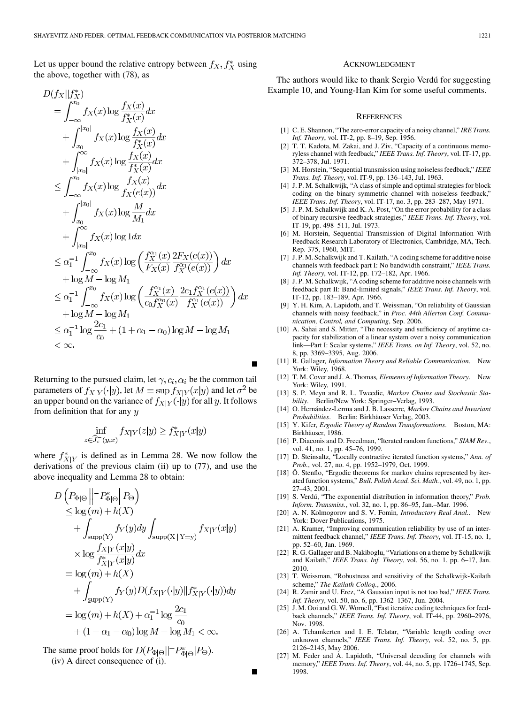Let us upper bound the relative entropy between  $f_X, f_X^*$  using the above, together with (78), as

$$
D(f_X||f_X^*)
$$
  
=  $\int_{-\infty}^{x_0} f_X(x) \log \frac{f_X(x)}{f_X^*(x)} dx$   
+  $\int_{x_0}^{|x_0|} f_X(x) \log \frac{f_X(x)}{f_X^*(x)} dx$   
+  $\int_{|x_0|}^{\infty} f_X(x) \log \frac{f_X(x)}{f_X^*(x)} dx$   
 $\leq \int_{-\infty}^{x_0} f_X(x) \log \frac{f_X(x)}{f_X(e(x))} dx$   
+  $\int_{x_0}^{|x_0|} f_X(x) \log \frac{M}{M_1} dx$   
+  $\int_{|x_0|}^{\infty} f_X(x) \log 1 dx$   
 $\leq \alpha_1^{-1} \int_{-\infty}^{x_0} f_X(x) \log \left( \frac{f_X^{\alpha_1}(x)}{F_X(x)} \frac{2F_X(e(x))}{f_X^{\alpha_1}(e(x))} \right) dx$   
+  $\log M - \log M_1$   
 $\leq \alpha_1^{-1} \int_{-\infty}^{x_0} f_X(x) \log \left( \frac{f_X^{\alpha_1}(x)}{c_0 f_X^{\alpha_0}(x)} \frac{2c_1 f_X^{\alpha_1}(e(x))}{f_X^{\alpha_1}(e(x))} \right) dx$   
+  $\log M - \log M_1$   
 $\leq \alpha_1^{-1} \log \frac{2c_1}{c_0} + (1 + \alpha_1 - \alpha_0) \log M - \log M_1$   
 $\leq \infty.$ 

Returning to the pursued claim, let  $\gamma$ ,  $c_i$ ,  $\alpha_i$  be the common tail parameters of  $f_{X|Y}(\cdot|y)$ , let  $M = \sup f_{X|Y}(x|y)$  and let  $\sigma^2$  be an upper bound on the variance of  $f_{X|Y}(\cdot|y)$  for all y. It follows from definition that for any  $y$ 

$$
\inf_{z \in \widehat{J}_\varepsilon^-(y,x)} f_{X|Y}(z|y) \ge f_{X|Y}^*(x|y)
$$

where  $f_{X|Y}^*$  is defined as in Lemma 28. We now follow the derivations of the previous claim (ii) up to (77), and use the above inequality and Lemma 28 to obtain:

$$
D\left(P_{\Phi|\Theta}\middle\parallel^{-} P_{\Phi|\Theta}^{\varepsilon}\middle\vert P_{\Theta}\right)
$$
  
\n
$$
\leq \log(m) + h(X)
$$
  
\n
$$
+ \int_{\text{supp}(Y)} f_Y(y) dy \int_{\text{supp}(X|Y=y)} f_{X|Y}(x|y)
$$
  
\n
$$
\times \log \frac{f_{X|Y}(x|y)}{f_{X|Y}^*(x|y)} dx
$$
  
\n
$$
= \log(m) + h(X)
$$
  
\n
$$
+ \int_{\text{supp}(Y)} f_Y(y) D(f_{X|Y}(\cdot|y)) |f_{X|Y}^*(\cdot|y)) dy
$$
  
\n
$$
= \log(m) + h(X) + \alpha_1^{-1} \log \frac{2c_1}{c_0}
$$
  
\n
$$
+ (1 + \alpha_1 - \alpha_0) \log M - \log M_1 < \infty.
$$

The same proof holds for  $D(P_{\Phi|\Theta}||+P_{\Phi|\Theta}^{\varepsilon}|P_{\Theta})$ . (iv) A direct consequence of (i).

## ACKNOWLEDGMENT

The authors would like to thank Sergio Verdú for suggesting Example 10, and Young-Han Kim for some useful comments.

#### **REFERENCES**

- [1] C. E. Shannon, "The zero-error capacity of a noisy channel," *IRE Trans. Inf. Theory*, vol. IT-2, pp. 8–19, Sep. 1956.
- [2] T. T. Kadota, M. Zakai, and J. Ziv, "Capacity of a continuous memoryless channel with feedback," *IEEE Trans. Inf. Theory*, vol. IT-17, pp. 372–378, Jul. 1971.
- [3] M. Horstein, "Sequential transmission using noiseless feedback," *IEEE Trans. Inf. Theory*, vol. IT-9, pp. 136–143, Jul. 1963.
- [4] J. P. M. Schalkwijk, "A class of simple and optimal strategies for block coding on the binary symmetric channel with noiseless feedback," *IEEE Trans. Inf. Theory*, vol. IT-17, no. 3, pp. 283–287, May 1971.
- [5] J. P. M. Schalkwijk and K. A. Post, "On the error probability for a class of binary recursive feedback strategies," *IEEE Trans. Inf. Theory*, vol. IT-19, pp. 498–511, Jul. 1973.
- [6] M. Horstein, Sequential Transmission of Digital Information With Feedback Research Laboratory of Electronics, Cambridge, MA, Tech. Rep. 375, 1960, MIT.
- [7] J. P. M. Schalkwijk and T. Kailath, "A coding scheme for additive noise channels with feedback part I: No bandwidth constraint," *IEEE Trans. Inf. Theory*, vol. IT-12, pp. 172–182, Apr. 1966.
- [8] J. P. M. Schalkwijk, "A coding scheme for additive noise channels with feedback part II: Band-limited signals," *IEEE Trans. Inf. Theory*, vol. IT-12, pp. 183–189, Apr. 1966.
- [9] Y. H. Kim, A. Lapidoth, and T. Weissman, "On reliability of Gaussian channels with noisy feedback," in *Proc. 44th Allerton Conf. Communication, Control, and Computing*, Sep. 2006.
- [10] A. Sahai and S. Mitter, "The necessity and sufficiency of anytime capacity for stabilization of a linear system over a noisy communication link—Part I: Scalar systems," *IEEE Trans. on Inf. Theory*, vol. 52, no. 8, pp. 3369–3395, Aug. 2006.
- [11] R. Gallager*, Information Theory and Reliable Communication*. New York: Wiley, 1968.
- [12] T. M. Cover and J. A. Thomas*, Elements of Information Theory*. New York: Wiley, 1991.
- [13] S. P. Meyn and R. L. Tweedie*, Markov Chains and Stochastic Stability*. Berlin/New York: Springer–Verlag, 1993.
- [14] O. Hernández-Lerma and J. B. Lasserre*, Markov Chains and Invariant Probabilities*. Berlin: Birkhäuser Verlag, 2003.
- [15] Y. Kifer*, Ergodic Theory of Random Transformations*. Boston, MA: Birkhäuser, 1986.
- [16] P. Diaconis and D. Freedman, "Iterated random functions," *SIAM Rev.*, vol. 41, no. 1, pp. 45–76, 1999.
- [17] D. Steinsaltz, "Locally contractive iterated function systems," *Ann. of Prob.*, vol. 27, no. 4, pp. 1952–1979, Oct. 1999.
- [18] Ö. Stenflo, "Ergodic theorems for markov chains represented by iterated function systems," *Bull. Polish Acad. Sci. Math.*, vol. 49, no. 1, pp. 27–43, 2001.
- [19] S. Verdú, "The exponential distribution in information theory," *Prob. Inform. Transmiss.*, vol. 32, no. 1, pp. 86–95, Jan.–Mar. 1996.
- [20] A. N. Kolmogorov and S. V. Fomin*, Introductory Real Anal.*. New York: Dover Publications, 1975.
- [21] A. Kramer, "Improving communication reliability by use of an intermittent feedback channel," *IEEE Trans. Inf. Theory*, vol. IT-15, no. 1, pp. 52–60, Jan. 1969.
- [22] R. G. Gallager and B. Nakiboglu, "Variations on a theme by Schalkwijk and Kailath," *IEEE Trans. Inf. Theory*, vol. 56, no. 1, pp. 6–17, Jan. 2010.
- [23] T. Weissman, "Robustness and sensitivity of the Schalkwijk-Kailath scheme," *The Kailath Colloq.*, 2006.
- [24] R. Zamir and U. Erez, "A Gaussian input is not too bad," *IEEE Trans. Inf. Theory*, vol. 50, no. 6, pp. 1362–1367, Jun. 2004.
- [25] J. M. Ooi and G. W. Wornell, "Fast iterative coding techniques for feedback channels," *IEEE Trans. Inf. Theory*, vol. IT-44, pp. 2960–2976, Nov. 1998.
- [26] A. Tchamkerten and I. E. Telatar, "Variable length coding over unknown channels," *IEEE Trans. Inf. Theory*, vol. 52, no. 5, pp. 2126–2145, May 2006.
- [27] M. Feder and A. Lapidoth, "Universal decoding for channels with memory," *IEEE Trans. Inf. Theory*, vol. 44, no. 5, pp. 1726–1745, Sep. 1998.